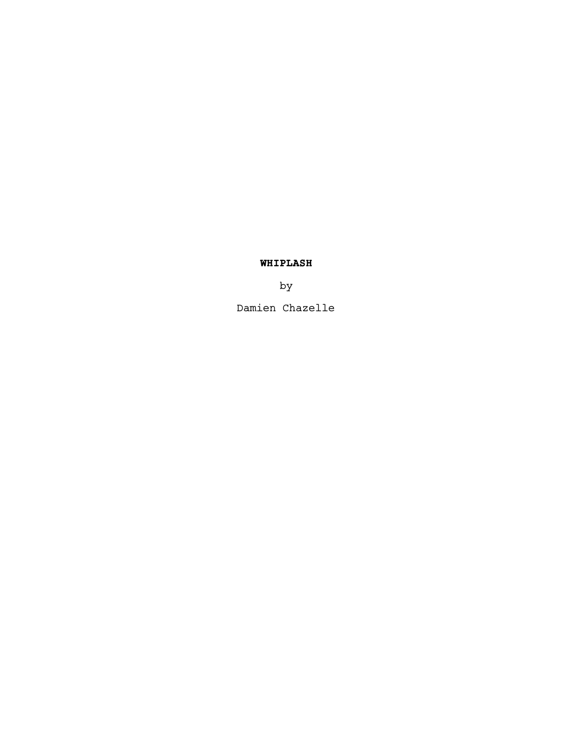# **WHIPLASH**

by

Damien Chazelle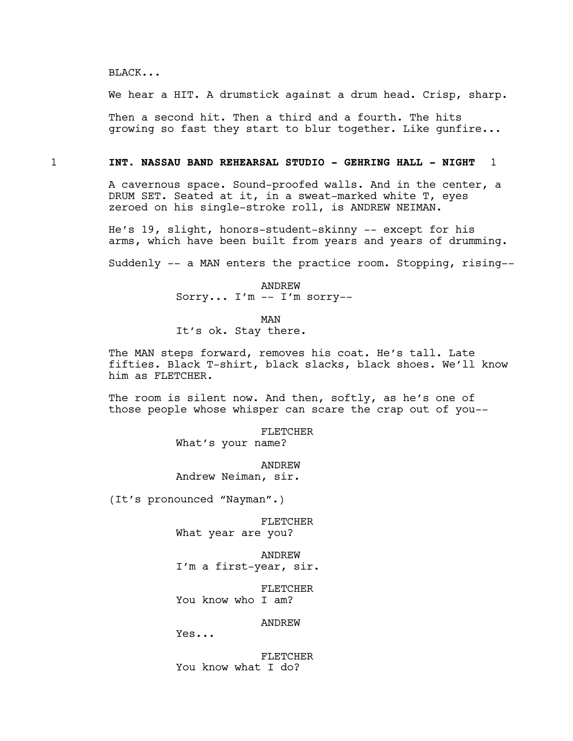BLACK...

We hear a HIT. A drumstick against a drum head. Crisp, sharp.

Then a second hit. Then a third and a fourth. The hits growing so fast they start to blur together. Like gunfire...

## 1 **INT. NASSAU BAND REHEARSAL STUDIO - GEHRING HALL - NIGHT** 1

A cavernous space. Sound-proofed walls. And in the center, a DRUM SET. Seated at it, in a sweat-marked white T, eyes zeroed on his single-stroke roll, is ANDREW NEIMAN.

He's 19, slight, honors-student-skinny -- except for his arms, which have been built from years and years of drumming.

Suddenly -- a MAN enters the practice room. Stopping, rising--

# ANDREW

Sorry... I'm -- I'm sorry--

MAN

It's ok. Stay there.

The MAN steps forward, removes his coat. He's tall. Late fifties. Black T-shirt, black slacks, black shoes. We'll know him as FLETCHER.

The room is silent now. And then, softly, as he's one of those people whose whisper can scare the crap out of you--

> FLETCHER What's your name?

ANDREW Andrew Neiman, sir.

(It's pronounced "Nayman".)

FLETCHER What year are you?

ANDREW I'm a first-year, sir.

FLETCHER You know who I am?

ANDREW

Yes...

FLETCHER You know what I do?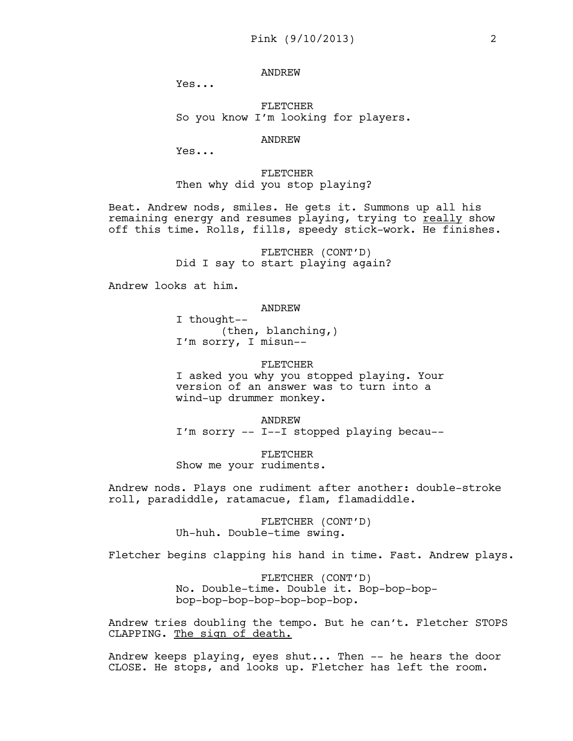## ANDREW

Yes...

FLETCHER So you know I'm looking for players.

#### ANDREW

Yes...

FLETCHER Then why did you stop playing?

Beat. Andrew nods, smiles. He gets it. Summons up all his remaining energy and resumes playing, trying to really show off this time. Rolls, fills, speedy stick-work. He finishes.

> FLETCHER (CONT'D) Did I say to start playing again?

Andrew looks at him.

ANDREW

I thought-- (then, blanching,) I'm sorry, I misun--

#### FLETCHER

I asked you why you stopped playing. Your version of an answer was to turn into a wind-up drummer monkey.

ANDREW I'm sorry -- I--I stopped playing becau--

FLETCHER Show me your rudiments.

Andrew nods. Plays one rudiment after another: double-stroke roll, paradiddle, ratamacue, flam, flamadiddle.

> FLETCHER (CONT'D) Uh-huh. Double-time swing.

Fletcher begins clapping his hand in time. Fast. Andrew plays.

FLETCHER (CONT'D) No. Double-time. Double it. Bop-bop-bopbop-bop-bop-bop-bop-bop-bop.

Andrew tries doubling the tempo. But he can't. Fletcher STOPS CLAPPING. The sign of death.

Andrew keeps playing, eyes shut... Then -- he hears the door CLOSE. He stops, and looks up. Fletcher has left the room.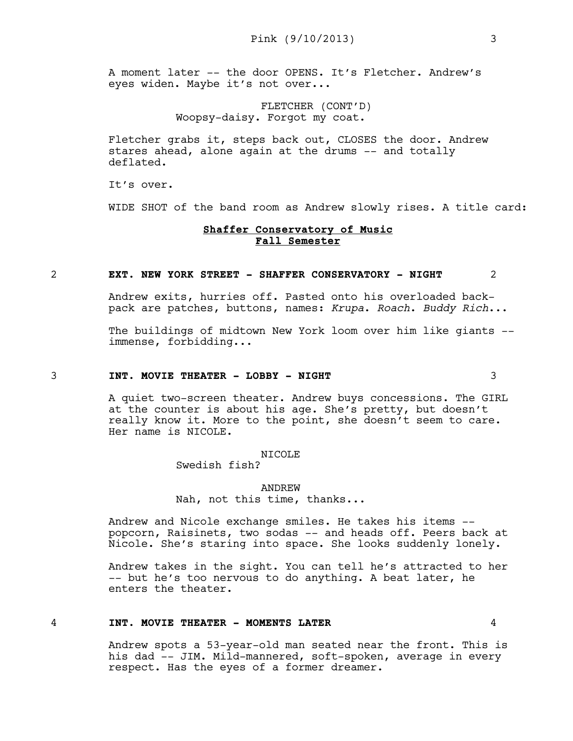A moment later -- the door OPENS. It's Fletcher. Andrew's eyes widen. Maybe it's not over...

> FLETCHER (CONT'D) Woopsy-daisy. Forgot my coat.

Fletcher grabs it, steps back out, CLOSES the door. Andrew stares ahead, alone again at the drums -- and totally deflated.

It's over.

WIDE SHOT of the band room as Andrew slowly rises. A title card:

## **Shaffer Conservatory of Music Fall Semester**

#### 2 **EXT. NEW YORK STREET - SHAFFER CONSERVATORY - NIGHT** 2

Andrew exits, hurries off. Pasted onto his overloaded backpack are patches, buttons, names: *Krupa*. *Roach*. *Buddy Rich*...

The buildings of midtown New York loom over him like giants - immense, forbidding...

## 3 **INT. MOVIE THEATER - LOBBY - NIGHT** 3

A quiet two-screen theater. Andrew buys concessions. The GIRL at the counter is about his age. She's pretty, but doesn't really know it. More to the point, she doesn't seem to care. Her name is NICOLE.

#### NICOLE

Swedish fish?

ANDREW Nah, not this time, thanks...

Andrew and Nicole exchange smiles. He takes his items - popcorn, Raisinets, two sodas -- and heads off. Peers back at Nicole. She's staring into space. She looks suddenly lonely.

Andrew takes in the sight. You can tell he's attracted to her -- but he's too nervous to do anything. A beat later, he enters the theater.

# 4 **INT. MOVIE THEATER - MOMENTS LATER** 4

Andrew spots a 53-year-old man seated near the front. This is his dad -- JIM. Mild-mannered, soft-spoken, average in every respect. Has the eyes of a former dreamer.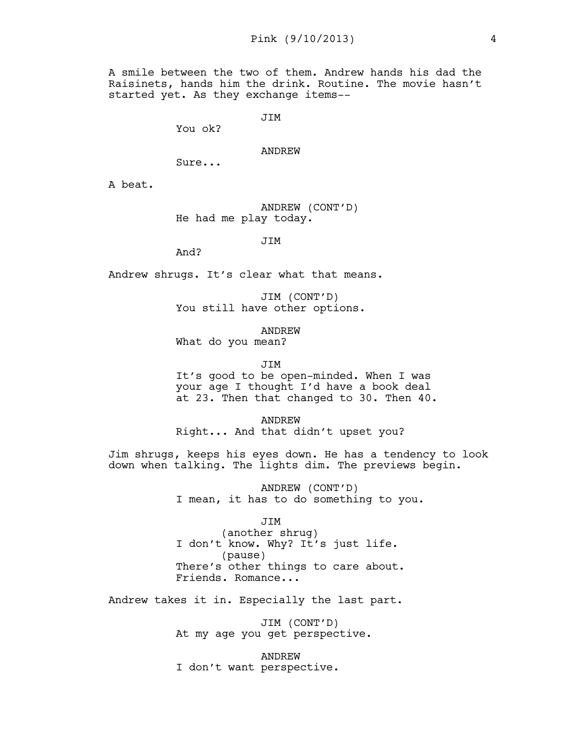A smile between the two of them. Andrew hands his dad the Raisinets, hands him the drink. Routine. The movie hasn't started yet. As they exchange items--

JIM

You ok?

#### ANDREW

Sure...

A beat.

ANDREW (CONT'D) He had me play today.

JIM

And?

Andrew shrugs. It's clear what that means.

JIM (CONT'D) You still have other options.

ANDREW

What do you mean?

JIM

It's good to be open-minded. When I was your age I thought I'd have a book deal at 23. Then that changed to 30. Then 40.

ANDREW Right... And that didn't upset you?

Jim shrugs, keeps his eyes down. He has a tendency to look down when talking. The lights dim. The previews begin.

> ANDREW (CONT'D) I mean, it has to do something to you.

> > JIM

(another shrug) I don't know. Why? It's just life. (pause) There's other things to care about. Friends. Romance...

Andrew takes it in. Especially the last part.

JIM (CONT'D) At my age you get perspective.

ANDREW I don't want perspective.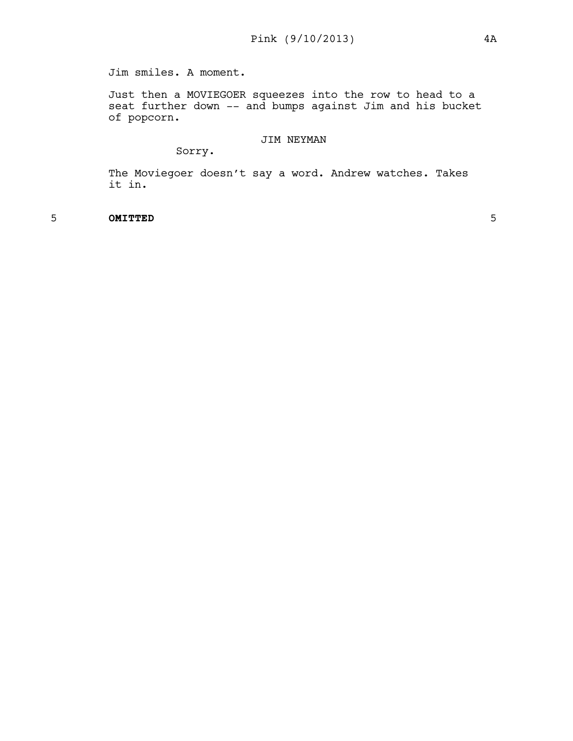Jim smiles. A moment.

Just then a MOVIEGOER squeezes into the row to head to a seat further down -- and bumps against Jim and his bucket of popcorn.

# JIM NEYMAN

Sorry.

The Moviegoer doesn't say a word. Andrew watches. Takes it in.

5 **OMITTED** 5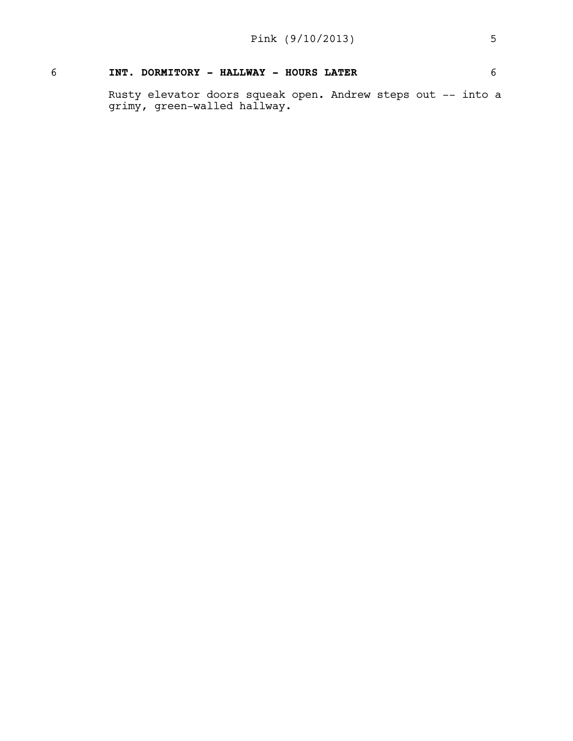# 6 **INT. DORMITORY - HALLWAY - HOURS LATER** 6

Rusty elevator doors squeak open. Andrew steps out -- into a grimy, green-walled hallway.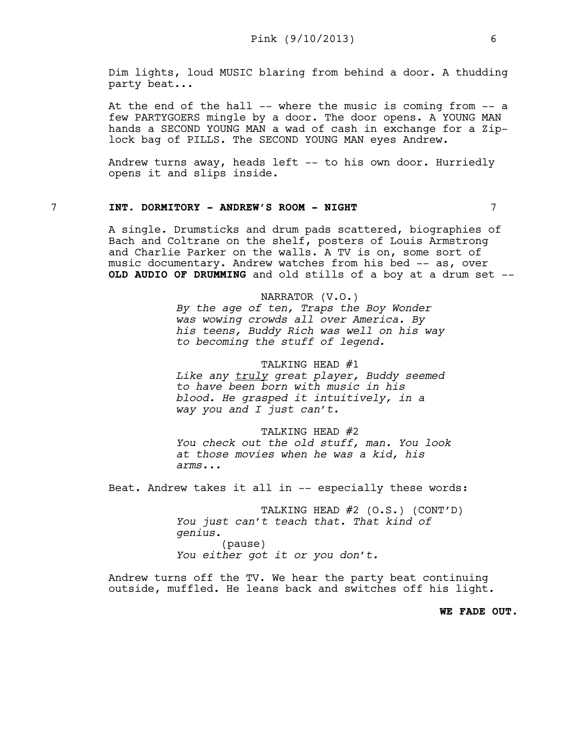Dim lights, loud MUSIC blaring from behind a door. A thudding party beat...

At the end of the hall -- where the music is coming from -- a few PARTYGOERS mingle by a door. The door opens. A YOUNG MAN hands a SECOND YOUNG MAN a wad of cash in exchange for a Ziplock bag of PILLS. The SECOND YOUNG MAN eyes Andrew.

Andrew turns away, heads left -- to his own door. Hurriedly opens it and slips inside.

# 7 **INT. DORMITORY - ANDREW'S ROOM - NIGHT** 7

A single. Drumsticks and drum pads scattered, biographies of Bach and Coltrane on the shelf, posters of Louis Armstrong and Charlie Parker on the walls. A TV is on, some sort of music documentary. Andrew watches from his bed -- as, over **OLD AUDIO OF DRUMMING** and old stills of a boy at a drum set --

> NARRATOR (V.O.) *By the age of ten, Traps the Boy Wonder was wowing crowds all over America. By his teens, Buddy Rich was well on his way to becoming the stuff of legend.*

> TALKING HEAD #1 *Like any truly great player, Buddy seemed to have been born with music in his blood. He grasped it intuitively, in a way you and I just can't.*

## TALKING HEAD #2

*You check out the old stuff, man. You look at those movies when he was a kid, his arms...*

Beat. Andrew takes it all in -- especially these words:

TALKING HEAD #2 (O.S.) (CONT'D) *You just can't teach that. That kind of genius.* (pause) *You either got it or you don't.* 

Andrew turns off the TV. We hear the party beat continuing outside, muffled. He leans back and switches off his light.

**WE FADE OUT.**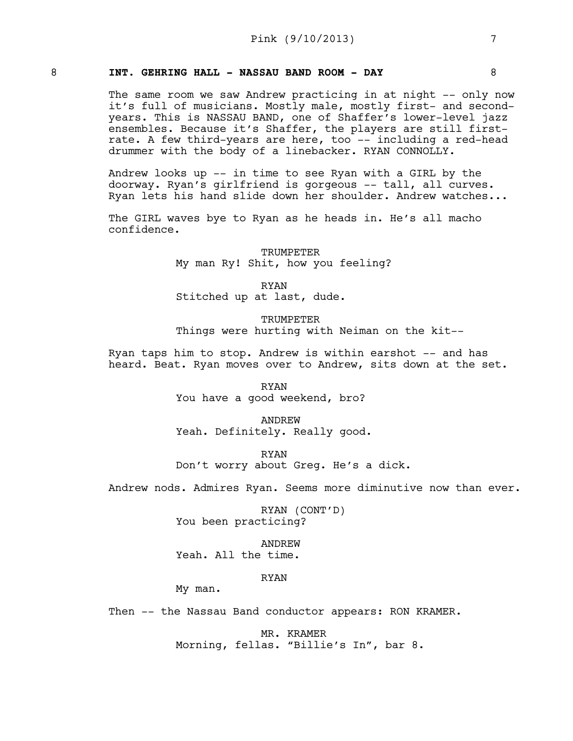# 8 **INT. GEHRING HALL - NASSAU BAND ROOM - DAY** 8

The same room we saw Andrew practicing in at night -- only now it's full of musicians. Mostly male, mostly first- and secondyears. This is NASSAU BAND, one of Shaffer's lower-level jazz ensembles. Because it's Shaffer, the players are still firstrate. A few third-years are here, too -- including a red-head drummer with the body of a linebacker. RYAN CONNOLLY.

Andrew looks up -- in time to see Ryan with a GIRL by the doorway. Ryan's girlfriend is gorgeous -- tall, all curves. Ryan lets his hand slide down her shoulder. Andrew watches...

The GIRL waves bye to Ryan as he heads in. He's all macho confidence.

> TRUMPETER My man Ry! Shit, how you feeling?

RYAN Stitched up at last, dude.

**TRUMPETER** Things were hurting with Neiman on the kit--

Ryan taps him to stop. Andrew is within earshot -- and has heard. Beat. Ryan moves over to Andrew, sits down at the set.

> RYAN You have a good weekend, bro?

ANDREW Yeah. Definitely. Really good.

RYAN Don't worry about Greg. He's a dick.

Andrew nods. Admires Ryan. Seems more diminutive now than ever.

RYAN (CONT'D) You been practicing?

ANDREW Yeah. All the time.

RYAN

My man.

Then -- the Nassau Band conductor appears: RON KRAMER.

MR. KRAMER Morning, fellas. "Billie's In", bar 8.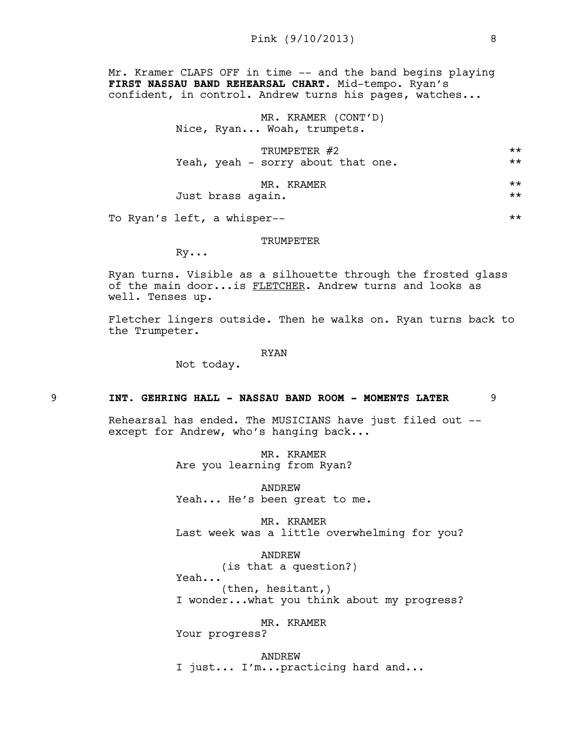Mr. Kramer CLAPS OFF in time -- and the band begins playing **FIRST NASSAU BAND REHEARSAL CHART**. Mid-tempo. Ryan's confident, in control. Andrew turns his pages, watches...

> MR. KRAMER (CONT'D) Nice, Ryan... Woah, trumpets.

| TRUMPETER #2                       | ** |
|------------------------------------|----|
| Yeah, yeah - sorry about that one. | ** |
| ---<br>                            |    |

MR. KRAMER \*\* Just brass again. \*\*

To Ryan's left, a whisper--

#### TRUMPETER

Ry...

Ryan turns. Visible as a silhouette through the frosted glass of the main door...is FLETCHER. Andrew turns and looks as well. Tenses up.

Fletcher lingers outside. Then he walks on. Ryan turns back to the Trumpeter.

RYAN

Not today.

#### 9 **INT. GEHRING HALL - NASSAU BAND ROOM - MOMENTS LATER** 9

Rehearsal has ended. The MUSICIANS have just filed out - except for Andrew, who's hanging back...

> MR. KRAMER Are you learning from Ryan?

ANDREW Yeah... He's been great to me.

MR. KRAMER Last week was a little overwhelming for you?

ANDREW (is that a question?) Yeah... (then, hesitant,) I wonder...what you think about my progress?

MR. KRAMER

Your progress?

ANDREW I just... I'm...practicing hard and...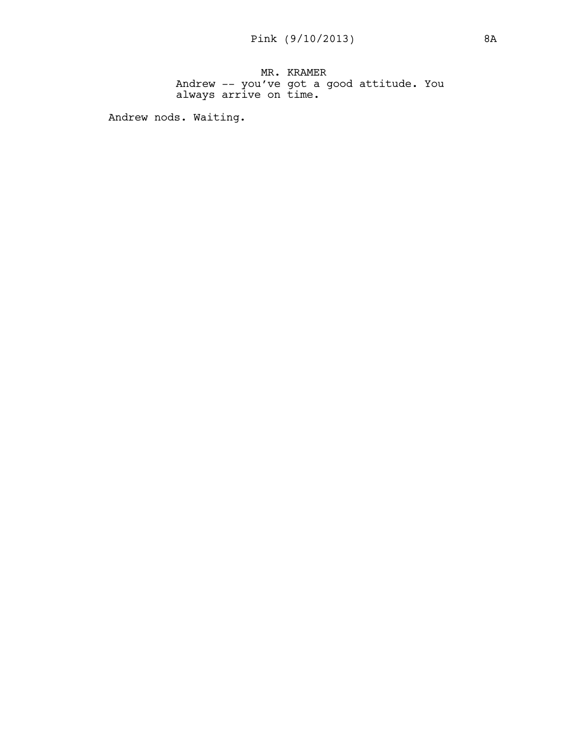MR. KRAMER Andrew -- you've got a good attitude. You always arrive on time.

Andrew nods. Waiting.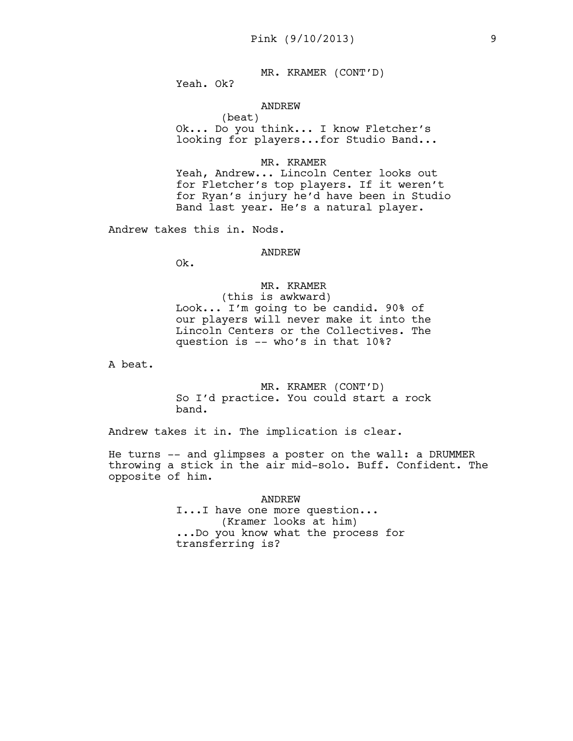MR. KRAMER (CONT'D)

Yeah. Ok?

#### ANDREW

(beat) Ok... Do you think... I know Fletcher's looking for players...for Studio Band...

#### MR. KRAMER

Yeah, Andrew... Lincoln Center looks out for Fletcher's top players. If it weren't for Ryan's injury he'd have been in Studio Band last year. He's a natural player.

Andrew takes this in. Nods.

#### ANDREW

Ok.

# MR. KRAMER

(this is awkward) Look... I'm going to be candid. 90% of our players will never make it into the Lincoln Centers or the Collectives. The question is -- who's in that 10%?

A beat.

MR. KRAMER (CONT'D) So I'd practice. You could start a rock band.

Andrew takes it in. The implication is clear.

He turns -- and glimpses a poster on the wall: a DRUMMER throwing a stick in the air mid-solo. Buff. Confident. The opposite of him.

> ANDREW I...I have one more question... (Kramer looks at him) ...Do you know what the process for transferring is?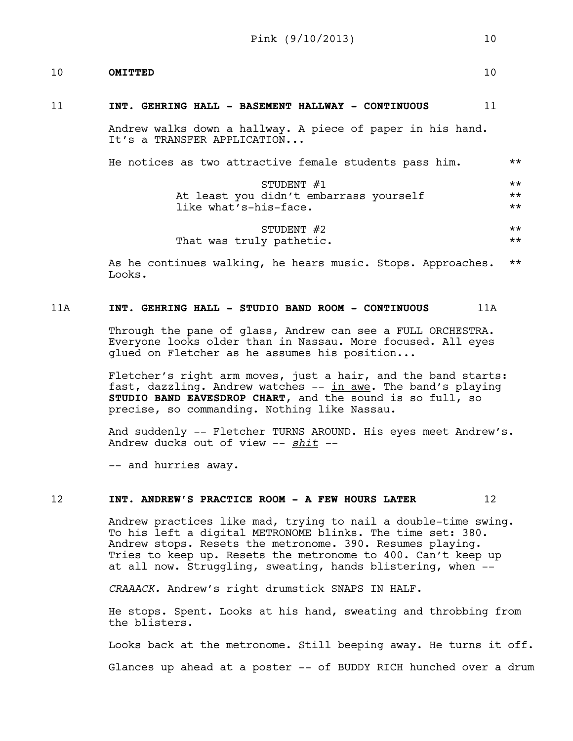# 10 **OMITTED** 10

#### 11 **INT. GEHRING HALL - BASEMENT HALLWAY - CONTINUOUS** 11

Andrew walks down a hallway. A piece of paper in his hand. It's a TRANSFER APPLICATION...

| He notices as two attractive female students pass him. | $***$ |
|--------------------------------------------------------|-------|
| STUDENT $#1$                                           | $***$ |
| At least you didn't embarrass yourself                 |       |
| like what's-his-face.                                  |       |
| STUDENT $#2$                                           | $***$ |
| That was truly pathetic.                               | $***$ |

As he continues walking, he hears music. Stops. Approaches. \*\* Looks.

# 11A **INT. GEHRING HALL - STUDIO BAND ROOM - CONTINUOUS** 11A

Through the pane of glass, Andrew can see a FULL ORCHESTRA. Everyone looks older than in Nassau. More focused. All eyes glued on Fletcher as he assumes his position...

Fletcher's right arm moves, just a hair, and the band starts: fast, dazzling. Andrew watches -- in awe. The band's playing **STUDIO BAND EAVESDROP CHART**, and the sound is so full, so precise, so commanding. Nothing like Nassau.

And suddenly -- Fletcher TURNS AROUND. His eyes meet Andrew's. Andrew ducks out of view -- *shit --*

-- and hurries away.

## 12 **INT. ANDREW'S PRACTICE ROOM - A FEW HOURS LATER** 12

Andrew practices like mad, trying to nail a double-time swing. To his left a digital METRONOME blinks. The time set: 380. Andrew stops. Resets the metronome. 390. Resumes playing. Tries to keep up. Resets the metronome to 400. Can't keep up at all now. Struggling, sweating, hands blistering, when --

*CRAAACK.* Andrew's right drumstick SNAPS IN HALF.

He stops. Spent. Looks at his hand, sweating and throbbing from the blisters.

Looks back at the metronome. Still beeping away. He turns it off.

Glances up ahead at a poster -- of BUDDY RICH hunched over a drum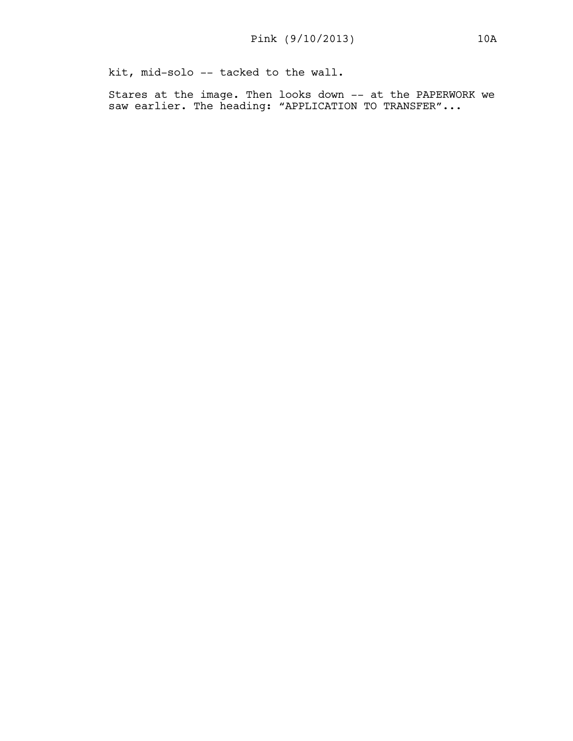kit, mid-solo -- tacked to the wall.

Stares at the image. Then looks down -- at the PAPERWORK we saw earlier. The heading: "APPLICATION TO TRANSFER"...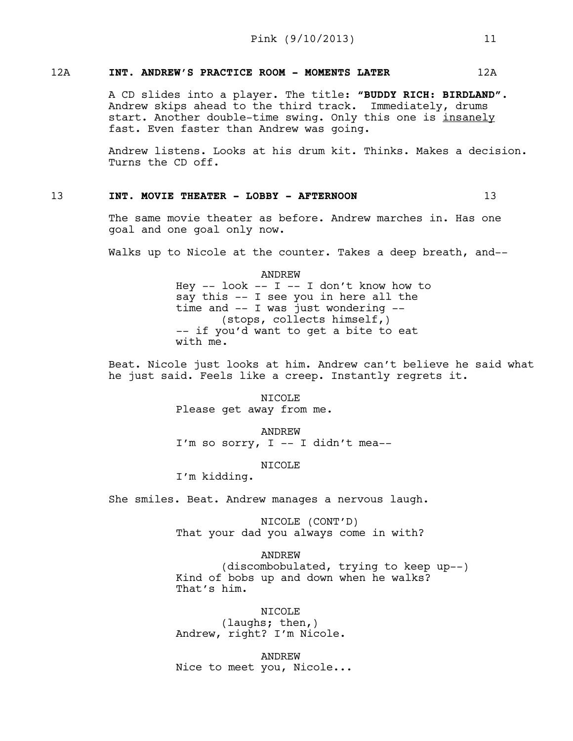# 12A **INT. ANDREW'S PRACTICE ROOM - MOMENTS LATER** 12A

A CD slides into a player. The title: **"BUDDY RICH: BIRDLAND"**. Andrew skips ahead to the third track. Immediately, drums start. Another double-time swing. Only this one is insanely fast. Even faster than Andrew was going.

Andrew listens. Looks at his drum kit. Thinks. Makes a decision. Turns the CD off.

## 13 **INT. MOVIE THEATER - LOBBY - AFTERNOON** 13

The same movie theater as before. Andrew marches in. Has one goal and one goal only now.

Walks up to Nicole at the counter. Takes a deep breath, and--

ANDREW Hey  $--$  look  $--$  I  $--$  I don't know how to say this -- I see you in here all the time and -- I was just wondering -- (stops, collects himself,) -- if you'd want to get a bite to eat with me.

Beat. Nicole just looks at him. Andrew can't believe he said what he just said. Feels like a creep. Instantly regrets it.

> NICOLE Please get away from me.

ANDREW I'm so sorry,  $I$  -- I didn't mea--

#### NICOLE

I'm kidding.

She smiles. Beat. Andrew manages a nervous laugh.

NICOLE (CONT'D) That your dad you always come in with?

ANDREW

(discombobulated, trying to keep up--) Kind of bobs up and down when he walks? That's him.

NICOLE (laughs; then,) Andrew, right? I'm Nicole.

ANDREW Nice to meet you, Nicole...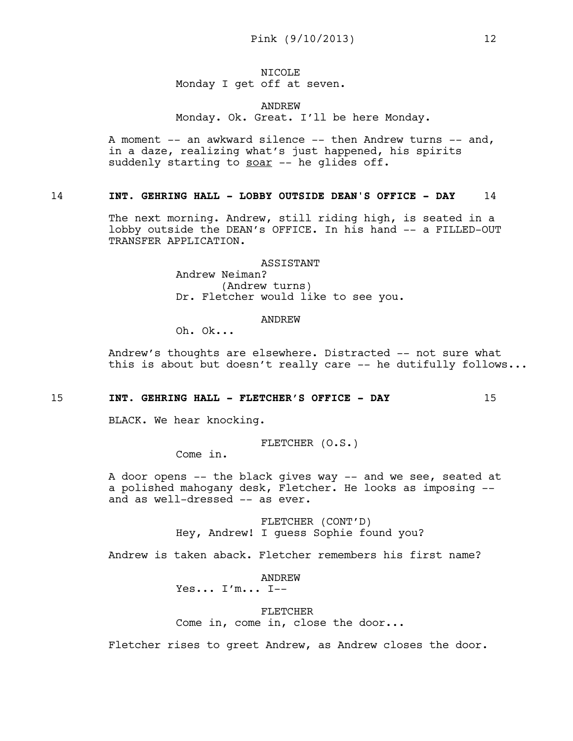# NICOLE Monday I get off at seven.

## ANDREW Monday. Ok. Great. I'll be here Monday.

A moment -- an awkward silence -- then Andrew turns -- and, in a daze, realizing what's just happened, his spirits suddenly starting to soar -- he glides off.

# 14 **INT. GEHRING HALL - LOBBY OUTSIDE DEAN'S OFFICE - DAY** 14

The next morning. Andrew, still riding high, is seated in a lobby outside the DEAN's OFFICE. In his hand -- a FILLED-OUT TRANSFER APPLICATION.

> ASSISTANT Andrew Neiman? (Andrew turns) Dr. Fletcher would like to see you.

> > ANDREW

Oh. Ok...

Andrew's thoughts are elsewhere. Distracted -- not sure what this is about but doesn't really care -- he dutifully follows...

#### 15 **INT. GEHRING HALL - FLETCHER'S OFFICE - DAY** 15

BLACK. We hear knocking.

$$
\text{FLETCHER} (O.S.)
$$

Come in.

A door opens -- the black gives way -- and we see, seated at a polished mahogany desk, Fletcher. He looks as imposing - and as well-dressed -- as ever.

> FLETCHER (CONT'D) Hey, Andrew! I guess Sophie found you?

Andrew is taken aback. Fletcher remembers his first name?

ANDREW Yes...  $I'm... I$ --

FLETCHER

Come in, come in, close the door...

Fletcher rises to greet Andrew, as Andrew closes the door.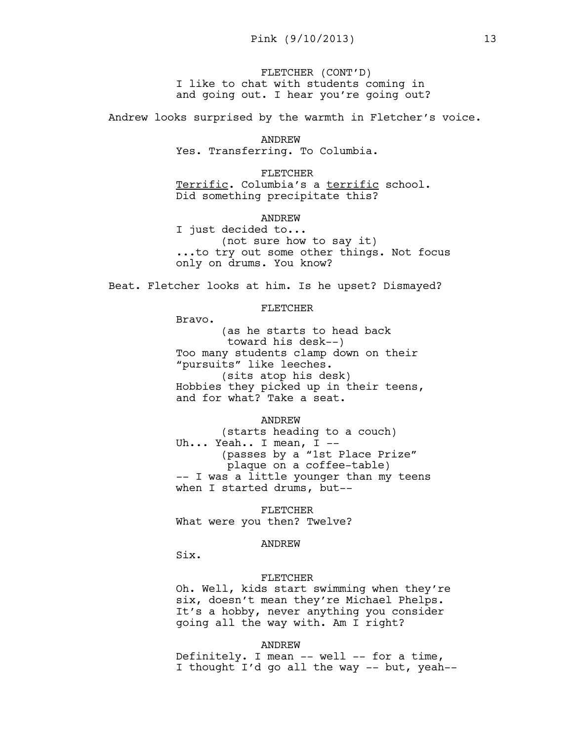FLETCHER (CONT'D) I like to chat with students coming in and going out. I hear you're going out?

Andrew looks surprised by the warmth in Fletcher's voice.

ANDREW Yes. Transferring. To Columbia.

FLETCHER Terrific. Columbia's a terrific school. Did something precipitate this?

ANDREW

I just decided to... (not sure how to say it) ...to try out some other things. Not focus only on drums. You know?

Beat. Fletcher looks at him. Is he upset? Dismayed?

## FLETCHER

Bravo.

(as he starts to head back toward his desk--) Too many students clamp down on their "pursuits" like leeches. (sits atop his desk) Hobbies they picked up in their teens, and for what? Take a seat.

ANDREW

(starts heading to a couch) Uh... Yeah.. I mean, I --(passes by a "1st Place Prize" plaque on a coffee-table) -- I was a little younger than my teens when I started drums, but--

FLETCHER What were you then? Twelve?

#### ANDREW

Six.

#### FLETCHER

Oh. Well, kids start swimming when they're six, doesn't mean they're Michael Phelps. It's a hobby, never anything you consider going all the way with. Am I right?

ANDREW

Definitely. I mean -- well -- for a time, I thought I'd go all the way -- but, yeah--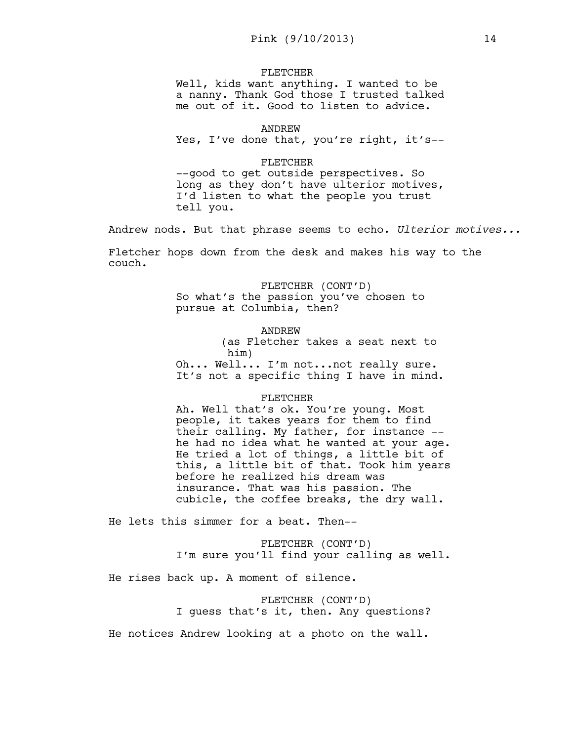#### FLETCHER

Well, kids want anything. I wanted to be a nanny. Thank God those I trusted talked me out of it. Good to listen to advice.

ANDREW

Yes, I've done that, you're right, it's--

#### FLETCHER

--good to get outside perspectives. So long as they don't have ulterior motives, I'd listen to what the people you trust tell you.

Andrew nods. But that phrase seems to echo. *Ulterior motives...*

Fletcher hops down from the desk and makes his way to the couch.

FLETCHER (CONT'D)

So what's the passion you've chosen to pursue at Columbia, then?

#### ANDREW

(as Fletcher takes a seat next to him) Oh... Well... I'm not...not really sure.

It's not a specific thing I have in mind.

#### FLETCHER

Ah. Well that's ok. You're young. Most people, it takes years for them to find their calling. My father, for instance - he had no idea what he wanted at your age. He tried a lot of things, a little bit of this, a little bit of that. Took him years before he realized his dream was insurance. That was his passion. The cubicle, the coffee breaks, the dry wall.

He lets this simmer for a beat. Then--

FLETCHER (CONT'D) I'm sure you'll find your calling as well.

He rises back up. A moment of silence.

FLETCHER (CONT'D) I guess that's it, then. Any questions?

He notices Andrew looking at a photo on the wall.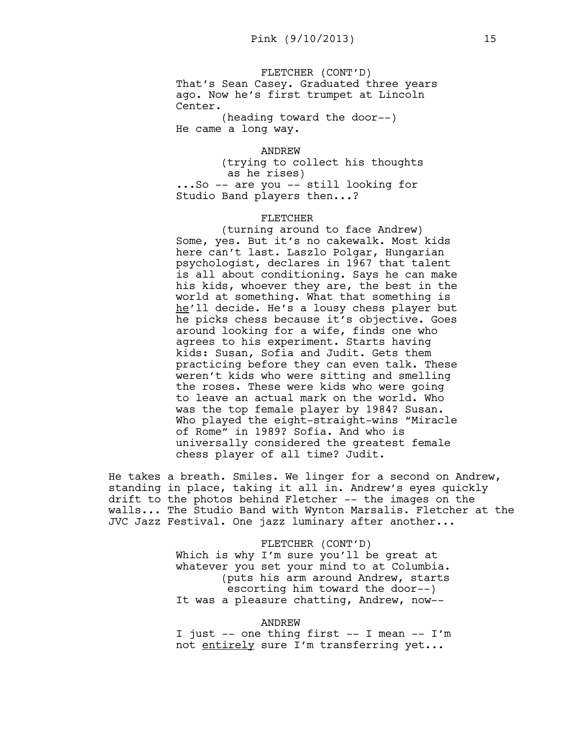FLETCHER (CONT'D) That's Sean Casey. Graduated three years ago. Now he's first trumpet at Lincoln Center.

(heading toward the door--) He came a long way.

ANDREW

(trying to collect his thoughts as he rises) ...So -- are you -- still looking for Studio Band players then...?

#### FLETCHER

(turning around to face Andrew) Some, yes. But it's no cakewalk. Most kids here can't last. Laszlo Polgar, Hungarian psychologist, declares in 1967 that talent is all about conditioning. Says he can make his kids, whoever they are, the best in the world at something. What that something is he'll decide. He's a lousy chess player but he picks chess because it's objective. Goes around looking for a wife, finds one who agrees to his experiment. Starts having kids: Susan, Sofia and Judit. Gets them practicing before they can even talk. These weren't kids who were sitting and smelling the roses. These were kids who were going to leave an actual mark on the world. Who was the top female player by 1984? Susan. Who played the eight-straight-wins "Miracle of Rome" in 1989? Sofia. And who is universally considered the greatest female chess player of all time? Judit.

He takes a breath. Smiles. We linger for a second on Andrew, standing in place, taking it all in. Andrew's eyes quickly drift to the photos behind Fletcher -- the images on the walls... The Studio Band with Wynton Marsalis. Fletcher at the JVC Jazz Festival. One jazz luminary after another...

> FLETCHER (CONT'D) Which is why I'm sure you'll be great at whatever you set your mind to at Columbia. (puts his arm around Andrew, starts escorting him toward the door--) It was a pleasure chatting, Andrew, now--

#### ANDREW

I just -- one thing first -- I mean -- I'm not entirely sure I'm transferring yet...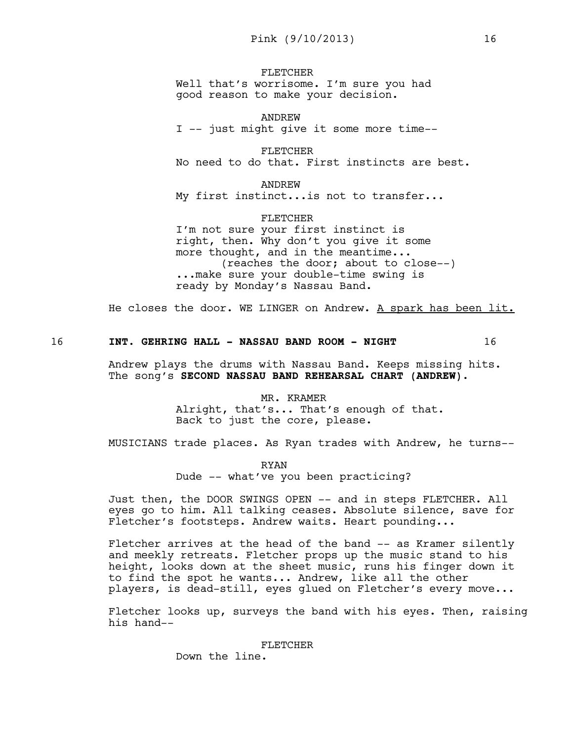FLETCHER Well that's worrisome. I'm sure you had good reason to make your decision.

ANDREW I -- just might give it some more time--

FLETCHER No need to do that. First instincts are best.

ANDREW My first instinct...is not to transfer...

FLETCHER I'm not sure your first instinct is right, then. Why don't you give it some more thought, and in the meantime... (reaches the door; about to close--) ...make sure your double-time swing is ready by Monday's Nassau Band.

He closes the door. WE LINGER on Andrew. A spark has been lit.

16 **INT. GEHRING HALL - NASSAU BAND ROOM - NIGHT** 16

Andrew plays the drums with Nassau Band. Keeps missing hits. The song's **SECOND NASSAU BAND REHEARSAL CHART (ANDREW)**.

> MR. KRAMER Alright, that's... That's enough of that. Back to just the core, please.

MUSICIANS trade places. As Ryan trades with Andrew, he turns--

RYAN Dude -- what've you been practicing?

Just then, the DOOR SWINGS OPEN -- and in steps FLETCHER. All eyes go to him. All talking ceases. Absolute silence, save for Fletcher's footsteps. Andrew waits. Heart pounding...

Fletcher arrives at the head of the band -- as Kramer silently and meekly retreats. Fletcher props up the music stand to his height, looks down at the sheet music, runs his finger down it to find the spot he wants... Andrew, like all the other players, is dead-still, eyes glued on Fletcher's every move...

Fletcher looks up, surveys the band with his eyes. Then, raising his hand--

#### FLETCHER

Down the line.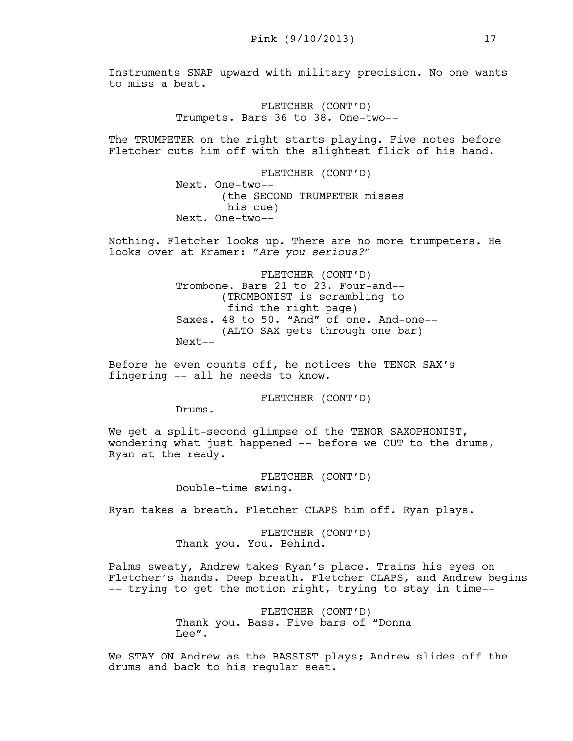Instruments SNAP upward with military precision. No one wants to miss a beat.

> FLETCHER (CONT'D) Trumpets. Bars 36 to 38. One-two--

The TRUMPETER on the right starts playing. Five notes before Fletcher cuts him off with the slightest flick of his hand.

> FLETCHER (CONT'D) Next. One-two-- (the SECOND TRUMPETER misses his cue) Next. One-two--

Nothing. Fletcher looks up. There are no more trumpeters. He looks over at Kramer: "*Are you serious?*"

> FLETCHER (CONT'D) Trombone. Bars 21 to 23. Four-and-- (TROMBONIST is scrambling to find the right page) Saxes. 48 to 50. "And" of one. And-one-- (ALTO SAX gets through one bar) Next--

Before he even counts off, he notices the TENOR SAX's fingering -- all he needs to know.

FLETCHER (CONT'D)

Drums.

We get a split-second glimpse of the TENOR SAXOPHONIST, wondering what just happened -- before we CUT to the drums, Ryan at the ready.

> FLETCHER (CONT'D) Double-time swing.

Ryan takes a breath. Fletcher CLAPS him off. Ryan plays.

FLETCHER (CONT'D) Thank you. You. Behind.

Palms sweaty, Andrew takes Ryan's place. Trains his eyes on Fletcher's hands. Deep breath. Fletcher CLAPS, and Andrew begins -- trying to get the motion right, trying to stay in time--

> FLETCHER (CONT'D) Thank you. Bass. Five bars of "Donna Lee".

We STAY ON Andrew as the BASSIST plays; Andrew slides off the drums and back to his regular seat.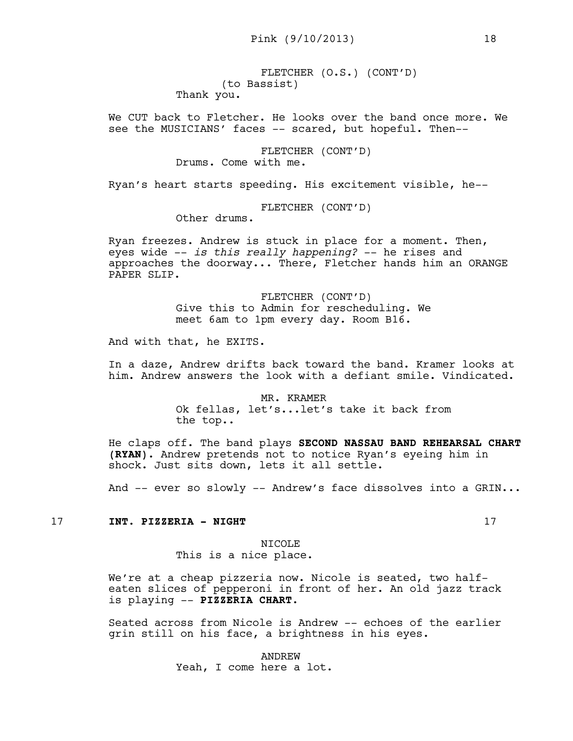FLETCHER (O.S.) (CONT'D) (to Bassist) Thank you.

We CUT back to Fletcher. He looks over the band once more. We see the MUSICIANS' faces -- scared, but hopeful. Then--

> FLETCHER (CONT'D) Drums. Come with me.

Ryan's heart starts speeding. His excitement visible, he--

FLETCHER (CONT'D)

Other drums.

Ryan freezes. Andrew is stuck in place for a moment. Then, eyes wide -- *is this really happening?* -- he rises and approaches the doorway... There, Fletcher hands him an ORANGE PAPER SLIP.

> FLETCHER (CONT'D) Give this to Admin for rescheduling. We meet 6am to 1pm every day. Room B16.

And with that, he EXITS.

In a daze, Andrew drifts back toward the band. Kramer looks at him. Andrew answers the look with a defiant smile. Vindicated.

> MR. KRAMER Ok fellas, let's...let's take it back from the top..

He claps off. The band plays **SECOND NASSAU BAND REHEARSAL CHART (RYAN)**. Andrew pretends not to notice Ryan's eyeing him in shock. Just sits down, lets it all settle.

And -- ever so slowly -- Andrew's face dissolves into a GRIN...

#### 17 **INT. PIZZERIA - NIGHT** 17

NTCOLE<sup>®</sup> This is a nice place.

We're at a cheap pizzeria now. Nicole is seated, two halfeaten slices of pepperoni in front of her. An old jazz track is playing -- **PIZZERIA CHART**.

Seated across from Nicole is Andrew -- echoes of the earlier grin still on his face, a brightness in his eyes.

> ANDREW Yeah, I come here a lot.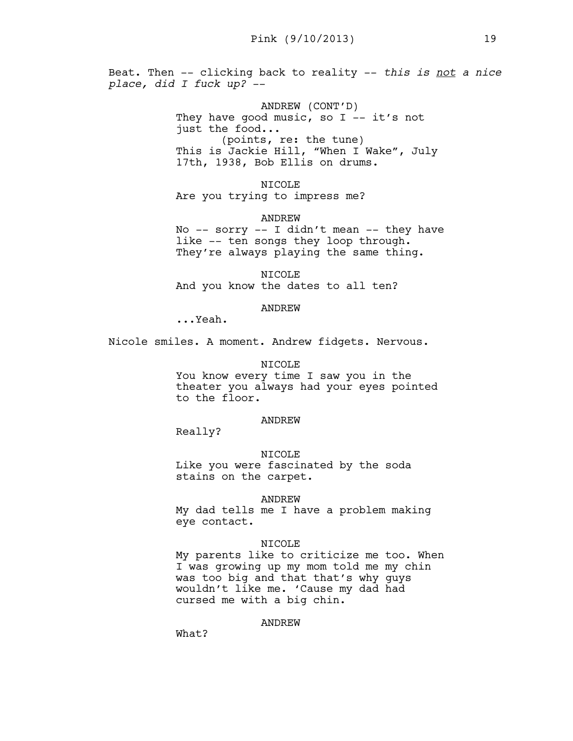Beat. Then -- clicking back to reality -- *this is not a nice place, did I fuck up?* --

> ANDREW (CONT'D) They have good music, so I  $-$  it's not just the food... (points, re: the tune) This is Jackie Hill, "When I Wake", July 17th, 1938, Bob Ellis on drums.

NICOLE Are you trying to impress me?

ANDREW

No  $--$  sorry  $--$  I didn't mean  $--$  they have like -- ten songs they loop through. They're always playing the same thing.

NICOLE And you know the dates to all ten?

## ANDREW

...Yeah.

Nicole smiles. A moment. Andrew fidgets. Nervous.

# NICOLE You know every time I saw you in the theater you always had your eyes pointed to the floor.

#### ANDREW

Really?

#### NICOLE

Like you were fascinated by the soda stains on the carpet.

#### ANDREW

My dad tells me I have a problem making eye contact.

#### NICOLE

My parents like to criticize me too. When I was growing up my mom told me my chin was too big and that that's why guys wouldn't like me. 'Cause my dad had cursed me with a big chin.

## ANDREW

What?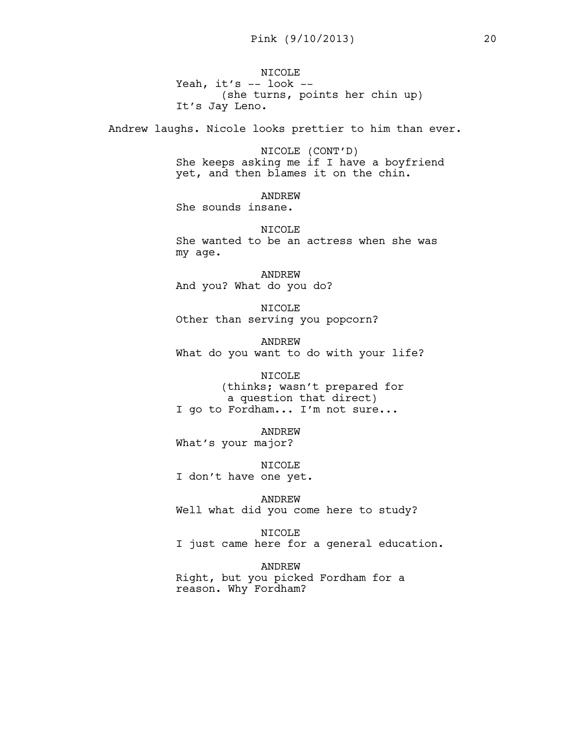NICOLE Yeah, it's -- look --(she turns, points her chin up) It's Jay Leno.

Andrew laughs. Nicole looks prettier to him than ever.

NICOLE (CONT'D) She keeps asking me if I have a boyfriend yet, and then blames it on the chin.

ANDREW She sounds insane.

NICOLE She wanted to be an actress when she was my age.

ANDREW And you? What do you do?

NICOLE Other than serving you popcorn?

ANDREW What do you want to do with your life?

#### NICOLE

(thinks; wasn't prepared for a question that direct) I go to Fordham... I'm not sure...

ANDREW What's your major?

NICOLE I don't have one yet.

ANDREW Well what did you come here to study?

NICOLE I just came here for a general education.

ANDREW Right, but you picked Fordham for a reason. Why Fordham?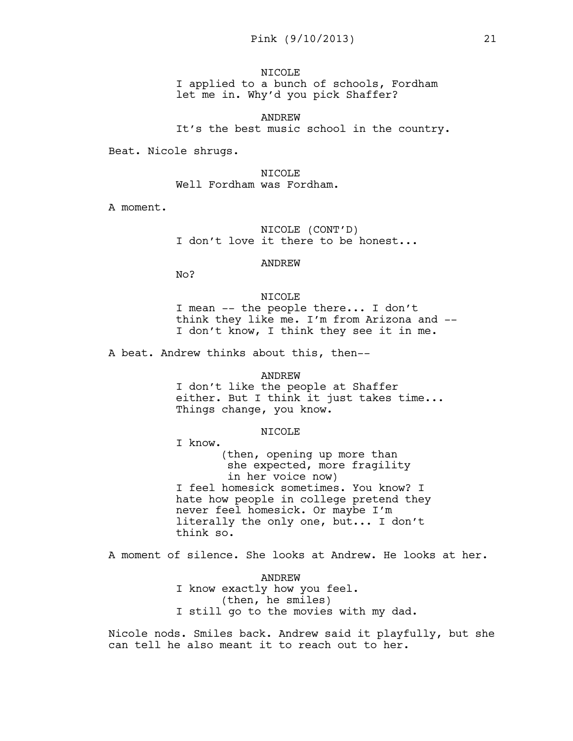NTCOLE<sup></sup> I applied to a bunch of schools, Fordham let me in. Why'd you pick Shaffer?

ANDREW It's the best music school in the country.

Beat. Nicole shrugs.

NTCOLE<sup>®</sup> Well Fordham was Fordham.

A moment.

NICOLE (CONT'D) I don't love it there to be honest...

ANDREW

No?

NICOLE I mean -- the people there... I don't think they like me. I'm from Arizona and -- I don't know, I think they see it in me.

A beat. Andrew thinks about this, then--

#### ANDREW

I don't like the people at Shaffer either. But I think it just takes time... Things change, you know.

#### NICOLE

I know. (then, opening up more than she expected, more fragility in her voice now) I feel homesick sometimes. You know? I hate how people in college pretend they never feel homesick. Or maybe I'm literally the only one, but... I don't think so.

A moment of silence. She looks at Andrew. He looks at her.

ANDREW I know exactly how you feel. (then, he smiles) I still go to the movies with my dad.

Nicole nods. Smiles back. Andrew said it playfully, but she can tell he also meant it to reach out to her.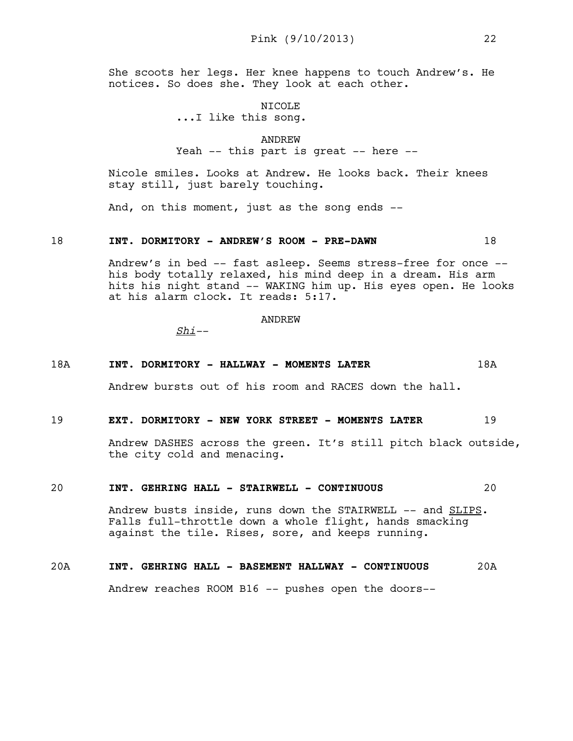She scoots her legs. Her knee happens to touch Andrew's. He notices. So does she. They look at each other.

> NICOLE ...I like this song.

ANDREW Yeah -- this part is great -- here --

Nicole smiles. Looks at Andrew. He looks back. Their knees stay still, just barely touching.

And, on this moment, just as the song ends --

#### 18 **INT. DORMITORY - ANDREW'S ROOM - PRE-DAWN** 18

Andrew's in bed -- fast asleep. Seems stress-free for once - his body totally relaxed, his mind deep in a dream. His arm hits his night stand -- WAKING him up. His eyes open. He looks at his alarm clock. It reads: 5:17.

ANDREW

*Shi--*

#### 18A **INT. DORMITORY - HALLWAY - MOMENTS LATER** 18A

Andrew bursts out of his room and RACES down the hall.

#### 19 **EXT. DORMITORY - NEW YORK STREET - MOMENTS LATER** 19

Andrew DASHES across the green. It's still pitch black outside, the city cold and menacing.

#### 20 **INT. GEHRING HALL - STAIRWELL - CONTINUOUS** 20

Andrew busts inside, runs down the STAIRWELL -- and SLIPS. Falls full-throttle down a whole flight, hands smacking against the tile. Rises, sore, and keeps running.

# 20A **INT. GEHRING HALL - BASEMENT HALLWAY - CONTINUOUS** 20A

Andrew reaches ROOM B16 -- pushes open the doors--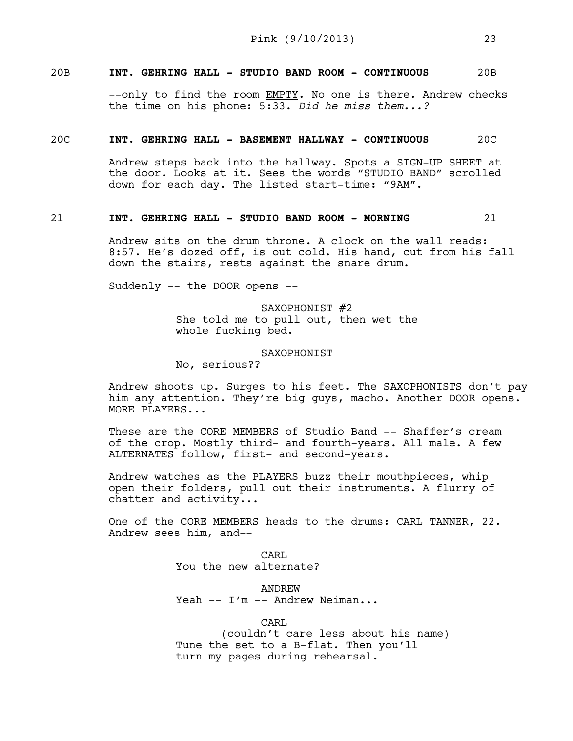# 20B **INT. GEHRING HALL - STUDIO BAND ROOM - CONTINUOUS** 20B

--only to find the room EMPTY. No one is there. Andrew checks the time on his phone: 5:33. *Did he miss them...?*

## 20C **INT. GEHRING HALL - BASEMENT HALLWAY - CONTINUOUS** 20C

Andrew steps back into the hallway. Spots a SIGN-UP SHEET at the door. Looks at it. Sees the words "STUDIO BAND" scrolled down for each day. The listed start-time: "9AM".

## 21 **INT. GEHRING HALL - STUDIO BAND ROOM - MORNING** 21

Andrew sits on the drum throne. A clock on the wall reads: 8:57. He's dozed off, is out cold. His hand, cut from his fall down the stairs, rests against the snare drum.

Suddenly -- the DOOR opens --

SAXOPHONIST #2 She told me to pull out, then wet the whole fucking bed.

#### SAXOPHONIST

No, serious??

Andrew shoots up. Surges to his feet. The SAXOPHONISTS don't pay him any attention. They're big guys, macho. Another DOOR opens. MORE PLAYERS...

These are the CORE MEMBERS of Studio Band -- Shaffer's cream of the crop. Mostly third- and fourth-years. All male. A few ALTERNATES follow, first- and second-years.

Andrew watches as the PLAYERS buzz their mouthpieces, whip open their folders, pull out their instruments. A flurry of chatter and activity...

One of the CORE MEMBERS heads to the drums: CARL TANNER, 22. Andrew sees him, and--

> CARL You the new alternate?

ANDREW Yeah -- I'm -- Andrew Neiman...

CARL

(couldn't care less about his name) Tune the set to a B-flat. Then you'll turn my pages during rehearsal.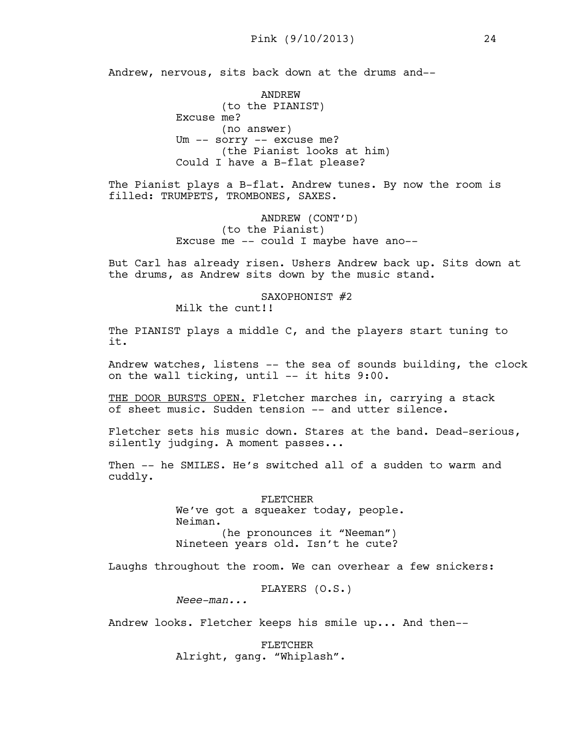Andrew, nervous, sits back down at the drums and--

ANDREW (to the PIANIST) Excuse me? (no answer) Um -- sorry -- excuse me? (the Pianist looks at him) Could I have a B-flat please?

The Pianist plays a B-flat. Andrew tunes. By now the room is filled: TRUMPETS, TROMBONES, SAXES.

> ANDREW (CONT'D) (to the Pianist) Excuse me -- could I maybe have ano--

But Carl has already risen. Ushers Andrew back up. Sits down at the drums, as Andrew sits down by the music stand.

SAXOPHONIST #2

Milk the cunt!!

The PIANIST plays a middle C, and the players start tuning to it.

Andrew watches, listens -- the sea of sounds building, the clock on the wall ticking, until -- it hits 9:00.

THE DOOR BURSTS OPEN. Fletcher marches in, carrying a stack of sheet music. Sudden tension -- and utter silence.

Fletcher sets his music down. Stares at the band. Dead-serious, silently judging. A moment passes...

Then -- he SMILES. He's switched all of a sudden to warm and cuddly.

> FLETCHER We've got a squeaker today, people. Neiman. (he pronounces it "Neeman") Nineteen years old. Isn't he cute?

Laughs throughout the room. We can overhear a few snickers:

PLAYERS (O.S.)

*Neee-man...* 

Andrew looks. Fletcher keeps his smile up... And then--

FLETCHER Alright, gang. "Whiplash".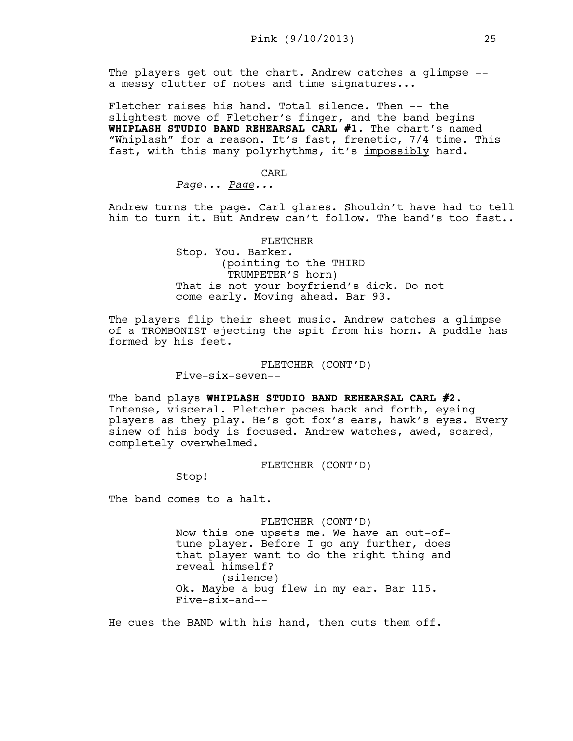The players get out the chart. Andrew catches a glimpse - a messy clutter of notes and time signatures...

Fletcher raises his hand. Total silence. Then -- the slightest move of Fletcher's finger, and the band begins **WHIPLASH STUDIO BAND REHEARSAL CARL #1**. The chart's named "Whiplash" for a reason. It's fast, frenetic, 7/4 time. This fast, with this many polyrhythms, it's impossibly hard.

## CARL

*Page*... *Page...* 

Andrew turns the page. Carl glares. Shouldn't have had to tell him to turn it. But Andrew can't follow. The band's too fast..

#### FLETCHER

Stop. You. Barker. (pointing to the THIRD TRUMPETER'S horn) That is not your boyfriend's dick. Do not come early. Moving ahead. Bar 93.

The players flip their sheet music. Andrew catches a glimpse of a TROMBONIST ejecting the spit from his horn. A puddle has formed by his feet.

#### FLETCHER (CONT'D)

Five-six-seven--

The band plays **WHIPLASH STUDIO BAND REHEARSAL CARL #2**. Intense, visceral. Fletcher paces back and forth, eyeing players as they play. He's got fox's ears, hawk's eyes. Every sinew of his body is focused. Andrew watches, awed, scared, completely overwhelmed.

FLETCHER (CONT'D)

Stop!

The band comes to a halt.

FLETCHER (CONT'D)

Now this one upsets me. We have an out-oftune player. Before I go any further, does that player want to do the right thing and reveal himself? (silence) Ok. Maybe a bug flew in my ear. Bar 115. Five-six-and--

He cues the BAND with his hand, then cuts them off.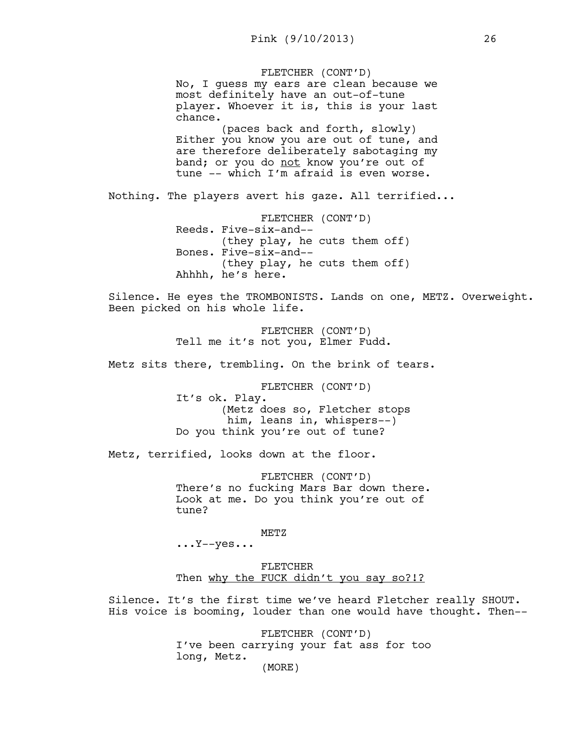FLETCHER (CONT'D) No, I guess my ears are clean because we most definitely have an out-of-tune player. Whoever it is, this is your last chance. (paces back and forth, slowly) Either you know you are out of tune, and are therefore deliberately sabotaging my band; or you do not know you're out of tune -- which  $I'm$  afraid is even worse. Nothing. The players avert his gaze. All terrified... FLETCHER (CONT'D) Reeds. Five-six-and-- (they play, he cuts them off) Bones. Five-six-and-- (they play, he cuts them off) Ahhhh, he's here. Silence. He eyes the TROMBONISTS. Lands on one, METZ. Overweight. Been picked on his whole life. FLETCHER (CONT'D) Tell me it's not you, Elmer Fudd. Metz sits there, trembling. On the brink of tears. FLETCHER (CONT'D) It's ok. Play. (Metz does so, Fletcher stops him, leans in, whispers--) Do you think you're out of tune? Metz, terrified, looks down at the floor. FLETCHER (CONT'D) There's no fucking Mars Bar down there. Look at me. Do you think you're out of tune? METZ  $\ldots$ Y--yes... FLETCHER Then why the FUCK didn't you say so?!? Silence. It's the first time we've heard Fletcher really SHOUT. His voice is booming, louder than one would have thought. Then--

> FLETCHER (CONT'D) I've been carrying your fat ass for too long, Metz. (MORE)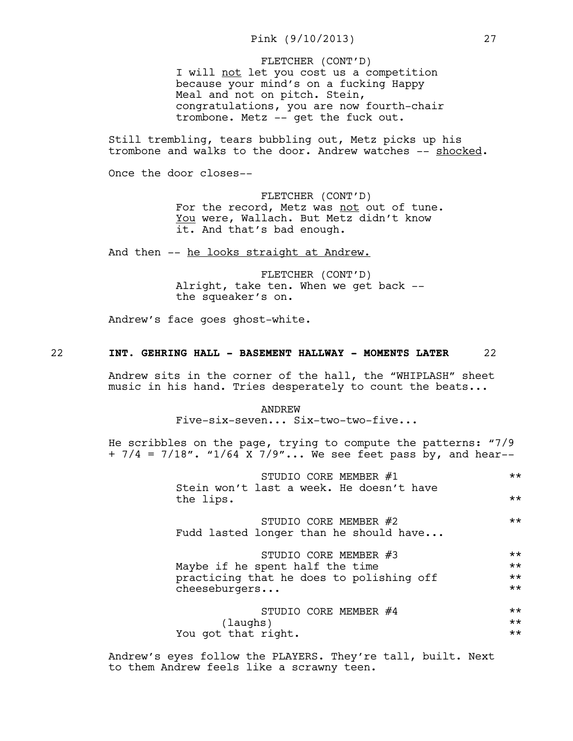I will not let you cost us a competition because your mind's on a fucking Happy Meal and not on pitch. Stein, congratulations, you are now fourth-chair trombone. Metz -- get the fuck out. FLETCHER (CONT'D)

Still trembling, tears bubbling out, Metz picks up his trombone and walks to the door. Andrew watches -- shocked.

Once the door closes--

FLETCHER (CONT'D) For the record, Metz was not out of tune. You were, Wallach. But Metz didn't know it. And that's bad enough.

And then -- he looks straight at Andrew.

FLETCHER (CONT'D) Alright, take ten. When we get back - the squeaker's on.

Andrew's face goes ghost-white.

## 22 **INT. GEHRING HALL - BASEMENT HALLWAY - MOMENTS LATER** 22

Andrew sits in the corner of the hall, the "WHIPLASH" sheet music in his hand. Tries desperately to count the beats...

#### ANDREW

Five-six-seven... Six-two-two-five...

He scribbles on the page, trying to compute the patterns: "7/9  $+ 7/4 = 7/18$ ". "1/64 X 7/9"... We see feet pass by, and hear--

| STUDIO CORE MEMBER #1<br>Stein won't last a week. He doesn't have | $***$ |
|-------------------------------------------------------------------|-------|
| the lips.                                                         | $***$ |
| STUDIO CORE MEMBER #2<br>Fudd lasted longer than he should have   | $***$ |
| STUDIO CORE MEMBER #3                                             | $***$ |
| Maybe if he spent half the time                                   |       |
| practicing that he does to polishing off                          |       |
| cheeseburgers                                                     | $***$ |
| STUDIO CORE MEMBER #4                                             | $***$ |
| (laughs)                                                          | $***$ |
| You got that right.                                               |       |

Andrew's eyes follow the PLAYERS. They're tall, built. Next to them Andrew feels like a scrawny teen.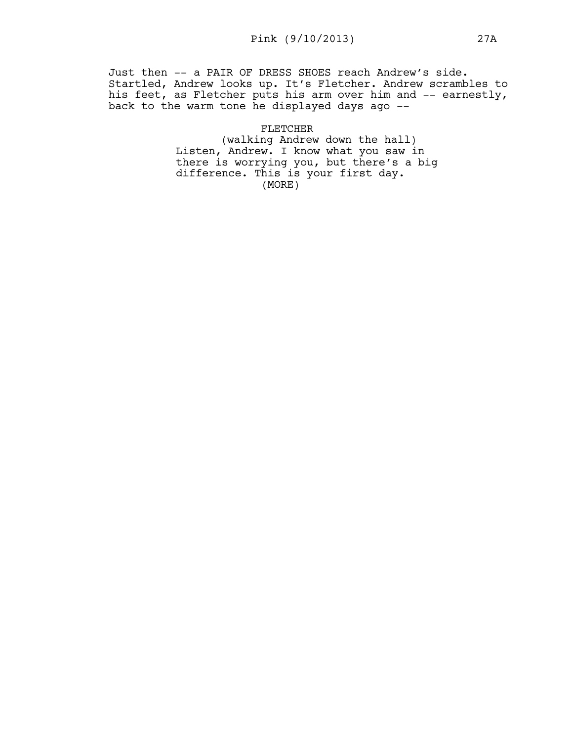Just then -- a PAIR OF DRESS SHOES reach Andrew's side. Startled, Andrew looks up. It's Fletcher. Andrew scrambles to his feet, as Fletcher puts his arm over him and -- earnestly, back to the warm tone he displayed days ago --

> FLETCHER (walking Andrew down the hall) Listen, Andrew. I know what you saw in there is worrying you, but there's a big difference. This is your first day. (MORE)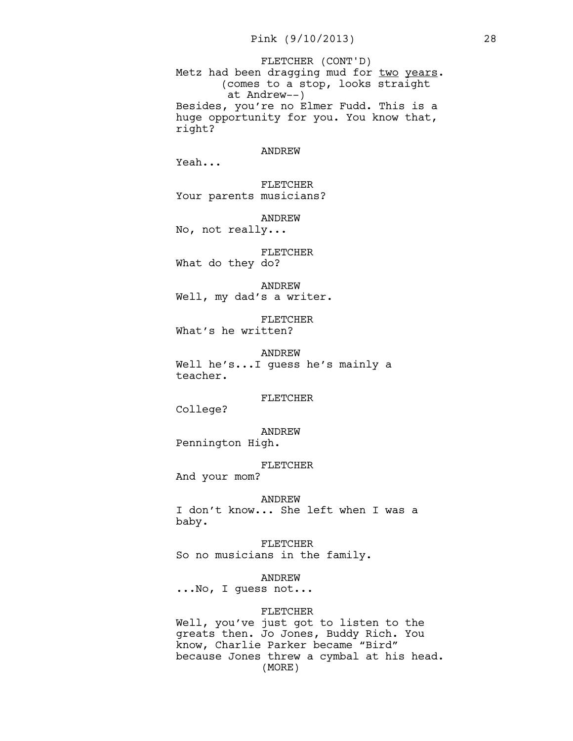Metz had been dragging mud for two years. (comes to a stop, looks straight at Andrew--) Besides, you're no Elmer Fudd. This is a huge opportunity for you. You know that, right? FLETCHER (CONT'D)

#### ANDREW

Yeah...

FLETCHER Your parents musicians?

ANDREW

No, not really...

# FLETCHER

What do they do?

ANDREW

Well, my dad's a writer.

FLETCHER What's he written?

ANDREW Well he's...I guess he's mainly a teacher.

#### FLETCHER

College?

ANDREW Pennington High.

FLETCHER

And your mom?

## ANDREW

I don't know... She left when I was a baby.

FLETCHER So no musicians in the family.

ANDREW

...No, I guess not...

#### FLETCHER

Well, you've just got to listen to the greats then. Jo Jones, Buddy Rich. You know, Charlie Parker became "Bird" because Jones threw a cymbal at his head. (MORE)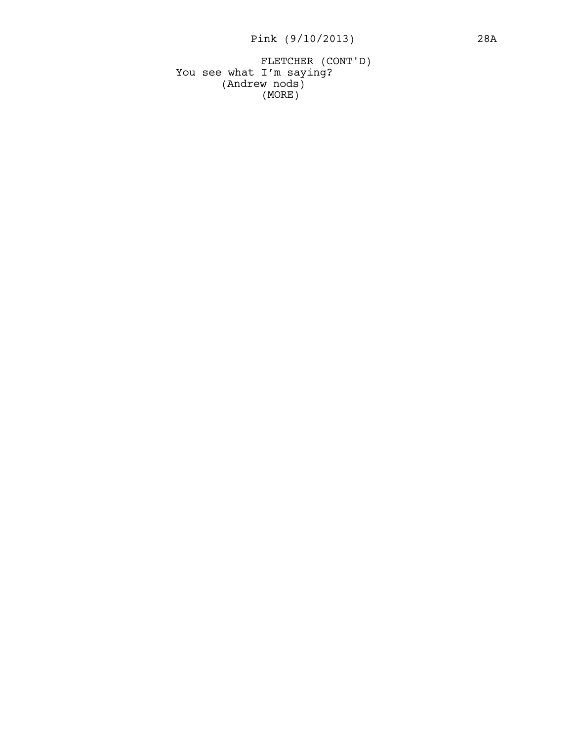You see what I'm saying? (Andrew nods) FLETCHER (CONT'D) (MORE)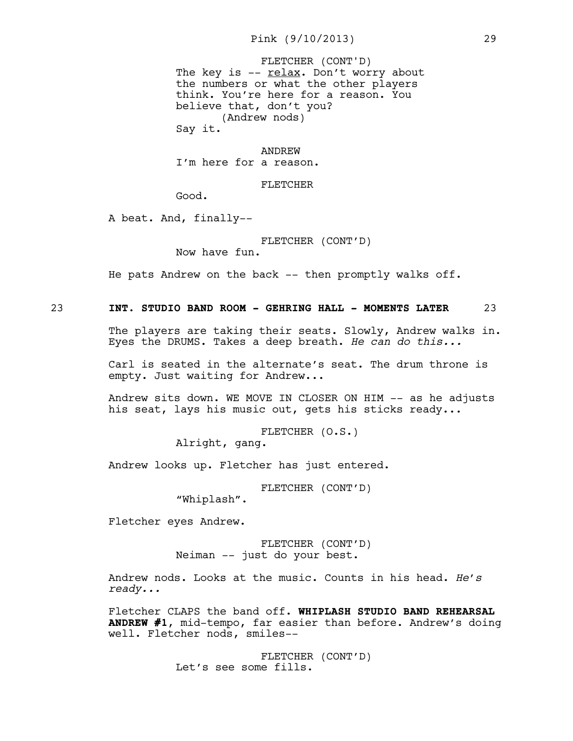# Pink (9/10/2013) 29

The key is  $- relax$ . Don't worry about</u> the numbers or what the other players think. You're here for a reason. You believe that, don't you? (Andrew nods) Say it. FLETCHER (CONT'D)

## ANDREW

I'm here for a reason.

## FLETCHER

Good.

A beat. And, finally--

FLETCHER (CONT'D)

Now have fun.

He pats Andrew on the back  $-$  then promptly walks off.

23 **INT. STUDIO BAND ROOM - GEHRING HALL - MOMENTS LATER** 23

The players are taking their seats. Slowly, Andrew walks in. Eyes the DRUMS. Takes a deep breath. *He can do this...*

Carl is seated in the alternate's seat. The drum throne is empty. Just waiting for Andrew...

Andrew sits down. WE MOVE IN CLOSER ON HIM -- as he adjusts his seat, lays his music out, gets his sticks ready...

> FLETCHER (O.S.) Alright, gang.

Andrew looks up. Fletcher has just entered.

FLETCHER (CONT'D)

"Whiplash".

Fletcher eyes Andrew.

FLETCHER (CONT'D) Neiman -- just do your best.

Andrew nods. Looks at the music. Counts in his head. *He's ready...*

Fletcher CLAPS the band off. **WHIPLASH STUDIO BAND REHEARSAL ANDREW #1**, mid-tempo, far easier than before. Andrew's doing well. Fletcher nods, smiles--

> FLETCHER (CONT'D) Let's see some fills.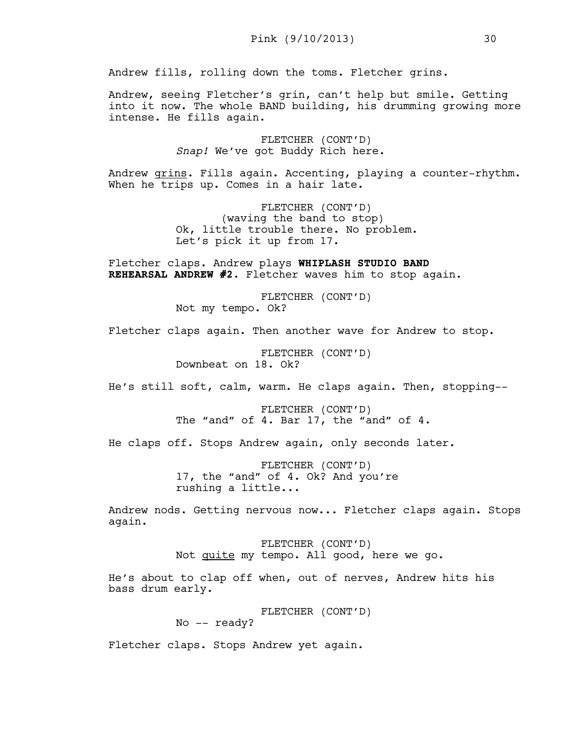Andrew fills, rolling down the toms. Fletcher grins.

Andrew, seeing Fletcher's grin, can't help but smile. Getting into it now. The whole BAND building, his drumming growing more intense. He fills again.

> FLETCHER (CONT'D) *Snap!* We've got Buddy Rich here.

Andrew grins. Fills again. Accenting, playing a counter-rhythm. When he trips up. Comes in a hair late.

> FLETCHER (CONT'D) (waving the band to stop) Ok, little trouble there. No problem. Let's pick it up from 17.

Fletcher claps. Andrew plays **WHIPLASH STUDIO BAND REHEARSAL ANDREW #2**. Fletcher waves him to stop again.

> FLETCHER (CONT'D) Not my tempo. Ok?

Fletcher claps again. Then another wave for Andrew to stop.

FLETCHER (CONT'D) Downbeat on 18. Ok?

He's still soft, calm, warm. He claps again. Then, stopping--

FLETCHER (CONT'D) The "and" of 4. Bar 17, the "and" of 4.

He claps off. Stops Andrew again, only seconds later.

FLETCHER (CONT'D) 17, the "and" of 4. Ok? And you're rushing a little...

Andrew nods. Getting nervous now... Fletcher claps again. Stops again.

> FLETCHER (CONT'D) Not quite my tempo. All good, here we go.

He's about to clap off when, out of nerves, Andrew hits his bass drum early.

FLETCHER (CONT'D)

No -- ready?

Fletcher claps. Stops Andrew yet again.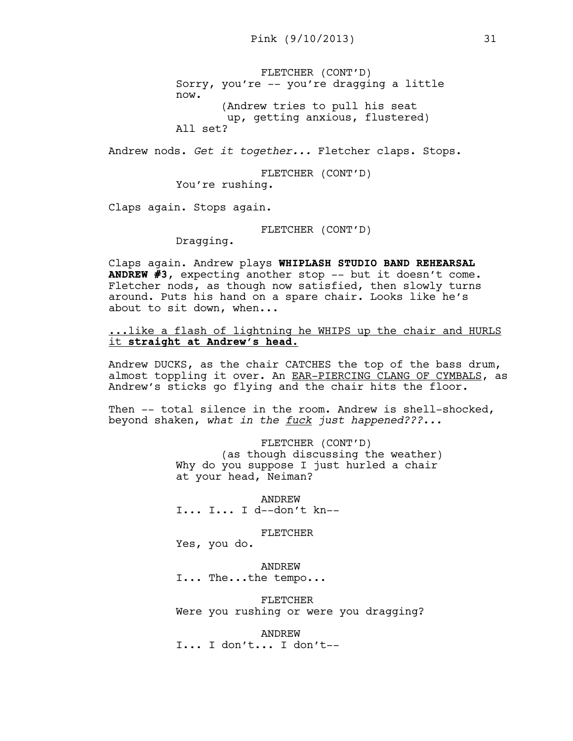FLETCHER (CONT'D) Sorry, you're -- you're dragging a little now. (Andrew tries to pull his seat up, getting anxious, flustered) All set?

Andrew nods. *Get it together...* Fletcher claps. Stops.

FLETCHER (CONT'D) You're rushing.

Claps again. Stops again.

FLETCHER (CONT'D)

Dragging.

Claps again. Andrew plays **WHIPLASH STUDIO BAND REHEARSAL ANDREW #3**, expecting another stop -- but it doesn't come. Fletcher nods, as though now satisfied, then slowly turns around. Puts his hand on a spare chair. Looks like he's about to sit down, when...

... like a flash of lightning he WHIPS up the chair and HURLS it **straight at Andrew's head.**

Andrew DUCKS, as the chair CATCHES the top of the bass drum, almost toppling it over. An EAR-PIERCING CLANG OF CYMBALS, as Andrew's sticks go flying and the chair hits the floor.

Then -- total silence in the room. Andrew is shell-shocked, beyond shaken, *what in the fuck just happened???...*

> FLETCHER (CONT'D) (as though discussing the weather) Why do you suppose I just hurled a chair at your head, Neiman?

ANDREW I... I... I d--don't kn--

#### FLETCHER

Yes, you do.

ANDREW I... The...the tempo...

FLETCHER Were you rushing or were you dragging?

ANDREW I... I don't... I don't--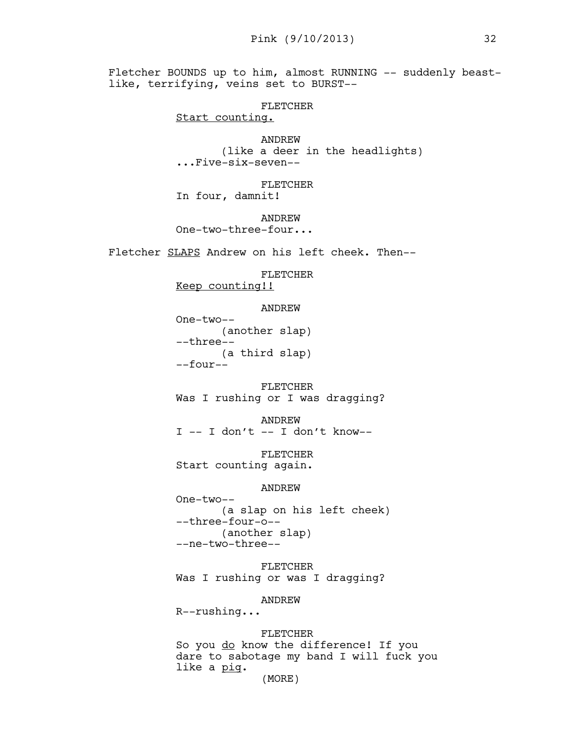Fletcher BOUNDS up to him, almost RUNNING -- suddenly beastlike, terrifying, veins set to BURST--

```
FLETCHER
```
Start counting.

ANDREW (like a deer in the headlights) ...Five-six-seven--

FLETCHER In four, damnit!

ANDREW One-two-three-four...

Fletcher SLAPS Andrew on his left cheek. Then--

FLETCHER

Keep counting!!

ANDREW

One-two-- (another slap) --three-- (a third slap) --four--

FLETCHER Was I rushing or I was dragging?

ANDREW  $I$  -- I don't -- I don't know--

FLETCHER Start counting again.

## ANDREW

One-two-- (a slap on his left cheek) --three-four-o-- (another slap) --ne-two-three--

FLETCHER Was I rushing or was I dragging?

ANDREW

R--rushing...

FLETCHER

So you do know the difference! If you dare to sabotage my band I will fuck you like a <u>pig</u>.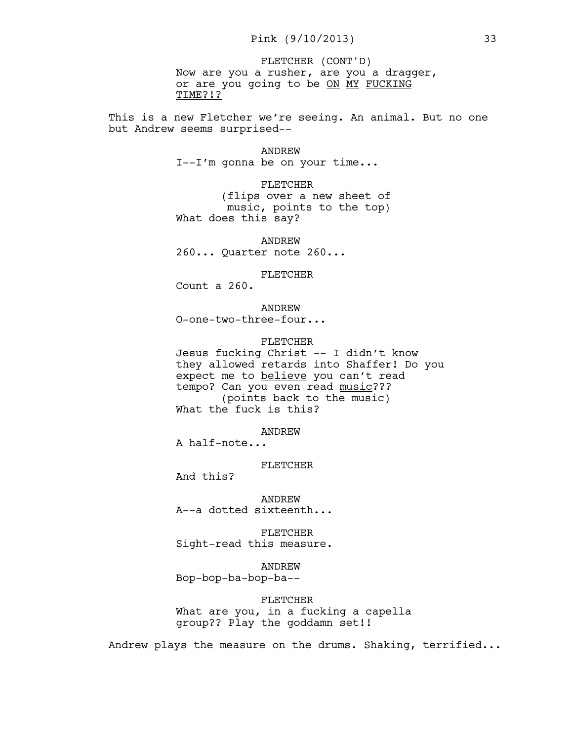Now are you a rusher, are you a dragger, or are you going to be ON MY FUCKING TIME?!? FLETCHER (CONT'D)

This is a new Fletcher we're seeing. An animal. But no one but Andrew seems surprised--

#### ANDREW

I--I'm gonna be on your time...

FLETCHER

(flips over a new sheet of music, points to the top) What does this say?

ANDREW 260... Quarter note 260...

FLETCHER

Count a 260.

ANDREW O-one-two-three-four...

#### FLETCHER

Jesus fucking Christ -- I didn't know they allowed retards into Shaffer! Do you expect me to believe you can't read tempo? Can you even read music??? (points back to the music) What the fuck is this?

ANDREW

A half-note...

FLETCHER

And this?

ANDREW A--a dotted sixteenth...

FLETCHER Sight-read this measure.

ANDREW Bop-bop-ba-bop-ba--

FLETCHER What are you, in a fucking a capella group?? Play the goddamn set!!

Andrew plays the measure on the drums. Shaking, terrified...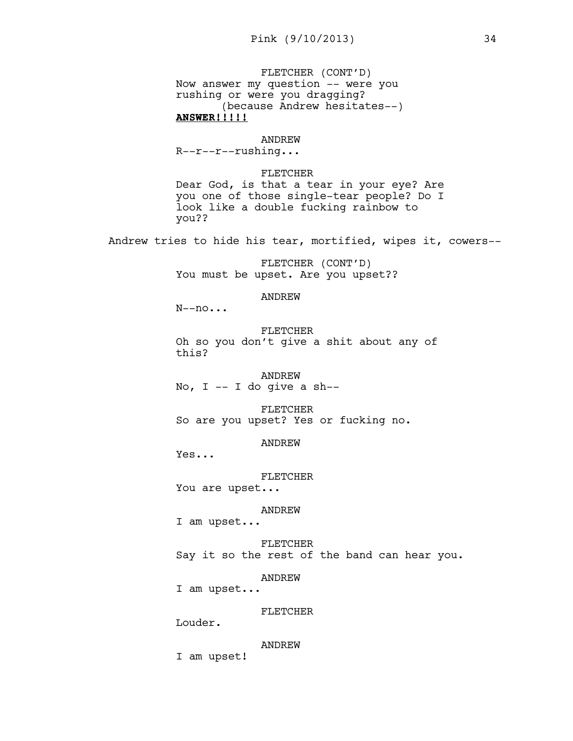FLETCHER (CONT'D) Now answer my question -- were you rushing or were you dragging? (because Andrew hesitates--) **ANSWER!!!!!**

#### ANDREW

R--r--r--rushing...

FLETCHER

Dear God, is that a tear in your eye? Are you one of those single-tear people? Do I look like a double fucking rainbow to you??

Andrew tries to hide his tear, mortified, wipes it, cowers--

FLETCHER (CONT'D) You must be upset. Are you upset??

## ANDREW

 $N$ --no...

FLETCHER Oh so you don't give a shit about any of this?

#### ANDREW

No,  $I - I$  do give a sh--

#### FLETCHER

So are you upset? Yes or fucking no.

## ANDREW

Yes...

#### FLETCHER

You are upset...

#### ANDREW

I am upset...

FLETCHER Say it so the rest of the band can hear you.

## ANDREW

I am upset...

### FLETCHER

Louder.

#### ANDREW

I am upset!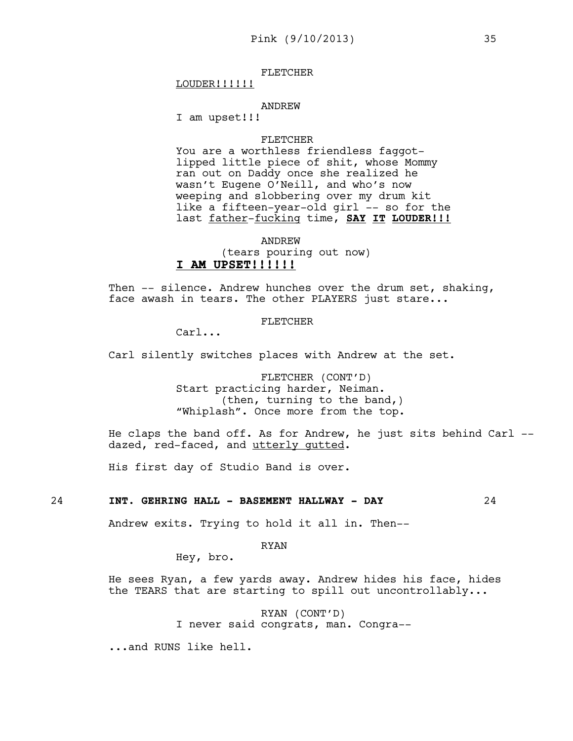## FLETCHER

LOUDER!!!!!!

#### ANDREW

I am upset!!!

#### FLETCHER

You are a worthless friendless faggotlipped little piece of shit, whose Mommy ran out on Daddy once she realized he wasn't Eugene O'Neill, and who's now weeping and slobbering over my drum kit like a fifteen-year-old girl -- so for the last father-fucking time, **SAY IT LOUDER!!!**

ANDREW (tears pouring out now) **I AM UPSET!!!!!!**

Then -- silence. Andrew hunches over the drum set, shaking, face awash in tears. The other PLAYERS just stare...

### FLETCHER

Carl...

Carl silently switches places with Andrew at the set.

FLETCHER (CONT'D) Start practicing harder, Neiman. (then, turning to the band,) "Whiplash". Once more from the top.

He claps the band off. As for Andrew, he just sits behind Carl - dazed, red-faced, and utterly gutted.

His first day of Studio Band is over.

## 24 **INT. GEHRING HALL - BASEMENT HALLWAY - DAY** 24

Andrew exits. Trying to hold it all in. Then--

RYAN

Hey, bro.

He sees Ryan, a few yards away. Andrew hides his face, hides the TEARS that are starting to spill out uncontrollably...

> RYAN (CONT'D) I never said congrats, man. Congra--

...and RUNS like hell.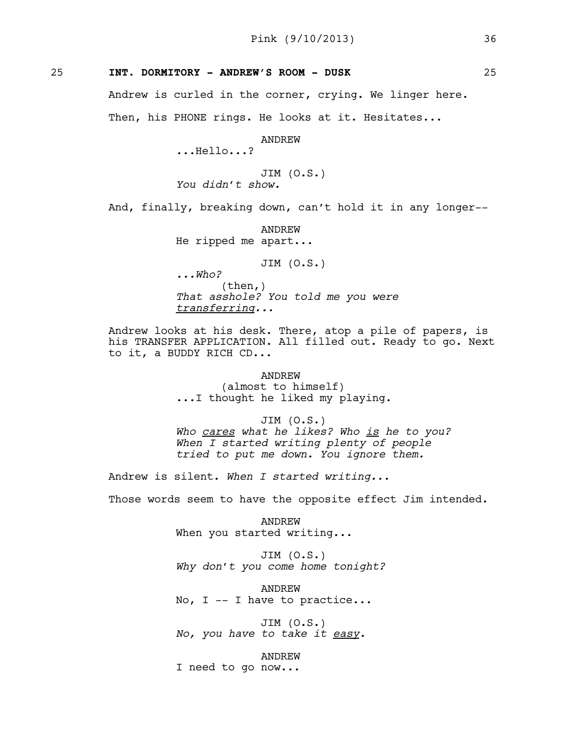# 25 **INT. DORMITORY - ANDREW'S ROOM - DUSK** 25

Andrew is curled in the corner, crying. We linger here. Then, his PHONE rings. He looks at it. Hesitates...

ANDREW

...Hello...?

JIM (O.S.) *You didn't show.* 

And, finally, breaking down, can't hold it in any longer--

ANDREW He ripped me apart...

JIM (O.S.)

*...Who?* (then,) *That asshole? You told me you were transferring...* 

Andrew looks at his desk. There, atop a pile of papers, is his TRANSFER APPLICATION. All filled out. Ready to go. Next to it, a BUDDY RICH CD...

> ANDREW (almost to himself) ...I thought he liked my playing.

JIM (O.S.) *Who cares what he likes? Who is he to you? When I started writing plenty of people tried to put me down. You ignore them.* 

Andrew is silent. *When I started writing...* 

Those words seem to have the opposite effect Jim intended.

ANDREW When you started writing...

JIM (O.S.) *Why don't you come home tonight?* 

ANDREW No, I -- I have to practice...

JIM (O.S.) *No, you have to take it easy.* 

ANDREW

I need to go now...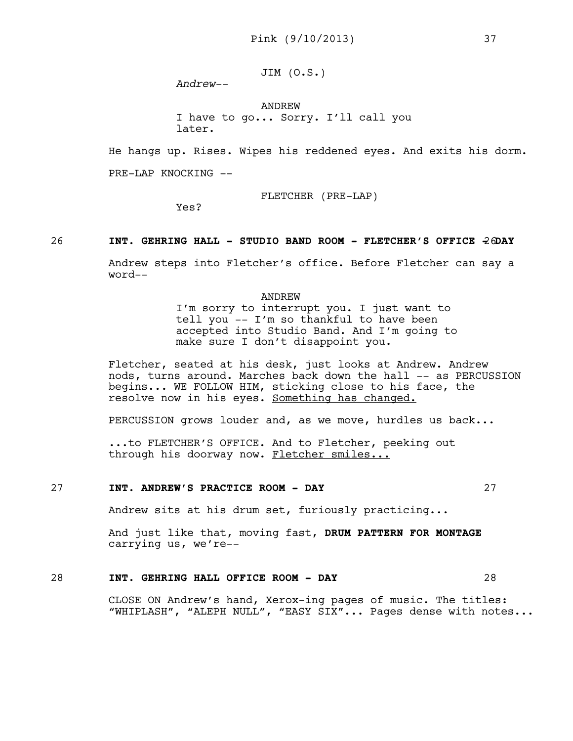JIM (O.S.)

*Andrew--*

ANDREW I have to go... Sorry. I'll call you later.

He hangs up. Rises. Wipes his reddened eyes. And exits his dorm.

PRE-LAP KNOCKING --

Yes?

FLETCHER (PRE-LAP)

26 **INT. GEHRING HALL - STUDIO BAND ROOM - FLETCHER'S OFFICE 26DAY** 

Andrew steps into Fletcher's office. Before Fletcher can say a word--

> ANDREW I'm sorry to interrupt you. I just want to tell you -- I'm so thankful to have been accepted into Studio Band. And I'm going to make sure I don't disappoint you.

Fletcher, seated at his desk, just looks at Andrew. Andrew nods, turns around. Marches back down the hall -- as PERCUSSION begins... WE FOLLOW HIM, sticking close to his face, the resolve now in his eyes. Something has changed.

PERCUSSION grows louder and, as we move, hurdles us back...

...to FLETCHER'S OFFICE. And to Fletcher, peeking out through his doorway now. Fletcher smiles...

## 27 **INT. ANDREW'S PRACTICE ROOM - DAY** 27

Andrew sits at his drum set, furiously practicing...

And just like that, moving fast, **DRUM PATTERN FOR MONTAGE**  carrying us, we're--

# 28 **INT. GEHRING HALL OFFICE ROOM - DAY** 28

CLOSE ON Andrew's hand, Xerox-ing pages of music. The titles: "WHIPLASH", "ALEPH NULL", "EASY SIX"... Pages dense with notes...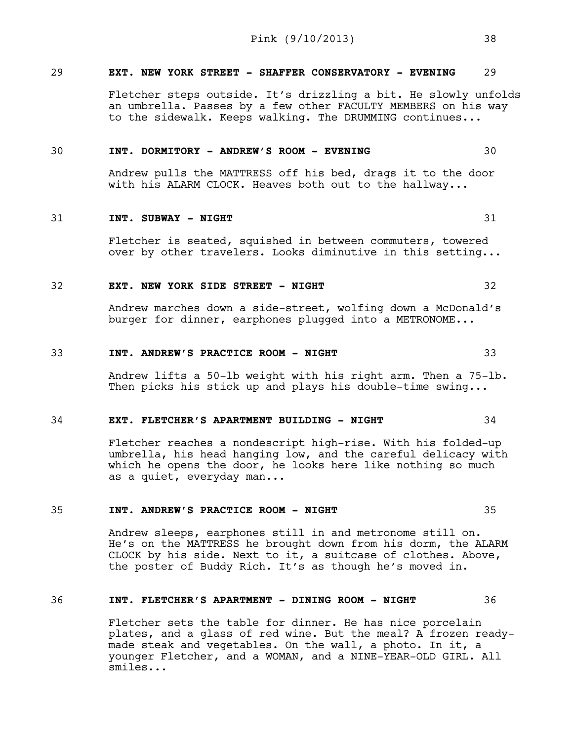# 29 **EXT. NEW YORK STREET - SHAFFER CONSERVATORY - EVENING** 29

Fletcher steps outside. It's drizzling a bit. He slowly unfolds an umbrella. Passes by a few other FACULTY MEMBERS on his way to the sidewalk. Keeps walking. The DRUMMING continues...

#### 30 **INT. DORMITORY - ANDREW'S ROOM - EVENING** 30

Andrew pulls the MATTRESS off his bed, drags it to the door with his ALARM CLOCK. Heaves both out to the hallway...

#### 31 **INT. SUBWAY - NIGHT** 31

Fletcher is seated, squished in between commuters, towered over by other travelers. Looks diminutive in this setting...

## 32 **EXT. NEW YORK SIDE STREET - NIGHT** 32

Andrew marches down a side-street, wolfing down a McDonald's burger for dinner, earphones plugged into a METRONOME...

#### 33 **INT. ANDREW'S PRACTICE ROOM - NIGHT** 33

Andrew lifts a 50-lb weight with his right arm. Then a 75-lb. Then picks his stick up and plays his double-time swing...

#### 34 **EXT. FLETCHER'S APARTMENT BUILDING - NIGHT** 34

Fletcher reaches a nondescript high-rise. With his folded-up umbrella, his head hanging low, and the careful delicacy with which he opens the door, he looks here like nothing so much as a quiet, everyday man...

## 35 **INT. ANDREW'S PRACTICE ROOM - NIGHT** 35

Andrew sleeps, earphones still in and metronome still on. He's on the MATTRESS he brought down from his dorm, the ALARM CLOCK by his side. Next to it, a suitcase of clothes. Above, the poster of Buddy Rich. It's as though he's moved in.

## 36 **INT. FLETCHER'S APARTMENT - DINING ROOM - NIGHT** 36

Fletcher sets the table for dinner. He has nice porcelain plates, and a glass of red wine. But the meal? A frozen readymade steak and vegetables. On the wall, a photo. In it, a younger Fletcher, and a WOMAN, and a NINE-YEAR-OLD GIRL. All smiles...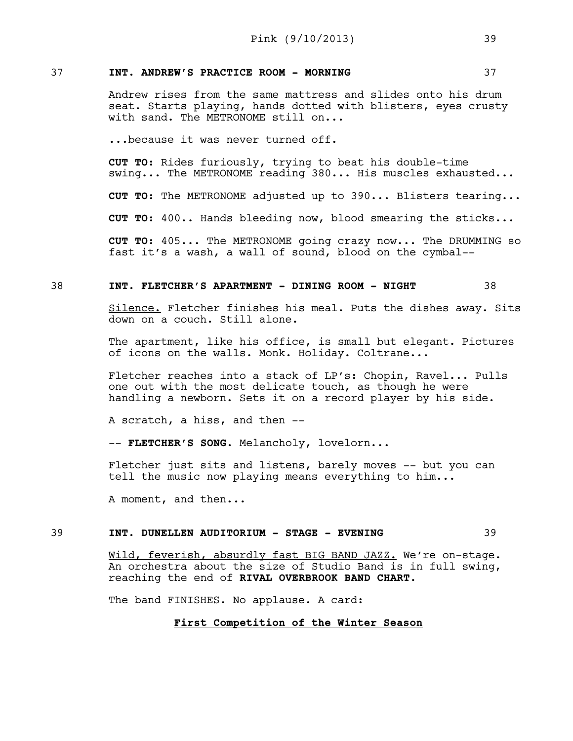# 37 **INT. ANDREW'S PRACTICE ROOM - MORNING** 37

Andrew rises from the same mattress and slides onto his drum seat. Starts playing, hands dotted with blisters, eyes crusty with sand. The METRONOME still on...

...because it was never turned off.

**CUT TO:** Rides furiously, trying to beat his double-time swing... The METRONOME reading 380... His muscles exhausted...

**CUT TO:** The METRONOME adjusted up to 390... Blisters tearing...

**CUT TO:** 400.. Hands bleeding now, blood smearing the sticks...

**CUT TO:** 405... The METRONOME going crazy now... The DRUMMING so fast it's a wash, a wall of sound, blood on the cymbal--

## 38 **INT. FLETCHER'S APARTMENT - DINING ROOM - NIGHT** 38

Silence. Fletcher finishes his meal. Puts the dishes away. Sits down on a couch. Still alone.

The apartment, like his office, is small but elegant. Pictures of icons on the walls. Monk. Holiday. Coltrane...

Fletcher reaches into a stack of LP's: Chopin, Ravel... Pulls one out with the most delicate touch, as though he were handling a newborn. Sets it on a record player by his side.

A scratch, a hiss, and then --

-- **FLETCHER'S SONG**. Melancholy, lovelorn...

Fletcher just sits and listens, barely moves -- but you can tell the music now playing means everything to him...

A moment, and then...

## 39 **INT. DUNELLEN AUDITORIUM - STAGE - EVENING** 39

Wild, feverish, absurdly fast BIG BAND JAZZ. We're on-stage. An orchestra about the size of Studio Band is in full swing, reaching the end of **RIVAL OVERBROOK BAND CHART**.

The band FINISHES. No applause. A card:

## **First Competition of the Winter Season**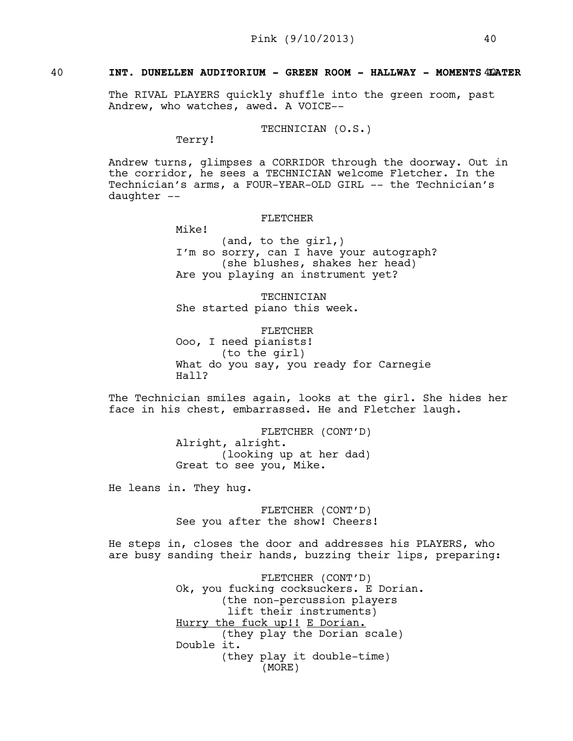# 40 **INT. DUNELLEN AUDITORIUM - GREEN ROOM - HALLWAY - MOMENTS LATER** 40

The RIVAL PLAYERS quickly shuffle into the green room, past Andrew, who watches, awed. A VOICE--

TECHNICIAN (O.S.)

Terry!

Andrew turns, glimpses a CORRIDOR through the doorway. Out in the corridor, he sees a TECHNICIAN welcome Fletcher. In the Technician's arms, a FOUR-YEAR-OLD GIRL -- the Technician's daughter --

## FLETCHER

Mike!

(and, to the girl,) I'm so sorry, can I have your autograph? (she blushes, shakes her head) Are you playing an instrument yet?

**TECHNICIAN** She started piano this week.

FLETCHER Ooo, I need pianists! (to the girl) What do you say, you ready for Carnegie Hall?

The Technician smiles again, looks at the girl. She hides her face in his chest, embarrassed. He and Fletcher laugh.

> FLETCHER (CONT'D) Alright, alright. (looking up at her dad) Great to see you, Mike.

He leans in. They hug.

FLETCHER (CONT'D) See you after the show! Cheers!

He steps in, closes the door and addresses his PLAYERS, who are busy sanding their hands, buzzing their lips, preparing:

> FLETCHER (CONT'D) Ok, you fucking cocksuckers. E Dorian. (the non-percussion players lift their instruments) Hurry the fuck up!! E Dorian. (they play the Dorian scale) Double it. (they play it double-time) (MORE)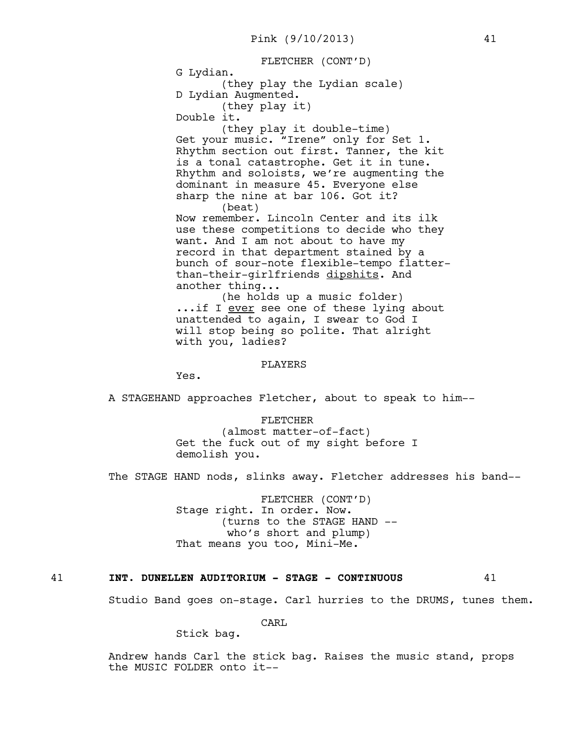FLETCHER (CONT'D)

G Lydian.

(they play the Lydian scale) D Lydian Augmented.

(they play it)

Double it.

(they play it double-time) Get your music. "Irene" only for Set 1. Rhythm section out first. Tanner, the kit is a tonal catastrophe. Get it in tune. Rhythm and soloists, we're augmenting the dominant in measure 45. Everyone else sharp the nine at bar 106. Got it? (beat)

Now remember. Lincoln Center and its ilk use these competitions to decide who they want. And I am not about to have my record in that department stained by a bunch of sour-note flexible-tempo flatterthan-their-girlfriends dipshits. And another thing...

(he holds up a music folder) ...if I ever see one of these lying about unattended to again, I swear to God I will stop being so polite. That alright with you, ladies?

#### PLAYERS

Yes.

A STAGEHAND approaches Fletcher, about to speak to him--

FLETCHER (almost matter-of-fact) Get the fuck out of my sight before I demolish you.

The STAGE HAND nods, slinks away. Fletcher addresses his band--

FLETCHER (CONT'D) Stage right. In order. Now. (turns to the STAGE HAND - who's short and plump) That means you too, Mini-Me.

## 41 **INT. DUNELLEN AUDITORIUM - STAGE - CONTINUOUS** 41

Studio Band goes on-stage. Carl hurries to the DRUMS, tunes them.

CARL

Stick bag.

Andrew hands Carl the stick bag. Raises the music stand, props the MUSIC FOLDER onto it--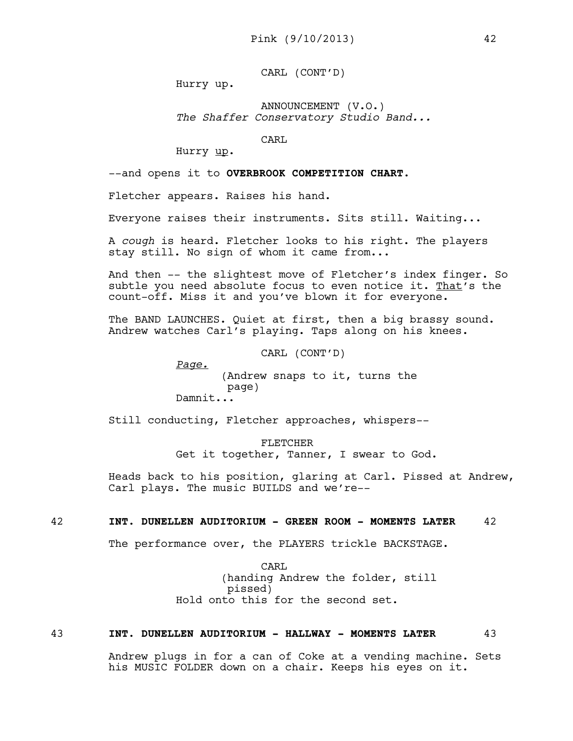CARL (CONT'D)

Hurry up.

ANNOUNCEMENT (V.O.) *The Shaffer Conservatory Studio Band...*

CARL

Hurry up.

--and opens it to **OVERBROOK COMPETITION CHART**.

Fletcher appears. Raises his hand.

Everyone raises their instruments. Sits still. Waiting...

A *cough* is heard. Fletcher looks to his right. The players stay still. No sign of whom it came from...

And then -- the slightest move of Fletcher's index finger. So subtle you need absolute focus to even notice it. That's the count-off. Miss it and you've blown it for everyone.

The BAND LAUNCHES. Quiet at first, then a big brassy sound. Andrew watches Carl's playing. Taps along on his knees.

CARL (CONT'D)

*Page.* (Andrew snaps to it, turns the page) Damnit...

Still conducting, Fletcher approaches, whispers--

FLETCHER Get it together, Tanner, I swear to God.

Heads back to his position, glaring at Carl. Pissed at Andrew, Carl plays. The music BUILDS and we're--

#### 42 **INT. DUNELLEN AUDITORIUM - GREEN ROOM - MOMENTS LATER** 42

The performance over, the PLAYERS trickle BACKSTAGE.

CARL (handing Andrew the folder, still pissed) Hold onto this for the second set.

#### 43 **INT. DUNELLEN AUDITORIUM - HALLWAY - MOMENTS LATER** 43

Andrew plugs in for a can of Coke at a vending machine. Sets his MUSIC FOLDER down on a chair. Keeps his eyes on it.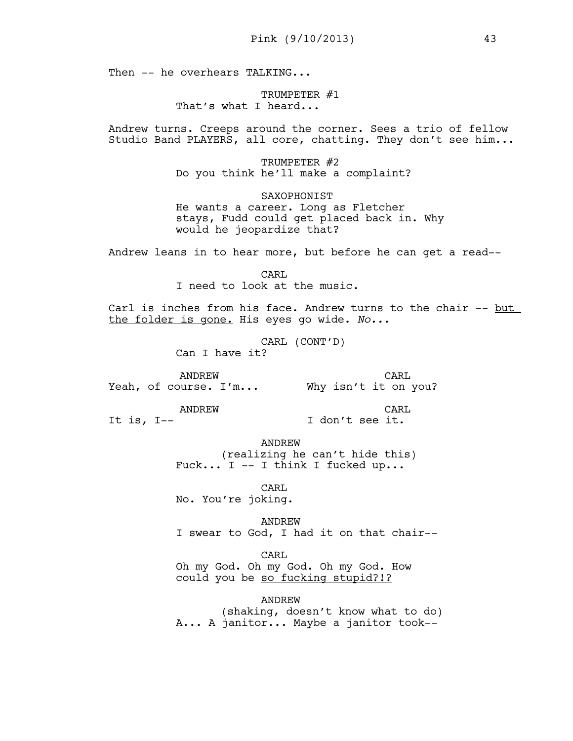Then -- he overhears TALKING...

TRUMPETER #1 That's what I heard...

Andrew turns. Creeps around the corner. Sees a trio of fellow Studio Band PLAYERS, all core, chatting. They don't see him...

> TRUMPETER #2 Do you think he'll make a complaint?

SAXOPHONIST He wants a career. Long as Fletcher stays, Fudd could get placed back in. Why would he jeopardize that?

Andrew leans in to hear more, but before he can get a read--

CARL I need to look at the music.

Carl is inches from his face. Andrew turns to the chair -- but the folder is gone. His eyes go wide. *No...* 

> CARL (CONT'D) Can I have it?

ANDREW Yeah, of course. I'm... Why isn't it on you? CARL

ANDREW

CARL I don't see it.

It is, I--

ANDREW

(realizing he can't hide this) Fuck... I  $-$  I think I fucked up...

CARL No. You're joking.

ANDREW I swear to God, I had it on that chair--

CARL

Oh my God. Oh my God. Oh my God. How could you be so fucking stupid?!?

ANDREW

(shaking, doesn't know what to do) A... A janitor... Maybe a janitor took--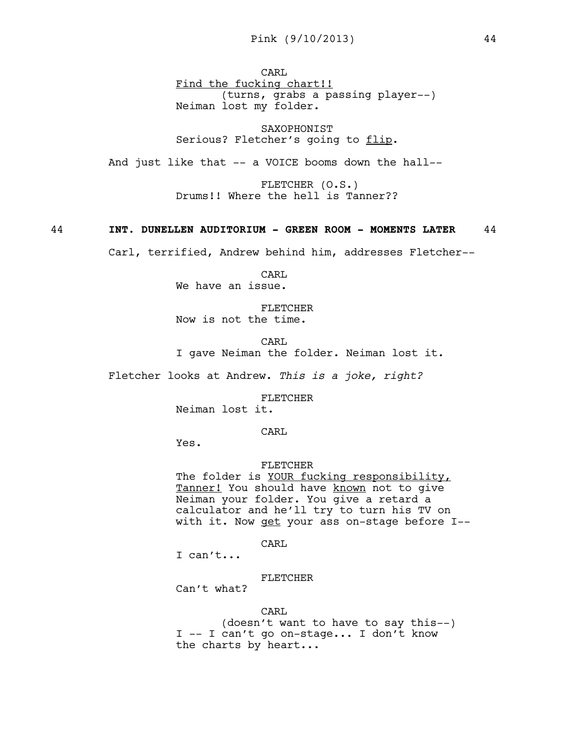CARL Find the fucking chart!! (turns, grabs a passing player--) Neiman lost my folder.

SAXOPHONIST Serious? Fletcher's going to flip.

And just like that -- a VOICE booms down the hall--

FLETCHER (O.S.) Drums!! Where the hell is Tanner??

### 44 **INT. DUNELLEN AUDITORIUM - GREEN ROOM - MOMENTS LATER** 44

Carl, terrified, Andrew behind him, addresses Fletcher--

CARL We have an issue.

FLETCHER Now is not the time.

CARL I gave Neiman the folder. Neiman lost it.

Fletcher looks at Andrew. *This is a joke, right?* 

FLETCHER

Neiman lost it.

CARL

Yes.

#### FLETCHER

The folder is YOUR fucking responsibility, Tanner! You should have known not to give Neiman your folder. You give a retard a calculator and he'll try to turn his TV on with it. Now get your ass on-stage before I--

CARL

I can't...

## FLETCHER

Can't what?

#### CARL

(doesn't want to have to say this--) I -- I can't go on-stage... I don't know the charts by heart...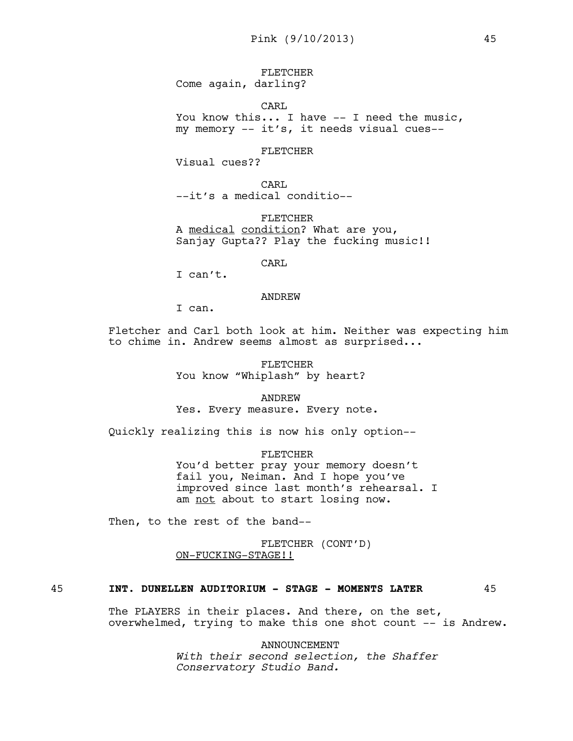FLETCHER

Come again, darling?

CARL

You know this... I have -- I need the music, my memory -- it's, it needs visual cues--

## FLETCHER

Visual cues??

CARL --it's a medical conditio--

FLETCHER A medical condition? What are you, Sanjay Gupta?? Play the fucking music!!

CARL

I can't.

#### ANDREW

I can.

Fletcher and Carl both look at him. Neither was expecting him to chime in. Andrew seems almost as surprised...

> FLETCHER You know "Whiplash" by heart?

> > ANDREW

Yes. Every measure. Every note.

Quickly realizing this is now his only option--

FLETCHER You'd better pray your memory doesn't fail you, Neiman. And I hope you've improved since last month's rehearsal. I am not about to start losing now.

Then, to the rest of the band--

FLETCHER (CONT'D) ON-FUCKING-STAGE!!

# 45 **INT. DUNELLEN AUDITORIUM - STAGE - MOMENTS LATER** 45

The PLAYERS in their places. And there, on the set, overwhelmed, trying to make this one shot count -- is Andrew.

> ANNOUNCEMENT *With their second selection, the Shaffer Conservatory Studio Band.*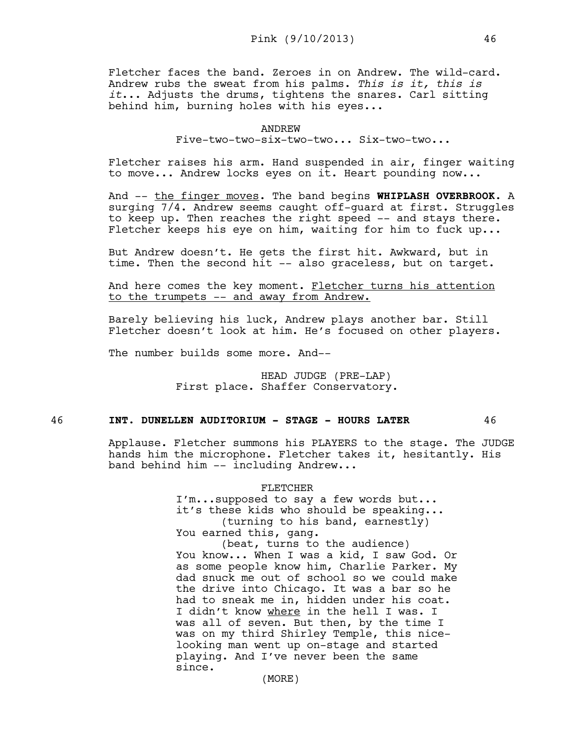Fletcher faces the band. Zeroes in on Andrew. The wild-card. Andrew rubs the sweat from his palms. *This is it, this is it*... Adjusts the drums, tightens the snares. Carl sitting behind him, burning holes with his eyes...

Five-two-two-six-two-two... Six-two-two...

Fletcher raises his arm. Hand suspended in air, finger waiting to move... Andrew locks eyes on it. Heart pounding now...

And -- the finger moves. The band begins **WHIPLASH OVERBROOK**. A surging 7/4. Andrew seems caught off-guard at first. Struggles to keep up. Then reaches the right speed -- and stays there. Fletcher keeps his eye on him, waiting for him to fuck up...

But Andrew doesn't. He gets the first hit. Awkward, but in time. Then the second hit -- also graceless, but on target.

And here comes the key moment. Fletcher turns his attention to the trumpets -- and away from Andrew.

Barely believing his luck, Andrew plays another bar. Still Fletcher doesn't look at him. He's focused on other players.

The number builds some more. And--

HEAD JUDGE (PRE-LAP) First place. Shaffer Conservatory.

#### 46 **INT. DUNELLEN AUDITORIUM - STAGE - HOURS LATER** 46

Applause. Fletcher summons his PLAYERS to the stage. The JUDGE hands him the microphone. Fletcher takes it, hesitantly. His band behind him -- including Andrew...

> FLETCHER I'm...supposed to say a few words but...

it's these kids who should be speaking... (turning to his band, earnestly) You earned this, gang.

(beat, turns to the audience) You know... When I was a kid, I saw God. Or as some people know him, Charlie Parker. My dad snuck me out of school so we could make the drive into Chicago. It was a bar so he had to sneak me in, hidden under his coat. I didn't know where in the hell I was. I was all of seven. But then, by the time I was on my third Shirley Temple, this nicelooking man went up on-stage and started playing. And I've never been the same since.

(MORE)

ANDREW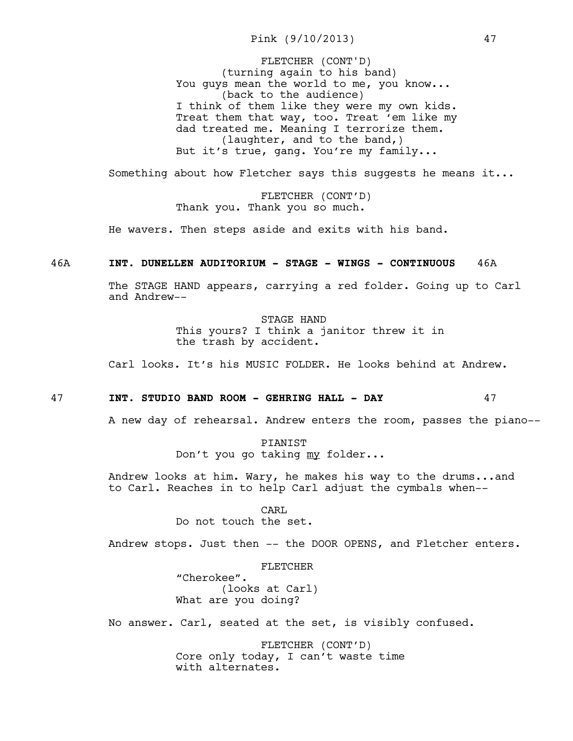Pink (9/10/2013) 47

(turning again to his band) You guys mean the world to me, you know... (back to the audience) I think of them like they were my own kids. Treat them that way, too. Treat 'em like my dad treated me. Meaning I terrorize them. (laughter, and to the band,) But it's true, gang. You're my family... FLETCHER (CONT'D)

Something about how Fletcher says this suggests he means it...

FLETCHER (CONT'D) Thank you. Thank you so much.

He wavers. Then steps aside and exits with his band.

## 46A **INT. DUNELLEN AUDITORIUM - STAGE - WINGS - CONTINUOUS** 46A

The STAGE HAND appears, carrying a red folder. Going up to Carl and Andrew--

> STAGE HAND This yours? I think a janitor threw it in the trash by accident.

Carl looks. It's his MUSIC FOLDER. He looks behind at Andrew.

#### 47 **INT. STUDIO BAND ROOM - GEHRING HALL - DAY** 47

A new day of rehearsal. Andrew enters the room, passes the piano--

PIANIST Don't you go taking my folder...

Andrew looks at him. Wary, he makes his way to the drums...and to Carl. Reaches in to help Carl adjust the cymbals when--

> CARL Do not touch the set.

Andrew stops. Just then -- the DOOR OPENS, and Fletcher enters.

FLETCHER

"Cherokee". (looks at Carl) What are you doing?

No answer. Carl, seated at the set, is visibly confused.

FLETCHER (CONT'D) Core only today, I can't waste time with alternates.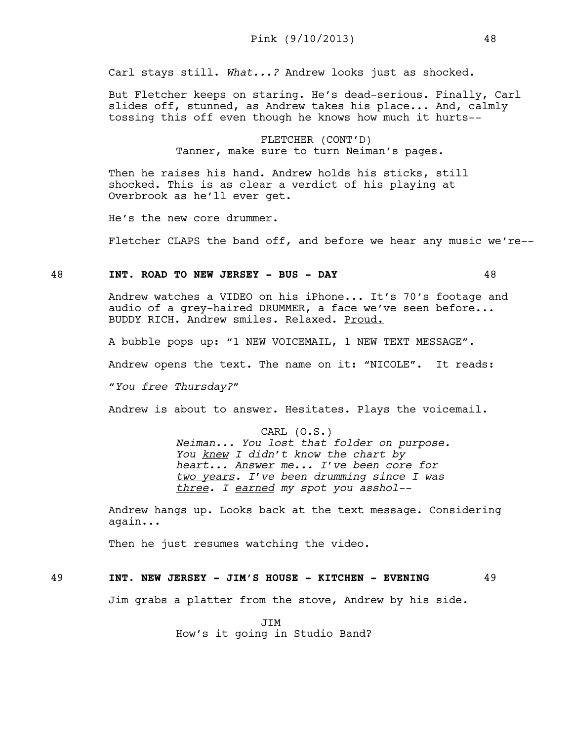Carl stays still. *What...?* Andrew looks just as shocked.

But Fletcher keeps on staring. He's dead-serious. Finally, Carl slides off, stunned, as Andrew takes his place... And, calmly tossing this off even though he knows how much it hurts--

> FLETCHER (CONT'D) Tanner, make sure to turn Neiman's pages.

Then he raises his hand. Andrew holds his sticks, still shocked. This is as clear a verdict of his playing at Overbrook as he'll ever get.

He's the new core drummer.

Fletcher CLAPS the band off, and before we hear any music we're--

#### 48 **INT. ROAD TO NEW JERSEY - BUS - DAY** 48

Andrew watches a VIDEO on his iPhone... It's 70's footage and audio of a grey-haired DRUMMER, a face we've seen before... BUDDY RICH. Andrew smiles. Relaxed. Proud.

A bubble pops up: "1 NEW VOICEMAIL, 1 NEW TEXT MESSAGE".

Andrew opens the text. The name on it: "NICOLE". It reads:

"*You free Thursday?"* 

Andrew is about to answer. Hesitates. Plays the voicemail.

#### CARL (O.S.)

*Neiman... You lost that folder on purpose. You knew I didn't know the chart by heart... Answer me... I've been core for two years. I've been drumming since I was three. I earned my spot you asshol--*

Andrew hangs up. Looks back at the text message. Considering again...

Then he just resumes watching the video.

## 49 **INT. NEW JERSEY - JIM'S HOUSE - KITCHEN - EVENING** 49

Jim grabs a platter from the stove, Andrew by his side.

JIM How's it going in Studio Band?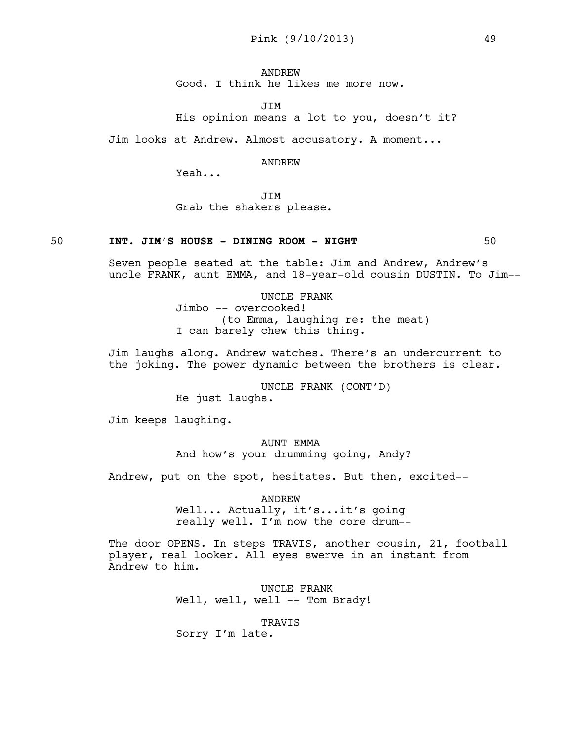ANDREW Good. I think he likes me more now.

**JTM** 

His opinion means a lot to you, doesn't it?

Jim looks at Andrew. Almost accusatory. A moment...

#### ANDREW

Yeah...

JIM Grab the shakers please.

#### 50 **INT. JIM'S HOUSE - DINING ROOM - NIGHT** 50

Seven people seated at the table: Jim and Andrew, Andrew's uncle FRANK, aunt EMMA, and 18-year-old cousin DUSTIN. To Jim--

> UNCLE FRANK Jimbo -- overcooked! (to Emma, laughing re: the meat) I can barely chew this thing.

Jim laughs along. Andrew watches. There's an undercurrent to the joking. The power dynamic between the brothers is clear.

> UNCLE FRANK (CONT'D) He just laughs.

Jim keeps laughing.

AUNT EMMA And how's your drumming going, Andy?

Andrew, put on the spot, hesitates. But then, excited--

ANDREW Well... Actually, it's...it's going really well. I'm now the core drum--

The door OPENS. In steps TRAVIS, another cousin, 21, football player, real looker. All eyes swerve in an instant from Andrew to him.

> UNCLE FRANK Well, well, well -- Tom Brady!

## TRAVIS

Sorry I'm late.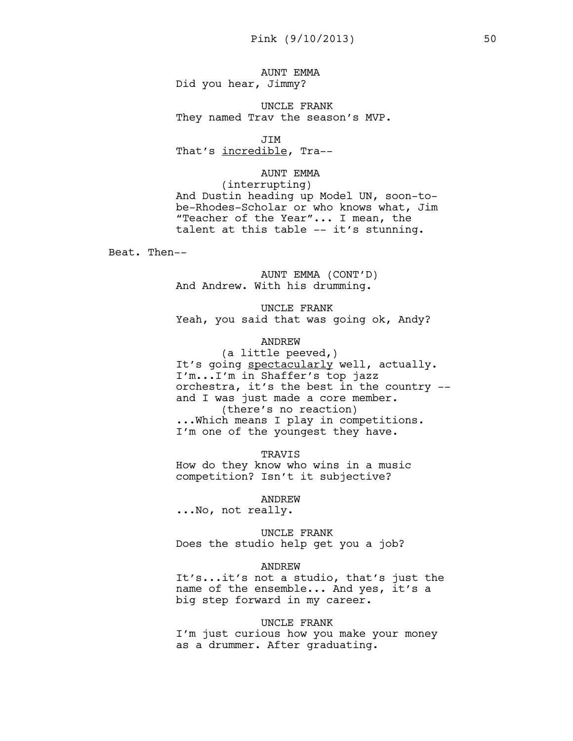AUNT EMMA Did you hear, Jimmy?

UNCLE FRANK They named Trav the season's MVP.

JIM That's incredible, Tra--

#### AUNT EMMA

(interrupting) And Dustin heading up Model UN, soon-tobe-Rhodes-Scholar or who knows what, Jim "Teacher of the Year"... I mean, the talent at this table -- it's stunning.

Beat. Then--

AUNT EMMA (CONT'D) And Andrew. With his drumming.

UNCLE FRANK Yeah, you said that was going ok, Andy?

## ANDREW

(a little peeved,) It's going spectacularly well, actually. I'm...I'm in Shaffer's top jazz orchestra, it's the best in the country - and I was just made a core member. (there's no reaction) ...Which means I play in competitions. I'm one of the youngest they have.

TRAVIS

How do they know who wins in a music competition? Isn't it subjective?

#### ANDREW

...No, not really.

UNCLE FRANK Does the studio help get you a job?

#### ANDREW

It's...it's not a studio, that's just the name of the ensemble... And yes, it's a big step forward in my career.

### UNCLE FRANK

I'm just curious how you make your money as a drummer. After graduating.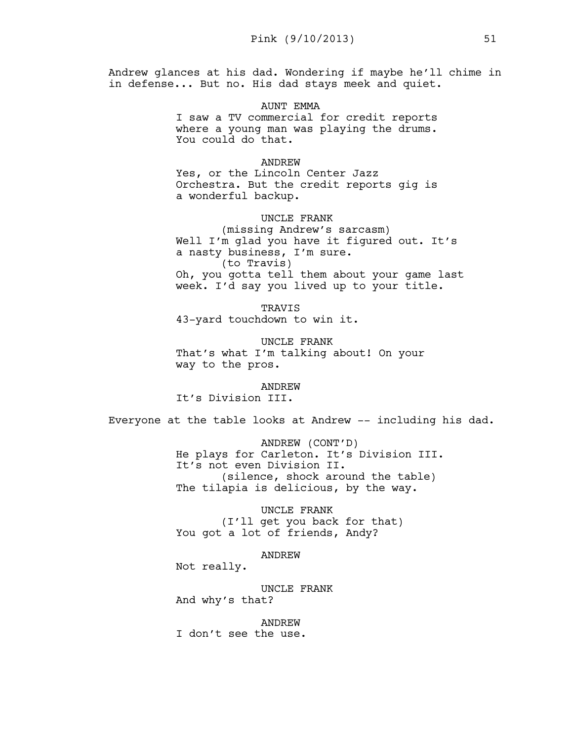Andrew glances at his dad. Wondering if maybe he'll chime in in defense... But no. His dad stays meek and quiet.

## AUNT EMMA

I saw a TV commercial for credit reports where a young man was playing the drums. You could do that.

## ANDREW

Yes, or the Lincoln Center Jazz Orchestra. But the credit reports gig is a wonderful backup.

## UNCLE FRANK

(missing Andrew's sarcasm) Well I'm glad you have it figured out. It's a nasty business, I'm sure. (to Travis) Oh, you gotta tell them about your game last week. I'd say you lived up to your title.

TRAVIS 43-yard touchdown to win it.

UNCLE FRANK That's what I'm talking about! On your way to the pros.

ANDREW It's Division III.

Everyone at the table looks at Andrew -- including his dad.

ANDREW (CONT'D) He plays for Carleton. It's Division III. It's not even Division II. (silence, shock around the table) The tilapia is delicious, by the way.

UNCLE FRANK (I'll get you back for that) You got a lot of friends, Andy?

ANDREW

Not really.

UNCLE FRANK And why's that?

ANDREW

I don't see the use.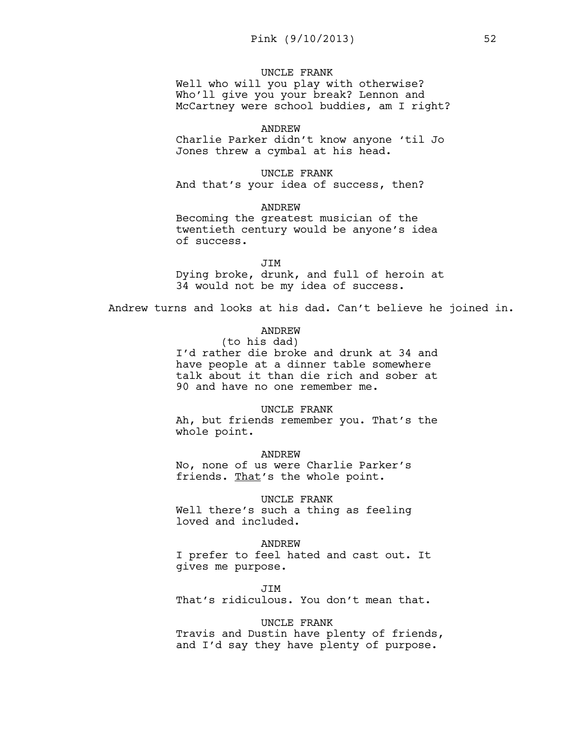## UNCLE FRANK

Well who will you play with otherwise? Who'll give you your break? Lennon and McCartney were school buddies, am I right?

#### ANDREW

Charlie Parker didn't know anyone 'til Jo Jones threw a cymbal at his head.

UNCLE FRANK And that's your idea of success, then?

ANDREW Becoming the greatest musician of the twentieth century would be anyone's idea of success.

JIM Dying broke, drunk, and full of heroin at 34 would not be my idea of success.

Andrew turns and looks at his dad. Can't believe he joined in.

# ANDREW

(to his dad) I'd rather die broke and drunk at 34 and have people at a dinner table somewhere talk about it than die rich and sober at 90 and have no one remember me.

UNCLE FRANK Ah, but friends remember you. That's the whole point.

ANDREW No, none of us were Charlie Parker's friends. That's the whole point.

UNCLE FRANK Well there's such a thing as feeling loved and included.

ANDREW I prefer to feel hated and cast out. It gives me purpose.

JIM That's ridiculous. You don't mean that.

UNCLE FRANK

Travis and Dustin have plenty of friends, and I'd say they have plenty of purpose.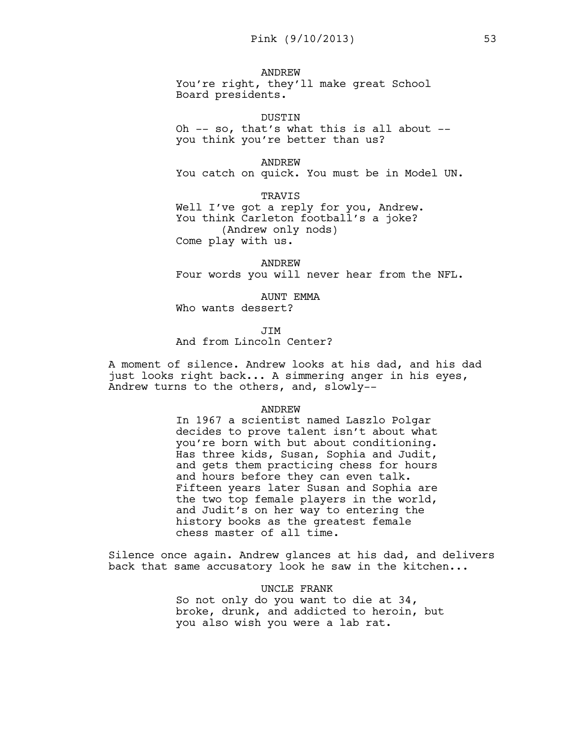#### ANDREW

You're right, they'll make great School Board presidents.

DUSTIN

Oh -- so, that's what this is all about - you think you're better than us?

#### ANDREW

You catch on quick. You must be in Model UN.

TRAVIS Well I've got a reply for you, Andrew. You think Carleton football's a joke? (Andrew only nods) Come play with us.

ANDREW Four words you will never hear from the NFL.

AUNT EMMA Who wants dessert?

JIM And from Lincoln Center?

A moment of silence. Andrew looks at his dad, and his dad just looks right back... A simmering anger in his eyes, Andrew turns to the others, and, slowly--

#### ANDREW

In 1967 a scientist named Laszlo Polgar decides to prove talent isn't about what you're born with but about conditioning. Has three kids, Susan, Sophia and Judit, and gets them practicing chess for hours and hours before they can even talk. Fifteen years later Susan and Sophia are the two top female players in the world, and Judit's on her way to entering the history books as the greatest female chess master of all time.

Silence once again. Andrew glances at his dad, and delivers back that same accusatory look he saw in the kitchen...

> UNCLE FRANK So not only do you want to die at 34, broke, drunk, and addicted to heroin, but you also wish you were a lab rat.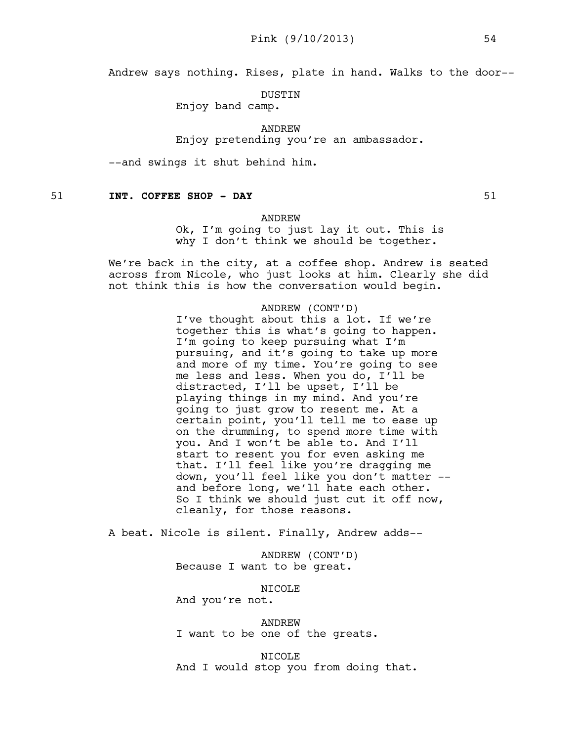Andrew says nothing. Rises, plate in hand. Walks to the door--

DUSTIN

Enjoy band camp.

ANDREW

Enjoy pretending you're an ambassador.

--and swings it shut behind him.

51 **INT. COFFEE SHOP - DAY** 51

#### ANDREW

Ok, I'm going to just lay it out. This is why I don't think we should be together.

We're back in the city, at a coffee shop. Andrew is seated across from Nicole, who just looks at him. Clearly she did not think this is how the conversation would begin.

#### ANDREW (CONT'D)

I've thought about this a lot. If we're together this is what's going to happen. I'm going to keep pursuing what I'm pursuing, and it's going to take up more and more of my time. You're going to see me less and less. When you do, I'll be distracted, I'll be upset, I'll be playing things in my mind. And you're going to just grow to resent me. At a certain point, you'll tell me to ease up on the drumming, to spend more time with you. And I won't be able to. And I'll start to resent you for even asking me that. I'll feel like you're dragging me down, you'll feel like you don't matter - and before long, we'll hate each other. So I think we should just cut it off now, cleanly, for those reasons.

A beat. Nicole is silent. Finally, Andrew adds--

ANDREW (CONT'D) Because I want to be great.

NICOLE

And you're not.

ANDREW I want to be one of the greats.

NICOLE And I would stop you from doing that.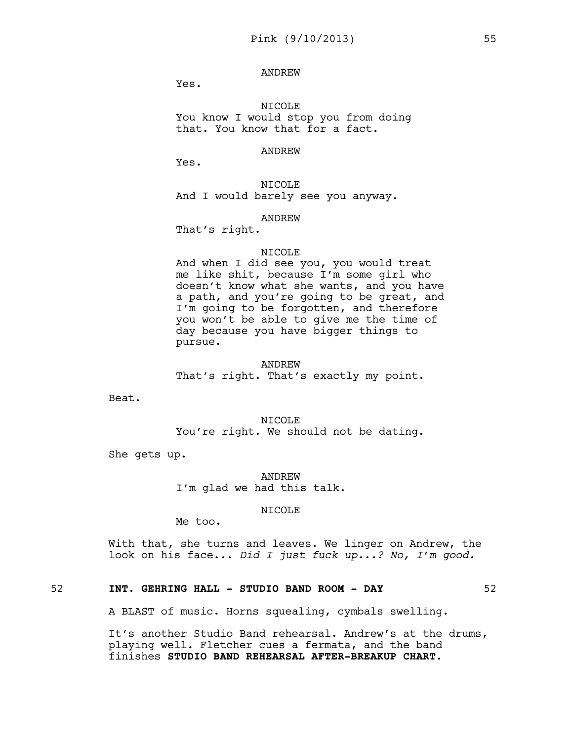ANDREW

Yes.

NICOLE You know I would stop you from doing that. You know that for a fact.

#### ANDREW

Yes.

NICOLE And I would barely see you anyway.

## ANDREW

That's right.

### NICOLE

And when I did see you, you would treat me like shit, because I'm some girl who doesn't know what she wants, and you have a path, and you're going to be great, and I'm going to be forgotten, and therefore you won't be able to give me the time of day because you have bigger things to pursue.

## ANDREW

That's right. That's exactly my point.

Beat.

NICOLE You're right. We should not be dating.

She gets up.

ANDREW I'm glad we had this talk.

NICOLE

Me too.

With that, she turns and leaves. We linger on Andrew, the look on his face... *Did I just fuck up...? No, I'm good.* 

# 52 **INT. GEHRING HALL - STUDIO BAND ROOM - DAY** 52

A BLAST of music. Horns squealing, cymbals swelling.

It's another Studio Band rehearsal. Andrew's at the drums, playing well. Fletcher cues a fermata, and the band finishes **STUDIO BAND REHEARSAL AFTER-BREAKUP CHART.**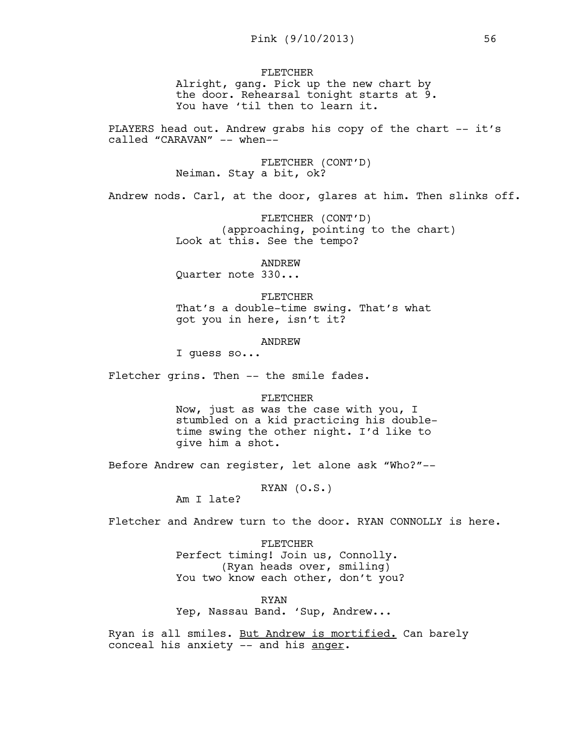FLETCHER Alright, gang. Pick up the new chart by the door. Rehearsal tonight starts at 9. You have 'til then to learn it.

PLAYERS head out. Andrew grabs his copy of the chart -- it's called "CARAVAN" -- when--

> FLETCHER (CONT'D) Neiman. Stay a bit, ok?

Andrew nods. Carl, at the door, glares at him. Then slinks off.

FLETCHER (CONT'D) (approaching, pointing to the chart) Look at this. See the tempo?

ANDREW

Quarter note 330...

FLETCHER That's a double-time swing. That's what got you in here, isn't it?

## ANDREW

I guess so...

Fletcher grins. Then -- the smile fades.

#### FLETCHER

Now, just as was the case with you, I stumbled on a kid practicing his doubletime swing the other night. I'd like to give him a shot.

Before Andrew can register, let alone ask "Who?"--

RYAN (O.S.)

Am I late?

Fletcher and Andrew turn to the door. RYAN CONNOLLY is here.

FLETCHER Perfect timing! Join us, Connolly. (Ryan heads over, smiling) You two know each other, don't you?

RYAN Yep, Nassau Band. 'Sup, Andrew...

Ryan is all smiles. But Andrew is mortified. Can barely conceal his anxiety -- and his anger.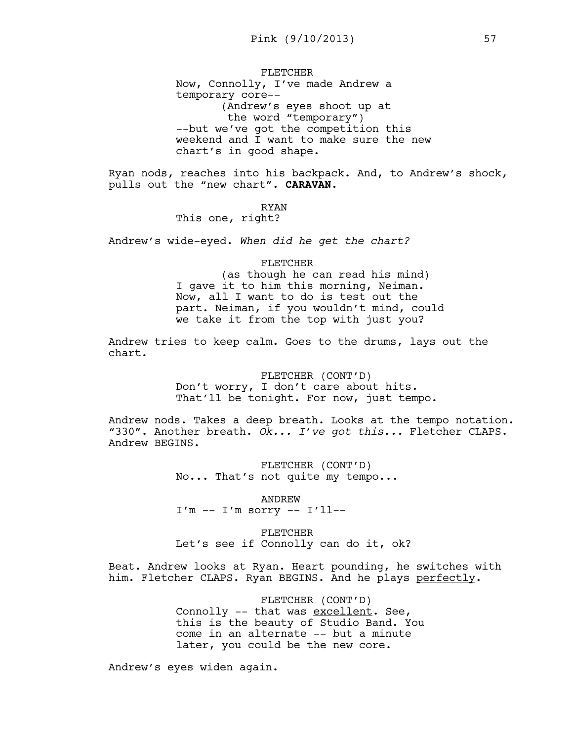FLETCHER Now, Connolly, I've made Andrew a temporary core-- (Andrew's eyes shoot up at the word "temporary") --but we've got the competition this weekend and I want to make sure the new chart's in good shape.

Ryan nods, reaches into his backpack. And, to Andrew's shock, pulls out the "new chart". **CARAVAN**.

RYAN

This one, right?

Andrew's wide-eyed. *When did he get the chart?* 

#### FLETCHER

(as though he can read his mind) I gave it to him this morning, Neiman. Now, all I want to do is test out the part. Neiman, if you wouldn't mind, could we take it from the top with just you?

Andrew tries to keep calm. Goes to the drums, lays out the chart.

> FLETCHER (CONT'D) Don't worry, I don't care about hits. That'll be tonight. For now, just tempo.

Andrew nods. Takes a deep breath. Looks at the tempo notation. "330". Another breath. *Ok... I've got this...* Fletcher CLAPS. Andrew BEGINS.

> FLETCHER (CONT'D) No... That's not quite my tempo...

ANDREW  $I'm -- I'm$  sorry  $-- I'll--$ 

FLETCHER Let's see if Connolly can do it, ok?

Beat. Andrew looks at Ryan. Heart pounding, he switches with him. Fletcher CLAPS. Ryan BEGINS. And he plays perfectly.

> FLETCHER (CONT'D) Connolly -- that was excellent. See, this is the beauty of Studio Band. You come in an alternate -- but a minute later, you could be the new core.

Andrew's eyes widen again.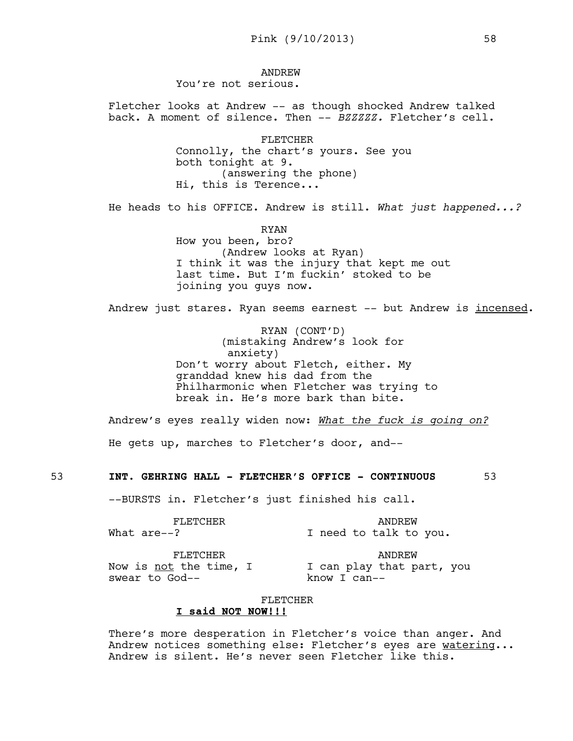#### ANDREW You're not serious.

Fletcher looks at Andrew -- as though shocked Andrew talked back. A moment of silence. Then -- *BZZZZZ.* Fletcher's cell.

> FLETCHER Connolly, the chart's yours. See you both tonight at 9. (answering the phone) Hi, this is Terence...

He heads to his OFFICE. Andrew is still. *What just happened...?*

RYAN How you been, bro? (Andrew looks at Ryan) I think it was the injury that kept me out last time. But I'm fuckin' stoked to be joining you guys now.

Andrew just stares. Ryan seems earnest -- but Andrew is incensed.

RYAN (CONT'D) (mistaking Andrew's look for anxiety) Don't worry about Fletch, either. My granddad knew his dad from the Philharmonic when Fletcher was trying to break in. He's more bark than bite.

Andrew's eyes really widen now: *What the fuck is going on?*

He gets up, marches to Fletcher's door, and--

## 53 **INT. GEHRING HALL - FLETCHER'S OFFICE - CONTINUOUS** 53

--BURSTS in. Fletcher's just finished his call.

| FLETCHER |             | ANDREW                 |  |  |  |  |  |
|----------|-------------|------------------------|--|--|--|--|--|
|          | What are--? | I need to talk to you. |  |  |  |  |  |

#### FLETCHER

Now is <u>not</u> the time, I swear to God--

ANDREW I can play that part, you know I can--

## FLETCHER

## **I said NOT NOW!!!**

There's more desperation in Fletcher's voice than anger. And Andrew notices something else: Fletcher's eyes are watering... Andrew is silent. He's never seen Fletcher like this.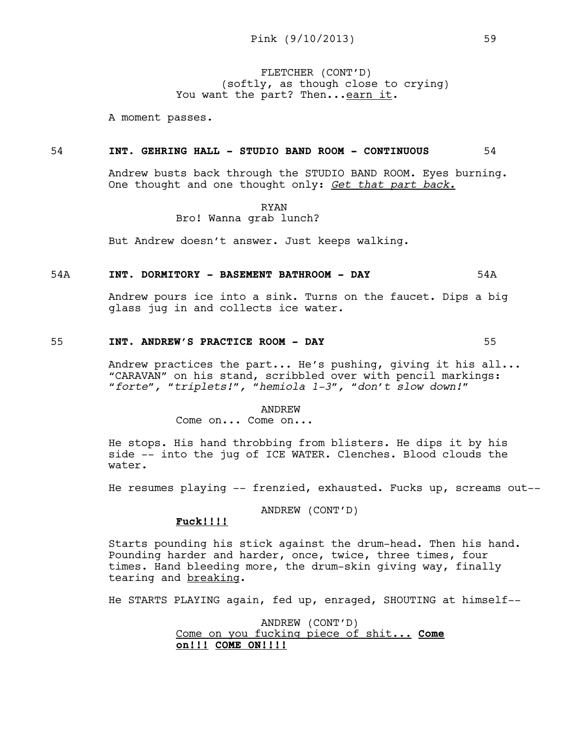FLETCHER (CONT'D) (softly, as though close to crying) You want the part? Then... earn it.

A moment passes.

#### 54 **INT. GEHRING HALL - STUDIO BAND ROOM - CONTINUOUS** 54

Andrew busts back through the STUDIO BAND ROOM. Eyes burning. One thought and one thought only: *Get that part back.*

> RYAN Bro! Wanna grab lunch?

But Andrew doesn't answer. Just keeps walking.

#### 54A **INT. DORMITORY - BASEMENT BATHROOM - DAY** 54A

Andrew pours ice into a sink. Turns on the faucet. Dips a big glass jug in and collects ice water.

# 55 **INT. ANDREW'S PRACTICE ROOM - DAY** 55

Andrew practices the part... He's pushing, giving it his all... "CARAVAN" on his stand, scribbled over with pencil markings: *"forte", "triplets!", "hemiola 1-3", "don't slow down!"* 

ANDREW

Come on... Come on...

He stops. His hand throbbing from blisters. He dips it by his side -- into the jug of ICE WATER. Clenches. Blood clouds the water.

He resumes playing -- frenzied, exhausted. Fucks up, screams out--

ANDREW (CONT'D)

## **Fuck!!!!**

Starts pounding his stick against the drum-head. Then his hand. Pounding harder and harder, once, twice, three times, four times. Hand bleeding more, the drum-skin giving way, finally tearing and breaking.

He STARTS PLAYING again, fed up, enraged, SHOUTING at himself--

ANDREW (CONT'D) Come on you fucking piece of shit... **Come on!!! COME ON!!!!**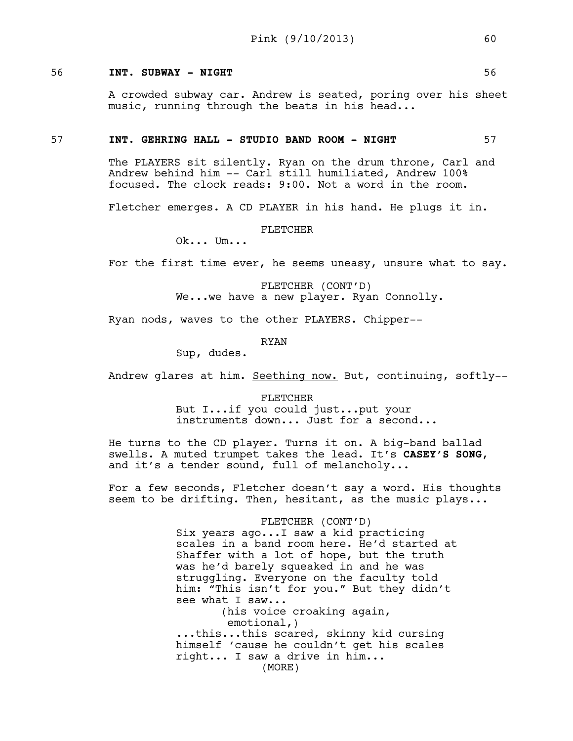## 56 **INT. SUBWAY - NIGHT** 56

A crowded subway car. Andrew is seated, poring over his sheet music, running through the beats in his head...

## 57 **INT. GEHRING HALL - STUDIO BAND ROOM - NIGHT** 57

The PLAYERS sit silently. Ryan on the drum throne, Carl and Andrew behind him -- Carl still humiliated, Andrew 100% focused. The clock reads: 9:00. Not a word in the room.

Fletcher emerges. A CD PLAYER in his hand. He plugs it in.

FLETCHER

Ok... Um...

For the first time ever, he seems uneasy, unsure what to say.

FLETCHER (CONT'D) We...we have a new player. Ryan Connolly.

Ryan nods, waves to the other PLAYERS. Chipper--

RYAN

Sup, dudes.

Andrew glares at him. Seething now. But, continuing, softly--

FLETCHER But I...if you could just...put your instruments down... Just for a second...

He turns to the CD player. Turns it on. A big-band ballad swells. A muted trumpet takes the lead. It's **CASEY'S SONG**, and it's a tender sound, full of melancholy...

For a few seconds, Fletcher doesn't say a word. His thoughts seem to be drifting. Then, hesitant, as the music plays...

FLETCHER (CONT'D)

Six years ago...I saw a kid practicing scales in a band room here. He'd started at Shaffer with a lot of hope, but the truth was he'd barely squeaked in and he was struggling. Everyone on the faculty told him: "This isn't for you." But they didn't see what I saw... (his voice croaking again, emotional,) ...this...this scared, skinny kid cursing himself 'cause he couldn't get his scales right... I saw a drive in him... (MORE)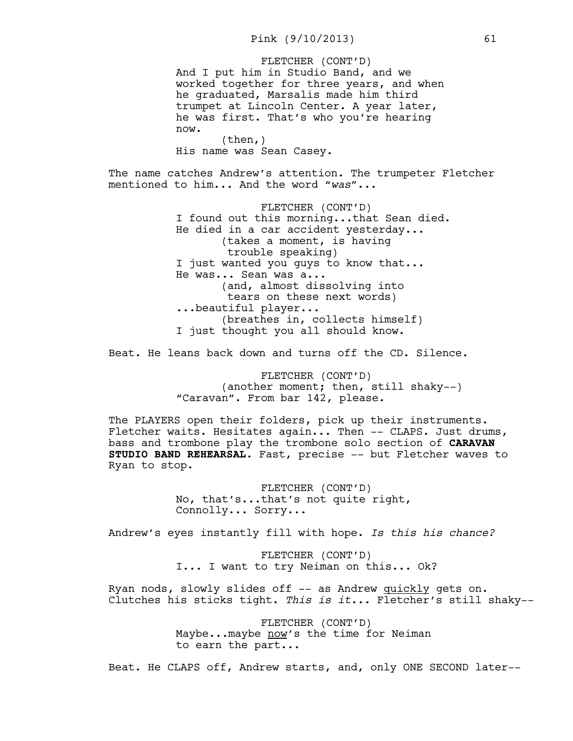And I put him in Studio Band, and we worked together for three years, and when he graduated, Marsalis made him third trumpet at Lincoln Center. A year later, he was first. That's who you're hearing now. FLETCHER (CONT'D)

(then,) His name was Sean Casey.

The name catches Andrew's attention. The trumpeter Fletcher mentioned to him... And the word "*was*"...

> FLETCHER (CONT'D) I found out this morning...that Sean died. He died in a car accident yesterday... (takes a moment, is having trouble speaking) I just wanted you quys to know that... He was... Sean was a... (and, almost dissolving into tears on these next words) ...beautiful player... (breathes in, collects himself) I just thought you all should know.

Beat. He leans back down and turns off the CD. Silence.

FLETCHER (CONT'D) (another moment; then, still shaky--) "Caravan". From bar 142, please.

The PLAYERS open their folders, pick up their instruments. Fletcher waits. Hesitates again... Then -- CLAPS. Just drums, bass and trombone play the trombone solo section of **CARAVAN STUDIO BAND REHEARSAL**. Fast, precise -- but Fletcher waves to Ryan to stop.

> FLETCHER (CONT'D) No, that's...that's not quite right, Connolly... Sorry...

Andrew's eyes instantly fill with hope. *Is this his chance?*

FLETCHER (CONT'D) I... I want to try Neiman on this... Ok?

Ryan nods, slowly slides off -- as Andrew quickly gets on. Clutches his sticks tight. *This is it...* Fletcher's still shaky--

> FLETCHER (CONT'D) Maybe...maybe now's the time for Neiman to earn the part...

Beat. He CLAPS off, Andrew starts, and, only ONE SECOND later--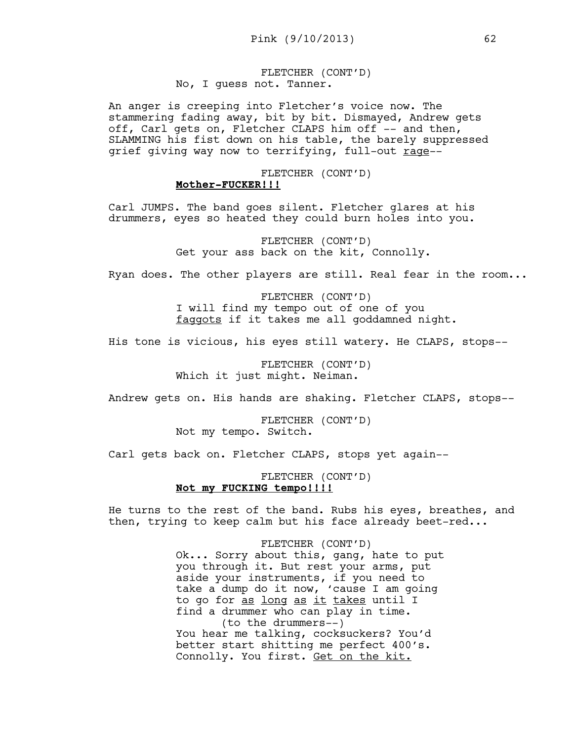FLETCHER (CONT'D) No, I guess not. Tanner.

An anger is creeping into Fletcher's voice now. The stammering fading away, bit by bit. Dismayed, Andrew gets off, Carl gets on, Fletcher CLAPS him off -- and then, SLAMMING his fist down on his table, the barely suppressed grief giving way now to terrifying, full-out rage--

# FLETCHER (CONT'D) **Mother-FUCKER!!!**

Carl JUMPS. The band goes silent. Fletcher glares at his drummers, eyes so heated they could burn holes into you.

> FLETCHER (CONT'D) Get your ass back on the kit, Connolly.

Ryan does. The other players are still. Real fear in the room...

FLETCHER (CONT'D) I will find my tempo out of one of you faggots if it takes me all goddamned night.

His tone is vicious, his eyes still watery. He CLAPS, stops--

FLETCHER (CONT'D) Which it just might. Neiman.

Andrew gets on. His hands are shaking. Fletcher CLAPS, stops--

FLETCHER (CONT'D) Not my tempo. Switch.

Carl gets back on. Fletcher CLAPS, stops yet again--

FLETCHER (CONT'D) **Not my FUCKING tempo!!!!**

He turns to the rest of the band. Rubs his eyes, breathes, and then, trying to keep calm but his face already beet-red...

> FLETCHER (CONT'D) Ok... Sorry about this, gang, hate to put you through it. But rest your arms, put aside your instruments, if you need to take a dump do it now, 'cause I am going to go for as long as it takes until I find a drummer who can play in time. (to the drummers--) You hear me talking, cocksuckers? You'd better start shitting me perfect 400's. Connolly. You first. Get on the kit.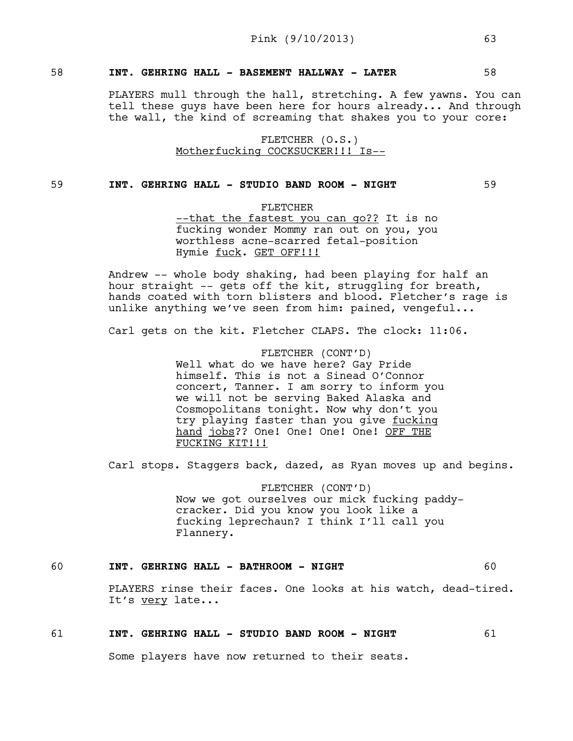## 58 **INT. GEHRING HALL - BASEMENT HALLWAY - LATER** 58

PLAYERS mull through the hall, stretching. A few yawns. You can tell these guys have been here for hours already... And through the wall, the kind of screaming that shakes you to your core:

> FLETCHER (O.S.) Motherfucking COCKSUCKER!!! Is--

## 59 **INT. GEHRING HALL - STUDIO BAND ROOM - NIGHT** 59

FLETCHER

--that the fastest you can go?? It is no fucking wonder Mommy ran out on you, you worthless acne-scarred fetal-position Hymie fuck. GET OFF!!!

Andrew -- whole body shaking, had been playing for half an hour straight -- gets off the kit, struggling for breath, hands coated with torn blisters and blood. Fletcher's rage is unlike anything we've seen from him: pained, vengeful...

Carl gets on the kit. Fletcher CLAPS. The clock: 11:06.

FLETCHER (CONT'D) Well what do we have here? Gay Pride himself. This is not a Sinead O'Connor concert, Tanner. I am sorry to inform you we will not be serving Baked Alaska and Cosmopolitans tonight. Now why don't you try playing faster than you give fucking hand jobs?? One! One! One! One! OFF THE FUCKING KIT!!!

Carl stops. Staggers back, dazed, as Ryan moves up and begins.

FLETCHER (CONT'D) Now we got ourselves our mick fucking paddycracker. Did you know you look like a fucking leprechaun? I think I'll call you Flannery.

## 60 **INT. GEHRING HALL - BATHROOM - NIGHT** 60

PLAYERS rinse their faces. One looks at his watch, dead-tired. It's very late...

## 61 **INT. GEHRING HALL - STUDIO BAND ROOM - NIGHT** 61

Some players have now returned to their seats.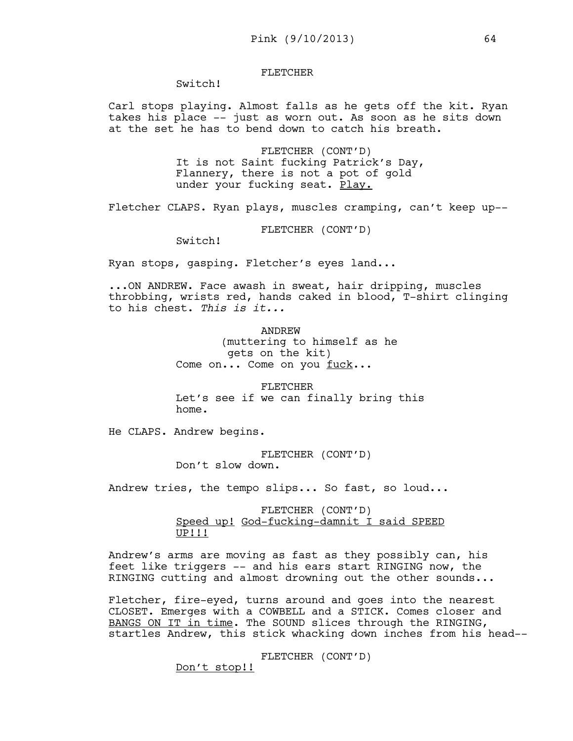## FLETCHER

Switch!

Carl stops playing. Almost falls as he gets off the kit. Ryan takes his place -- just as worn out. As soon as he sits down at the set he has to bend down to catch his breath.

> FLETCHER (CONT'D) It is not Saint fucking Patrick's Day, Flannery, there is not a pot of gold under your fucking seat. Play.

Fletcher CLAPS. Ryan plays, muscles cramping, can't keep up--

FLETCHER (CONT'D)

Switch!

Ryan stops, gasping. Fletcher's eyes land...

...ON ANDREW. Face awash in sweat, hair dripping, muscles throbbing, wrists red, hands caked in blood, T-shirt clinging to his chest. *This is it...* 

> ANDREW (muttering to himself as he gets on the kit) Come on... Come on you fuck...

FLETCHER Let's see if we can finally bring this home.

He CLAPS. Andrew begins.

FLETCHER (CONT'D) Don't slow down.

Andrew tries, the tempo slips... So fast, so loud...

FLETCHER (CONT'D) Speed up! God-fucking-damnit I said SPEED UP!!!

Andrew's arms are moving as fast as they possibly can, his feet like triggers -- and his ears start RINGING now, the RINGING cutting and almost drowning out the other sounds...

Fletcher, fire-eyed, turns around and goes into the nearest CLOSET. Emerges with a COWBELL and a STICK. Comes closer and BANGS ON IT in time. The SOUND slices through the RINGING, startles Andrew, this stick whacking down inches from his head--

FLETCHER (CONT'D)

Don't stop!!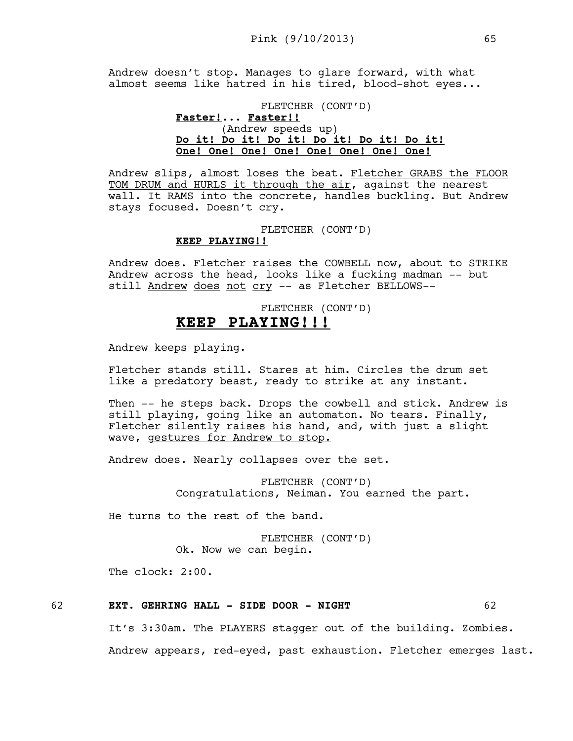Andrew doesn't stop. Manages to glare forward, with what almost seems like hatred in his tired, blood-shot eyes...

# FLETCHER (CONT'D) **Faster!**... **Faster!!** (Andrew speeds up) **Do it! Do it! Do it! Do it! Do it! Do it! One! One! One! One! One! One! One! One!**

Andrew slips, almost loses the beat. Fletcher GRABS the FLOOR TOM DRUM and HURLS it through the air, against the nearest wall. It RAMS into the concrete, handles buckling. But Andrew stays focused. Doesn't cry.

## FLETCHER (CONT'D) **KEEP PLAYING!!**

Andrew does. Fletcher raises the COWBELL now, about to STRIKE Andrew across the head, looks like a fucking madman -- but still Andrew does not cry -- as Fletcher BELLOWS--

# FLETCHER (CONT'D) **KEEP PLAYING!!!**

Andrew keeps playing.

Fletcher stands still. Stares at him. Circles the drum set like a predatory beast, ready to strike at any instant.

Then -- he steps back. Drops the cowbell and stick. Andrew is still playing, going like an automaton. No tears. Finally, Fletcher silently raises his hand, and, with just a slight wave, gestures for Andrew to stop.

Andrew does. Nearly collapses over the set.

FLETCHER (CONT'D) Congratulations, Neiman. You earned the part.

He turns to the rest of the band.

FLETCHER (CONT'D) Ok. Now we can begin.

The clock: 2:00.

# 62 **EXT. GEHRING HALL - SIDE DOOR - NIGHT** 62

It's 3:30am. The PLAYERS stagger out of the building. Zombies.

Andrew appears, red-eyed, past exhaustion. Fletcher emerges last.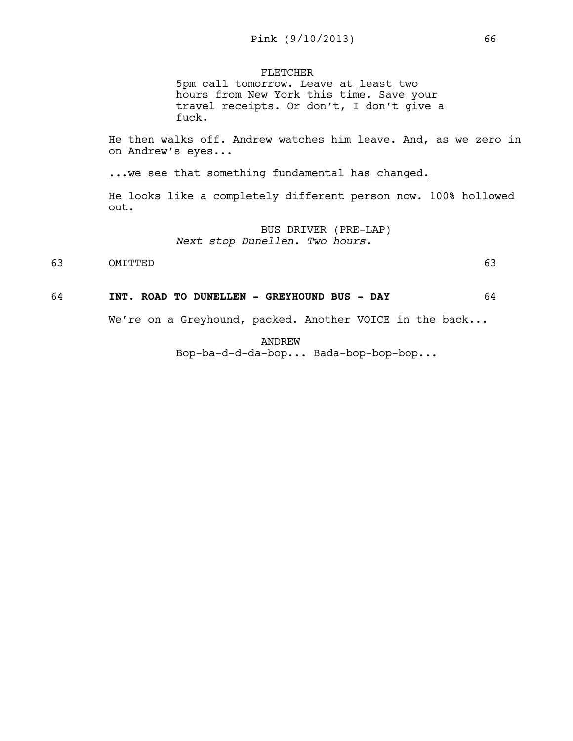FLETCHER

5pm call tomorrow. Leave at least two hours from New York this time. Save your travel receipts. Or don't, I don't give a fuck.

He then walks off. Andrew watches him leave. And, as we zero in on Andrew's eyes...

... we see that something fundamental has changed.

He looks like a completely different person now. 100% hollowed out.

> BUS DRIVER (PRE-LAP) *Next stop Dunellen. Two hours.*

63 OMITTED 63

#### 64 **INT. ROAD TO DUNELLEN - GREYHOUND BUS - DAY** 64

We're on a Greyhound, packed. Another VOICE in the back...

ANDREW Bop-ba-d-d-da-bop... Bada-bop-bop-bop...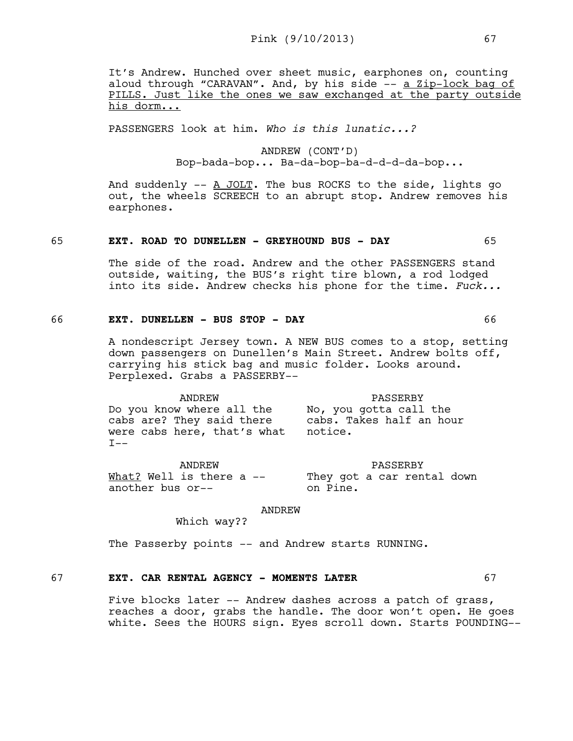It's Andrew. Hunched over sheet music, earphones on, counting aloud through "CARAVAN". And, by his side -- a Zip-lock bag of PILLS. Just like the ones we saw exchanged at the party outside his dorm...

PASSENGERS look at him. *Who is this lunatic...?* 

ANDREW (CONT'D) Bop-bada-bop... Ba-da-bop-ba-d-d-d-da-bop...

And suddenly  $--$  A JOLT. The bus ROCKS to the side, lights go out, the wheels SCREECH to an abrupt stop. Andrew removes his earphones.

#### 65 **EXT. ROAD TO DUNELLEN - GREYHOUND BUS - DAY** 65

The side of the road. Andrew and the other PASSENGERS stand outside, waiting, the BUS's right tire blown, a rod lodged into its side. Andrew checks his phone for the time. *Fuck...*

## 66 **EXT. DUNELLEN - BUS STOP - DAY** 66

A nondescript Jersey town. A NEW BUS comes to a stop, setting down passengers on Dunellen's Main Street. Andrew bolts off, carrying his stick bag and music folder. Looks around. Perplexed. Grabs a PASSERBY--

PASSERBY

ANDREW Do you know where all the cabs are? They said there were cabs here, that's what  $T--$ PASSERBY No, you gotta call the cabs. Takes half an hour notice.

ANDREW What? Well is there a -another bus or-- They got a car rental down on Pine.

ANDREW

Which way??

The Passerby points -- and Andrew starts RUNNING.

# 67 **EXT. CAR RENTAL AGENCY - MOMENTS LATER** 67

Five blocks later -- Andrew dashes across a patch of grass, reaches a door, grabs the handle. The door won't open. He goes white. Sees the HOURS sign. Eyes scroll down. Starts POUNDING--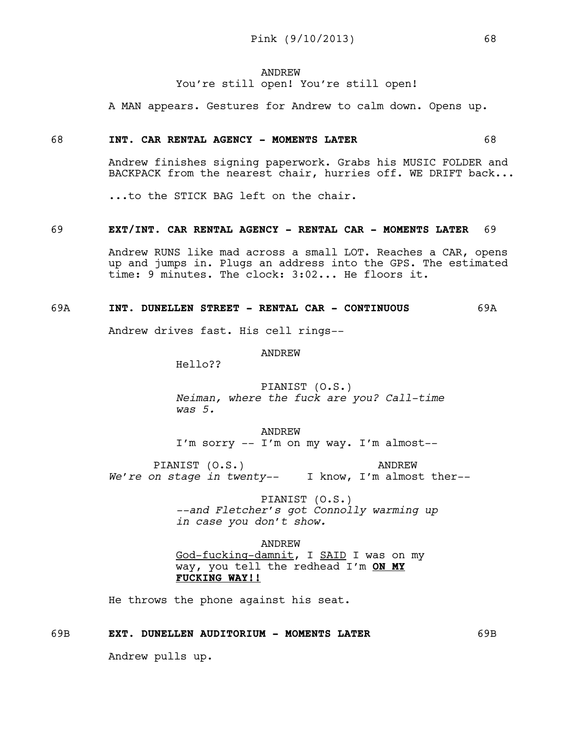# ANDREW You're still open! You're still open!

A MAN appears. Gestures for Andrew to calm down. Opens up.

## 68 **INT. CAR RENTAL AGENCY - MOMENTS LATER** 68

Andrew finishes signing paperwork. Grabs his MUSIC FOLDER and BACKPACK from the nearest chair, hurries off. WE DRIFT back...

...to the STICK BAG left on the chair.

#### 69 **EXT/INT. CAR RENTAL AGENCY - RENTAL CAR - MOMENTS LATER** 69

Andrew RUNS like mad across a small LOT. Reaches a CAR, opens up and jumps in. Plugs an address into the GPS. The estimated time: 9 minutes. The clock: 3:02... He floors it.

# 69A **INT. DUNELLEN STREET - RENTAL CAR - CONTINUOUS** 69A

Andrew drives fast. His cell rings--

#### ANDREW

Hello??

# PIANIST (O.S.) *Neiman, where the fuck are you? Call-time was 5.*

ANDREW I'm sorry -- I'm on my way. I'm almost--

PIANIST (O.S.) *We're on stage in twenty--*  I know, I'm almost ther-- ANDREW

> PIANIST (O.S.) *--and Fletcher's got Connolly warming up in case you don't show.*

# ANDREW

God-fucking-damnit, I SAID I was on my way, you tell the redhead I'm **ON MY FUCKING WAY!!** 

He throws the phone against his seat.

# 69B **EXT. DUNELLEN AUDITORIUM - MOMENTS LATER** 69B

Andrew pulls up.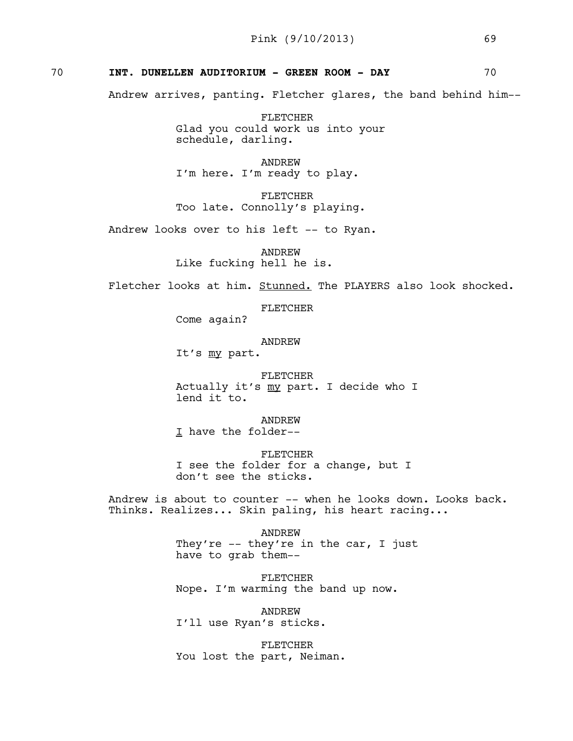# 70 **INT. DUNELLEN AUDITORIUM - GREEN ROOM - DAY** 70

Andrew arrives, panting. Fletcher glares, the band behind him--

FLETCHER Glad you could work us into your schedule, darling.

ANDREW I'm here. I'm ready to play.

FLETCHER Too late. Connolly's playing.

Andrew looks over to his left -- to Ryan.

ANDREW

Like fucking hell he is.

Fletcher looks at him. Stunned. The PLAYERS also look shocked.

FLETCHER

Come again?

ANDREW

It's my part.

FLETCHER Actually it's my part. I decide who I lend it to.

ANDREW I have the folder--

FLETCHER I see the folder for a change, but I don't see the sticks.

Andrew is about to counter -- when he looks down. Looks back. Thinks. Realizes... Skin paling, his heart racing...

> ANDREW They're -- they're in the car, I just have to grab them--

FLETCHER Nope. I'm warming the band up now.

ANDREW I'll use Ryan's sticks.

FLETCHER You lost the part, Neiman.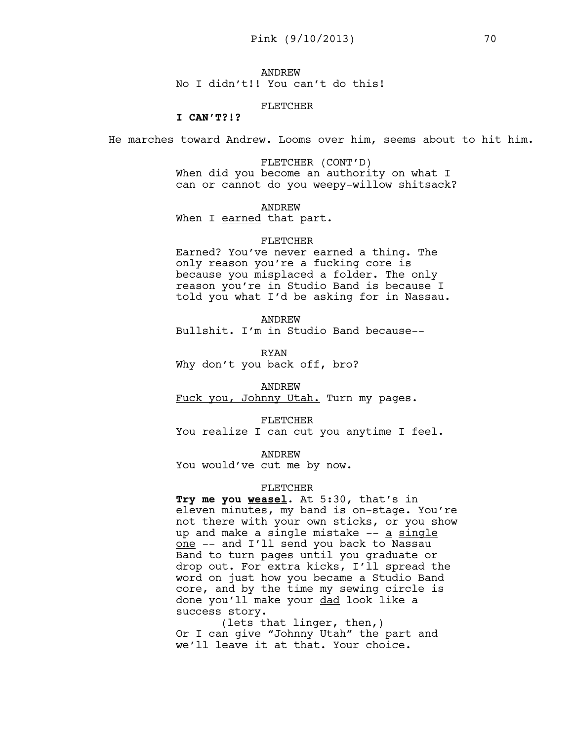ANDREW No I didn't!! You can't do this!

## FLETCHER

**I CAN'T?!?**

He marches toward Andrew. Looms over him, seems about to hit him.

FLETCHER (CONT'D) When did you become an authority on what I can or cannot do you weepy-willow shitsack?

ANDREW

When I earned that part.

#### FLETCHER

Earned? You've never earned a thing. The only reason you're a fucking core is because you misplaced a folder. The only reason you're in Studio Band is because I told you what I'd be asking for in Nassau.

ANDREW

Bullshit. I'm in Studio Band because--

RYAN Why don't you back off, bro?

ANDREW Fuck you, Johnny Utah. Turn my pages.

FLETCHER

You realize I can cut you anytime I feel.

ANDREW

You would've cut me by now.

## FLETCHER

**Try me you weasel**. At 5:30, that's in eleven minutes, my band is on-stage. You're not there with your own sticks, or you show up and make a single mistake -- a single one -- and I'll send you back to Nassau Band to turn pages until you graduate or drop out. For extra kicks, I'll spread the word on just how you became a Studio Band core, and by the time my sewing circle is done you'll make your dad look like a success story.

(lets that linger, then,) Or I can give "Johnny Utah" the part and we'll leave it at that. Your choice.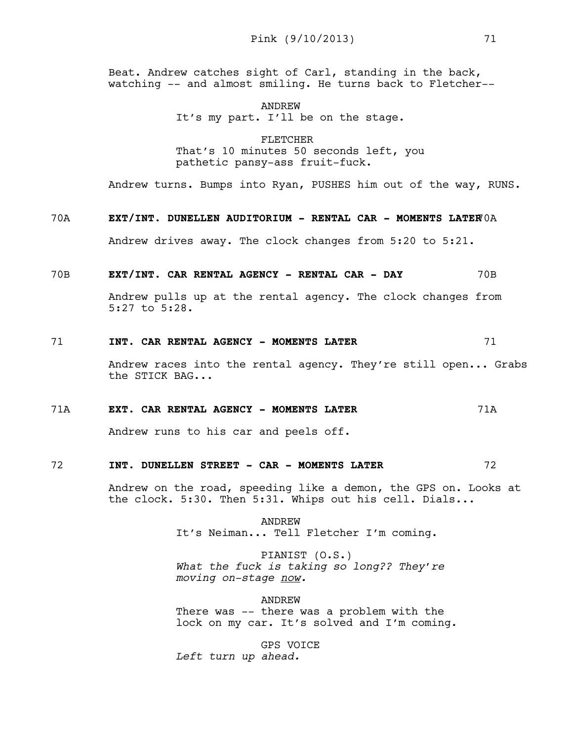Beat. Andrew catches sight of Carl, standing in the back, watching -- and almost smiling. He turns back to Fletcher--

> ANDREW It's my part. I'll be on the stage.

FLETCHER That's 10 minutes 50 seconds left, you pathetic pansy-ass fruit-fuck.

Andrew turns. Bumps into Ryan, PUSHES him out of the way, RUNS.

# 70A **EXT/INT. DUNELLEN AUDITORIUM - RENTAL CAR - MOMENTS LATER**70A

Andrew drives away. The clock changes from 5:20 to 5:21.

70B **EXT/INT. CAR RENTAL AGENCY - RENTAL CAR - DAY** 70B

Andrew pulls up at the rental agency. The clock changes from 5:27 to 5:28.

## 71 **INT. CAR RENTAL AGENCY - MOMENTS LATER** 71

Andrew races into the rental agency. They're still open... Grabs the STICK BAG...

## 71A **EXT. CAR RENTAL AGENCY - MOMENTS LATER** 71A

Andrew runs to his car and peels off.

## 72 **INT. DUNELLEN STREET - CAR - MOMENTS LATER** 72

Andrew on the road, speeding like a demon, the GPS on. Looks at the clock. 5:30. Then 5:31. Whips out his cell. Dials...

> ANDREW It's Neiman... Tell Fletcher I'm coming.

PIANIST (O.S.) *What the fuck is taking so long?? They're moving on-stage now.* 

ANDREW

There was -- there was a problem with the lock on my car. It's solved and I'm coming.

GPS VOICE *Left turn up ahead.*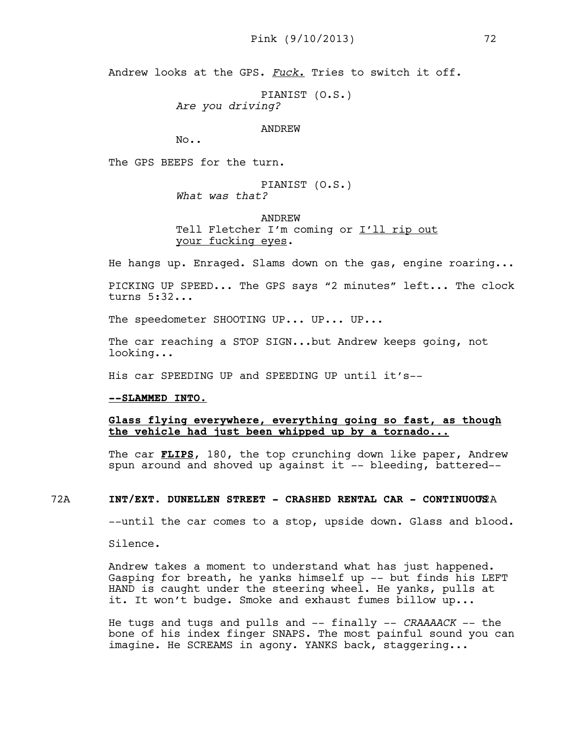Andrew looks at the GPS. *Fuck*. Tries to switch it off.

PIANIST (O.S.)

*Are you driving?* 

ANDREW

No..

The GPS BEEPS for the turn.

PIANIST (O.S.) *What was that?*

ANDREW Tell Fletcher I'm coming or I'll rip out your fucking eyes.

He hangs up. Enraged. Slams down on the gas, engine roaring...

PICKING UP SPEED... The GPS says "2 minutes" left... The clock turns 5:32...

The speedometer SHOOTING UP... UP... UP...

The car reaching a STOP SIGN...but Andrew keeps going, not looking...

His car SPEEDING UP and SPEEDING UP until it's--

## **--SLAMMED INTO.**

# **Glass flying everywhere, everything going so fast, as though the vehicle had just been whipped up by a tornado...**

The car **FLIPS**, 180, the top crunching down like paper, Andrew spun around and shoved up against it -- bleeding, battered--

# 72A **INT/EXT. DUNELLEN STREET - CRASHED RENTAL CAR - CONTINUOUS**72A

--until the car comes to a stop, upside down. Glass and blood.

Silence.

Andrew takes a moment to understand what has just happened. Gasping for breath, he yanks himself up -- but finds his LEFT HAND is caught under the steering wheel. He yanks, pulls at it. It won't budge. Smoke and exhaust fumes billow up...

He tugs and tugs and pulls and -- finally -- *CRAAAACK* -- the bone of his index finger SNAPS. The most painful sound you can imagine. He SCREAMS in agony. YANKS back, staggering...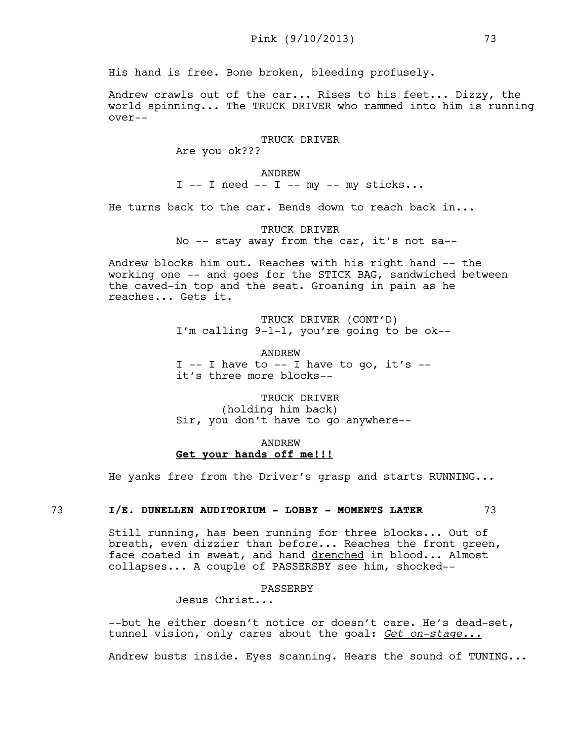His hand is free. Bone broken, bleeding profusely.

Andrew crawls out of the car... Rises to his feet... Dizzy, the world spinning... The TRUCK DRIVER who rammed into him is running over--

## TRUCK DRIVER

Are you ok???

#### ANDREW

 $I$  -- I need -- I -- my -- my sticks...

He turns back to the car. Bends down to reach back in...

TRUCK DRIVER No -- stay away from the car, it's not sa--

Andrew blocks him out. Reaches with his right hand -- the working one -- and goes for the STICK BAG, sandwiched between the caved-in top and the seat. Groaning in pain as he reaches... Gets it.

> TRUCK DRIVER (CONT'D) I'm calling 9-1-1, you're going to be ok--

ANDREW I  $-$  I have to  $-$  I have to go, it's  $$ it's three more blocks--

TRUCK DRIVER (holding him back) Sir, you don't have to go anywhere--

# ANDREW **Get your hands off me!!!**

He yanks free from the Driver's grasp and starts RUNNING...

# 73 **I/E. DUNELLEN AUDITORIUM - LOBBY - MOMENTS LATER** 73

Still running, has been running for three blocks... Out of breath, even dizzier than before... Reaches the front green, face coated in sweat, and hand drenched in blood... Almost collapses... A couple of PASSERSBY see him, shocked--

# PASSERBY

Jesus Christ...

--but he either doesn't notice or doesn't care. He's dead-set, tunnel vision, only cares about the goal: *Get on-stage...*

Andrew busts inside. Eyes scanning. Hears the sound of TUNING...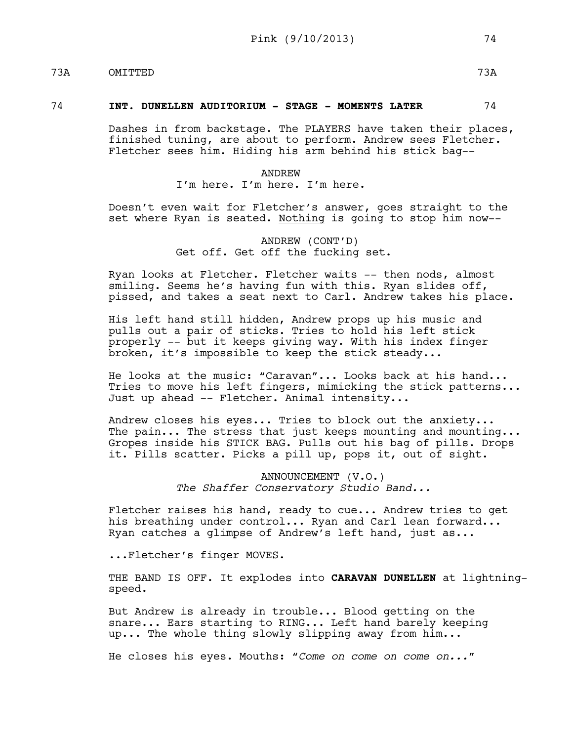# 73A OMITTED 73A

## 74 **INT. DUNELLEN AUDITORIUM - STAGE - MOMENTS LATER** 74

Dashes in from backstage. The PLAYERS have taken their places, finished tuning, are about to perform. Andrew sees Fletcher. Fletcher sees him. Hiding his arm behind his stick bag--

> ANDREW I'm here. I'm here. I'm here.

Doesn't even wait for Fletcher's answer, goes straight to the set where Ryan is seated. Nothing is going to stop him now--

> ANDREW (CONT'D) Get off. Get off the fucking set.

Ryan looks at Fletcher. Fletcher waits -- then nods, almost smiling. Seems he's having fun with this. Ryan slides off, pissed, and takes a seat next to Carl. Andrew takes his place.

His left hand still hidden, Andrew props up his music and pulls out a pair of sticks. Tries to hold his left stick properly -- but it keeps giving way. With his index finger broken, it's impossible to keep the stick steady...

He looks at the music: "Caravan"... Looks back at his hand... Tries to move his left fingers, mimicking the stick patterns... Just up ahead -- Fletcher. Animal intensity...

Andrew closes his eyes... Tries to block out the anxiety... The pain... The stress that just keeps mounting and mounting... Gropes inside his STICK BAG. Pulls out his bag of pills. Drops it. Pills scatter. Picks a pill up, pops it, out of sight.

> ANNOUNCEMENT (V.O.) *The Shaffer Conservatory Studio Band...*

Fletcher raises his hand, ready to cue... Andrew tries to get his breathing under control... Ryan and Carl lean forward... Ryan catches a glimpse of Andrew's left hand, just as...

...Fletcher's finger MOVES.

THE BAND IS OFF. It explodes into **CARAVAN DUNELLEN** at lightningspeed.

But Andrew is already in trouble... Blood getting on the snare... Ears starting to RING... Left hand barely keeping up... The whole thing slowly slipping away from him...

He closes his eyes. Mouths: *"Come on come on come on..."*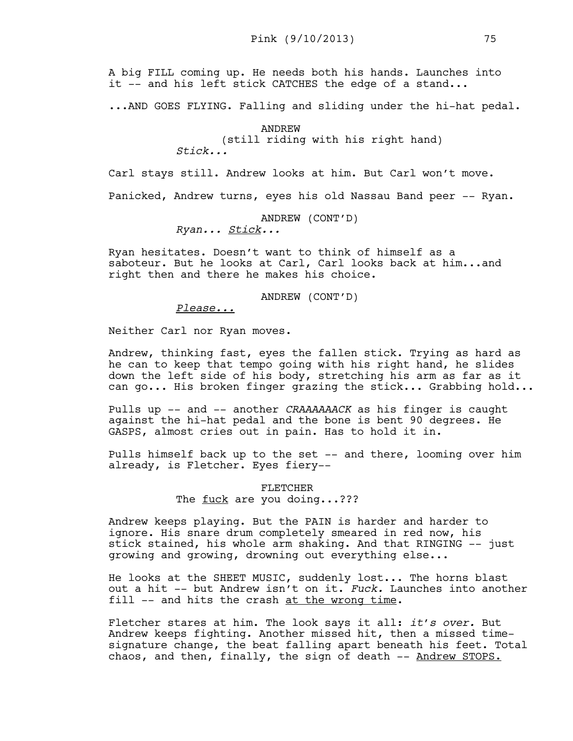A big FILL coming up. He needs both his hands. Launches into it -- and his left stick CATCHES the edge of a stand...

...AND GOES FLYING. Falling and sliding under the hi-hat pedal.

ANDREW

(still riding with his right hand)

*Stick...*

Carl stays still. Andrew looks at him. But Carl won't move.

Panicked, Andrew turns, eyes his old Nassau Band peer -- Ryan.

## ANDREW (CONT'D)

*Ryan... Stick...* 

Ryan hesitates. Doesn't want to think of himself as a saboteur. But he looks at Carl, Carl looks back at him...and right then and there he makes his choice.

ANDREW (CONT'D)

# *Please...*

Neither Carl nor Ryan moves.

Andrew, thinking fast, eyes the fallen stick. Trying as hard as he can to keep that tempo going with his right hand, he slides down the left side of his body, stretching his arm as far as it can go... His broken finger grazing the stick... Grabbing hold...

Pulls up -- and -- another *CRAAAAAACK* as his finger is caught against the hi-hat pedal and the bone is bent 90 degrees. He GASPS, almost cries out in pain. Has to hold it in.

Pulls himself back up to the set -- and there, looming over him already, is Fletcher. Eyes fiery--

> FLETCHER The fuck are you doing...???

Andrew keeps playing. But the PAIN is harder and harder to ignore. His snare drum completely smeared in red now, his stick stained, his whole arm shaking. And that RINGING -- just growing and growing, drowning out everything else...

He looks at the SHEET MUSIC, suddenly lost... The horns blast out a hit -- but Andrew isn't on it. *Fuck.* Launches into another fill -- and hits the crash at the wrong time.

Fletcher stares at him. The look says it all: *it's over.* But Andrew keeps fighting. Another missed hit, then a missed timesignature change, the beat falling apart beneath his feet. Total chaos, and then, finally, the sign of death -- Andrew STOPS.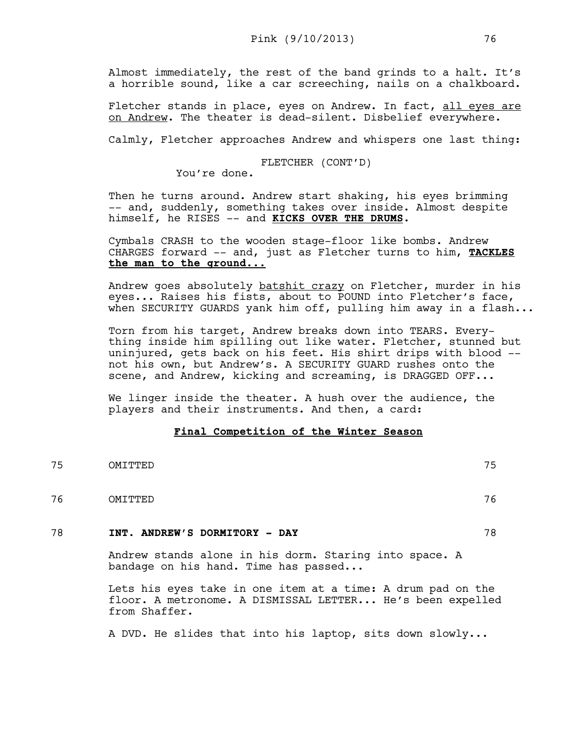Almost immediately, the rest of the band grinds to a halt. It's a horrible sound, like a car screeching, nails on a chalkboard.

Fletcher stands in place, eyes on Andrew. In fact, all eyes are on Andrew. The theater is dead-silent. Disbelief everywhere.

Calmly, Fletcher approaches Andrew and whispers one last thing:

FLETCHER (CONT'D)

You're done.

Then he turns around. Andrew start shaking, his eyes brimming -- and, suddenly, something takes over inside. Almost despite himself, he RISES -- and **KICKS OVER THE DRUMS.** 

Cymbals CRASH to the wooden stage-floor like bombs. Andrew CHARGES forward -- and, just as Fletcher turns to him, **TACKLES the man to the ground...**

Andrew goes absolutely batshit crazy on Fletcher, murder in his eyes... Raises his fists, about to POUND into Fletcher's face, when SECURITY GUARDS yank him off, pulling him away in a flash...

Torn from his target, Andrew breaks down into TEARS. Everything inside him spilling out like water. Fletcher, stunned but uninjured, gets back on his feet. His shirt drips with blood - not his own, but Andrew's. A SECURITY GUARD rushes onto the scene, and Andrew, kicking and screaming, is DRAGGED OFF...

We linger inside the theater. A hush over the audience, the players and their instruments. And then, a card:

# **Final Competition of the Winter Season**

75 OMITTED 75 76 OMITTED 76

# 78 **INT. ANDREW'S DORMITORY - DAY** 78

Andrew stands alone in his dorm. Staring into space. A bandage on his hand. Time has passed...

Lets his eyes take in one item at a time: A drum pad on the floor. A metronome. A DISMISSAL LETTER... He's been expelled from Shaffer.

A DVD. He slides that into his laptop, sits down slowly...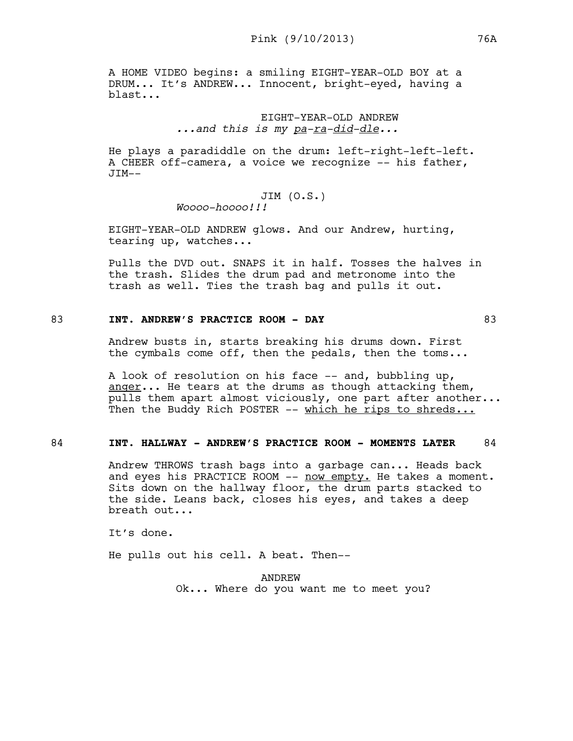A HOME VIDEO begins: a smiling EIGHT-YEAR-OLD BOY at a DRUM... It's ANDREW... Innocent, bright-eyed, having a blast...

# EIGHT-YEAR-OLD ANDREW *...and this is my pa-ra-did-dle...*

He plays a paradiddle on the drum: left-right-left-left. A CHEER off-camera, a voice we recognize -- his father,  $JTM--$ 

# JIM (O.S.)

*Woooo-hoooo!!!* 

EIGHT-YEAR-OLD ANDREW glows. And our Andrew, hurting, tearing up, watches...

Pulls the DVD out. SNAPS it in half. Tosses the halves in the trash. Slides the drum pad and metronome into the trash as well. Ties the trash bag and pulls it out.

# 83 **INT. ANDREW'S PRACTICE ROOM - DAY** 83

Andrew busts in, starts breaking his drums down. First the cymbals come off, then the pedals, then the toms...

A look of resolution on his face -- and, bubbling up, anger... He tears at the drums as though attacking them, pulls them apart almost viciously, one part after another... Then the Buddy Rich POSTER -- which he rips to shreds...

# 84 **INT. HALLWAY - ANDREW'S PRACTICE ROOM - MOMENTS LATER** 84

Andrew THROWS trash bags into a garbage can... Heads back and eyes his PRACTICE ROOM -- now empty. He takes a moment. Sits down on the hallway floor, the drum parts stacked to the side. Leans back, closes his eyes, and takes a deep breath out...

It's done.

He pulls out his cell. A beat. Then--

ANDREW Ok... Where do you want me to meet you?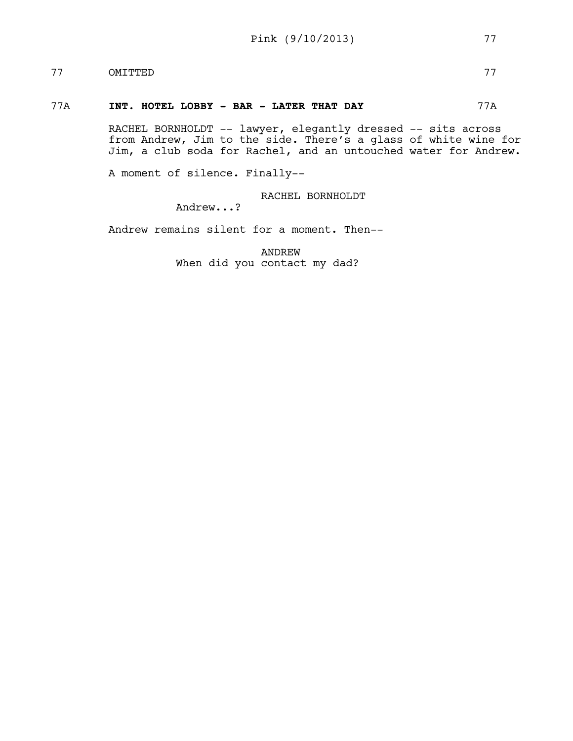# 77 OMITTED 77

## 77A **INT. HOTEL LOBBY - BAR - LATER THAT DAY** 77A

RACHEL BORNHOLDT -- lawyer, elegantly dressed -- sits across from Andrew, Jim to the side. There's a glass of white wine for Jim, a club soda for Rachel, and an untouched water for Andrew.

A moment of silence. Finally--

RACHEL BORNHOLDT

Andrew...?

Andrew remains silent for a moment. Then--

ANDREW When did you contact my dad?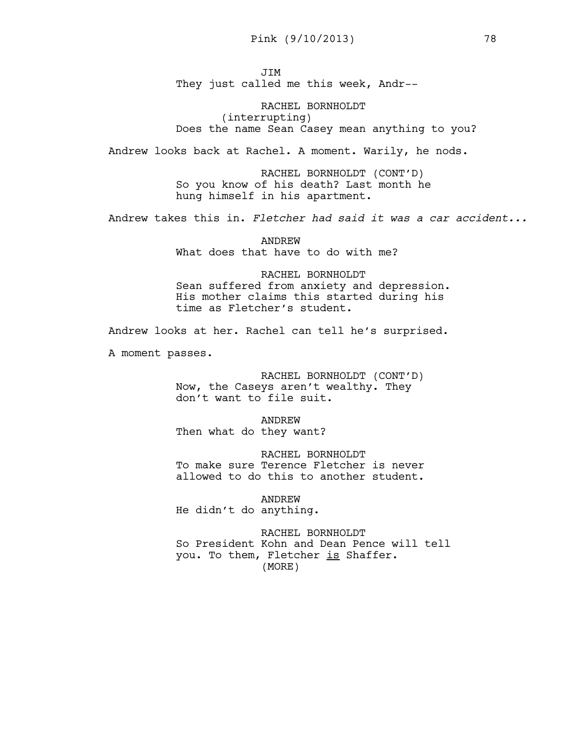JIM They just called me this week, Andr--

RACHEL BORNHOLDT (interrupting) Does the name Sean Casey mean anything to you?

Andrew looks back at Rachel. A moment. Warily, he nods.

RACHEL BORNHOLDT (CONT'D) So you know of his death? Last month he hung himself in his apartment.

Andrew takes this in. *Fletcher had said it was a car accident...*

ANDREW What does that have to do with me?

RACHEL BORNHOLDT Sean suffered from anxiety and depression. His mother claims this started during his time as Fletcher's student.

Andrew looks at her. Rachel can tell he's surprised.

A moment passes.

RACHEL BORNHOLDT (CONT'D) Now, the Caseys aren't wealthy. They don't want to file suit.

ANDREW Then what do they want?

RACHEL BORNHOLDT To make sure Terence Fletcher is never allowed to do this to another student.

ANDREW He didn't do anything.

RACHEL BORNHOLDT So President Kohn and Dean Pence will tell you. To them, Fletcher is Shaffer. (MORE)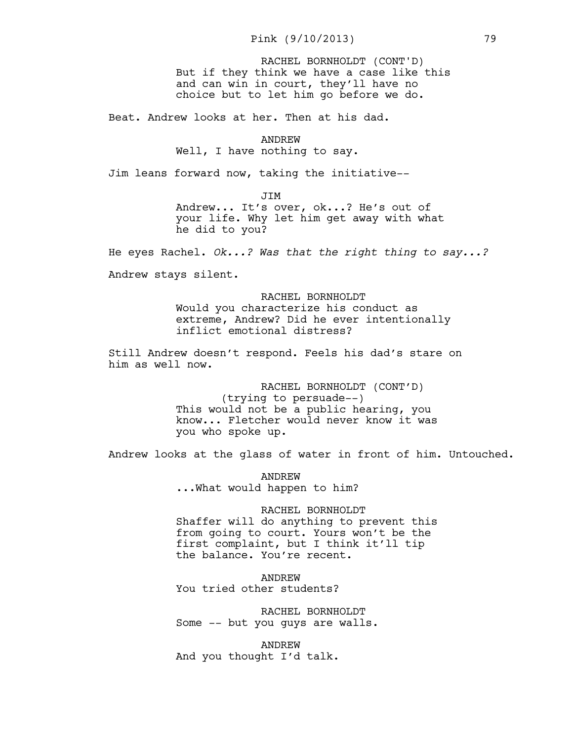But if they think we have a case like this and can win in court, they'll have no choice but to let him go before we do. RACHEL BORNHOLDT (CONT'D)

Beat. Andrew looks at her. Then at his dad.

ANDREW Well, I have nothing to say.

Jim leans forward now, taking the initiative--

JIM

Andrew... It's over, ok...? He's out of your life. Why let him get away with what he did to you?

He eyes Rachel. *Ok...? Was that the right thing to say...?* 

Andrew stays silent.

RACHEL BORNHOLDT Would you characterize his conduct as extreme, Andrew? Did he ever intentionally inflict emotional distress?

Still Andrew doesn't respond. Feels his dad's stare on him as well now.

> RACHEL BORNHOLDT (CONT'D) (trying to persuade--) This would not be a public hearing, you know... Fletcher would never know it was you who spoke up.

Andrew looks at the glass of water in front of him. Untouched.

ANDREW ...What would happen to him?

RACHEL BORNHOLDT Shaffer will do anything to prevent this from going to court. Yours won't be the first complaint, but I think it'll tip the balance. You're recent.

ANDREW You tried other students?

RACHEL BORNHOLDT Some -- but you guys are walls.

ANDREW And you thought I'd talk.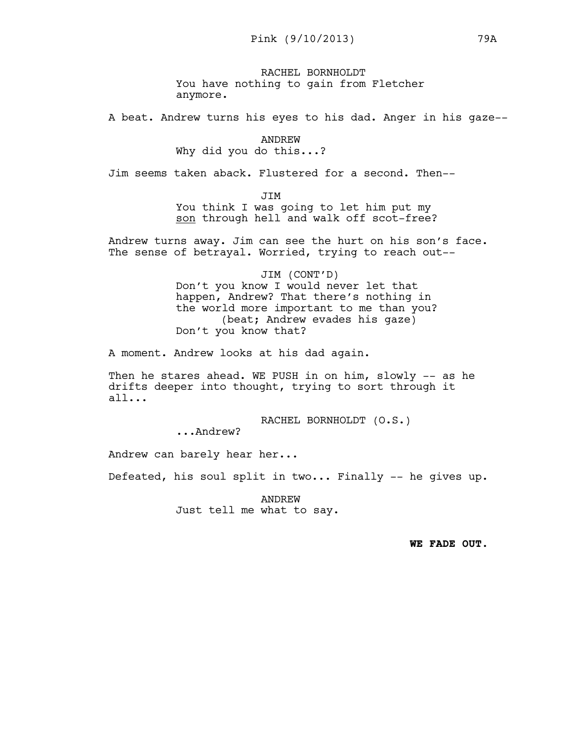RACHEL BORNHOLDT You have nothing to gain from Fletcher anymore.

A beat. Andrew turns his eyes to his dad. Anger in his gaze--

ANDREW Why did you do this...?

Jim seems taken aback. Flustered for a second. Then--

**JTM** 

You think I was going to let him put my son through hell and walk off scot-free?

Andrew turns away. Jim can see the hurt on his son's face. The sense of betrayal. Worried, trying to reach out--

> JIM (CONT'D) Don't you know I would never let that happen, Andrew? That there's nothing in the world more important to me than you? (beat; Andrew evades his gaze) Don't you know that?

A moment. Andrew looks at his dad again.

Then he stares ahead. WE PUSH in on him, slowly -- as he drifts deeper into thought, trying to sort through it all...

RACHEL BORNHOLDT (O.S.)

...Andrew?

Andrew can barely hear her...

Defeated, his soul split in two... Finally -- he gives up.

ANDREW Just tell me what to say.

**WE FADE OUT.**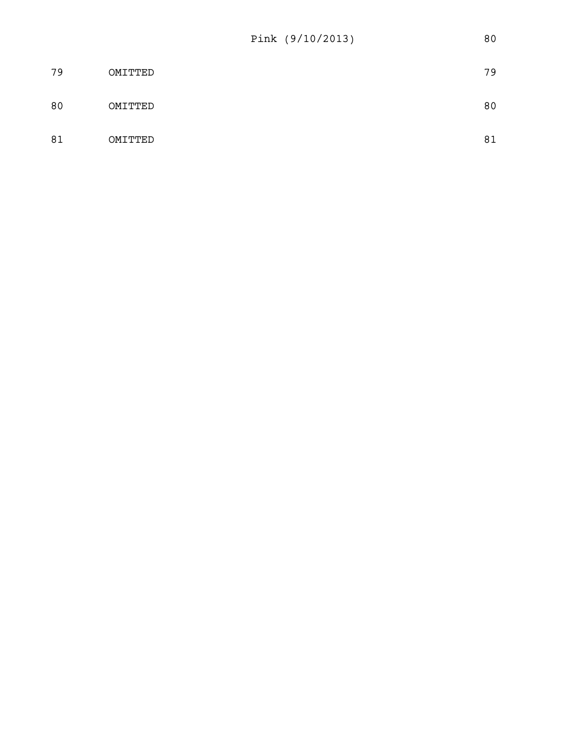| 79 | OMITTED | 79 |
|----|---------|----|
| 80 | OMITTED | 80 |
| 81 | OMITTED | 81 |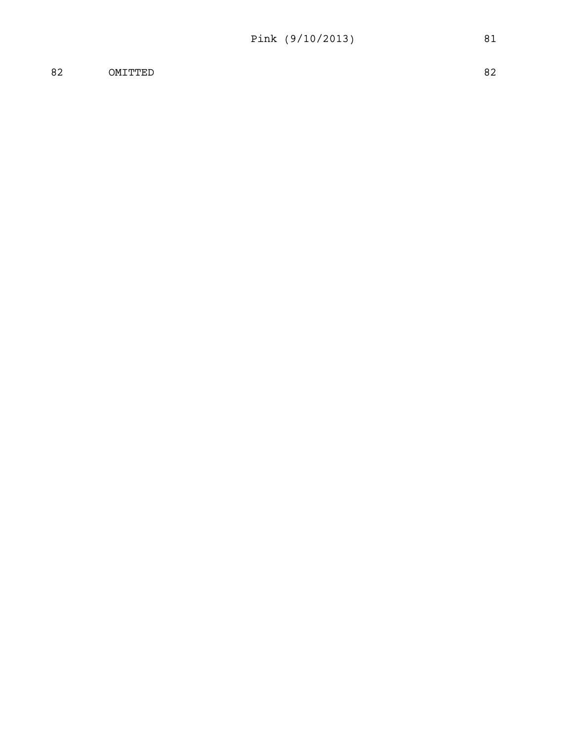82 OMITTED 82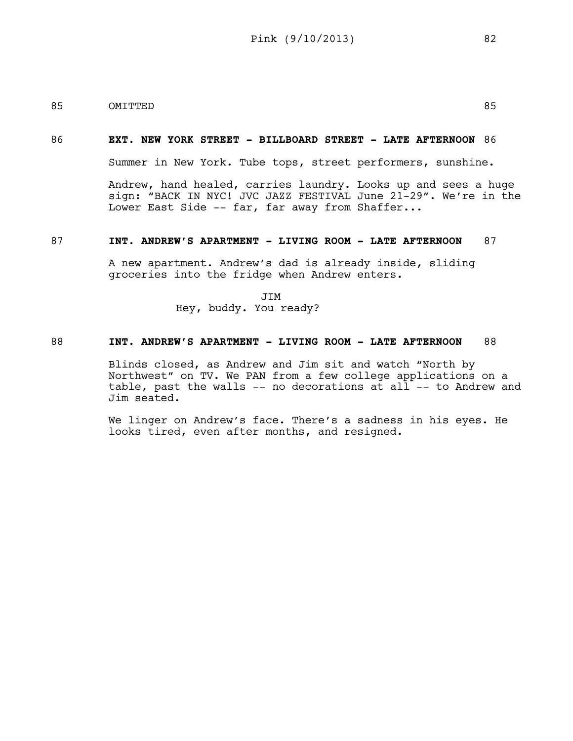# 85 OMITTED 85

## 86 **EXT. NEW YORK STREET - BILLBOARD STREET - LATE AFTERNOON** 86

Summer in New York. Tube tops, street performers, sunshine.

Andrew, hand healed, carries laundry. Looks up and sees a huge sign: "BACK IN NYC! JVC JAZZ FESTIVAL June 21-29". We're in the Lower East Side -- far, far away from Shaffer...

## 87 **INT. ANDREW'S APARTMENT - LIVING ROOM - LATE AFTERNOON** 87

A new apartment. Andrew's dad is already inside, sliding groceries into the fridge when Andrew enters.

> JIM Hey, buddy. You ready?

# 88 **INT. ANDREW'S APARTMENT - LIVING ROOM - LATE AFTERNOON** 88

Blinds closed, as Andrew and Jim sit and watch "North by Northwest" on TV. We PAN from a few college applications on a table, past the walls -- no decorations at all -- to Andrew and Jim seated.

We linger on Andrew's face. There's a sadness in his eyes. He looks tired, even after months, and resigned.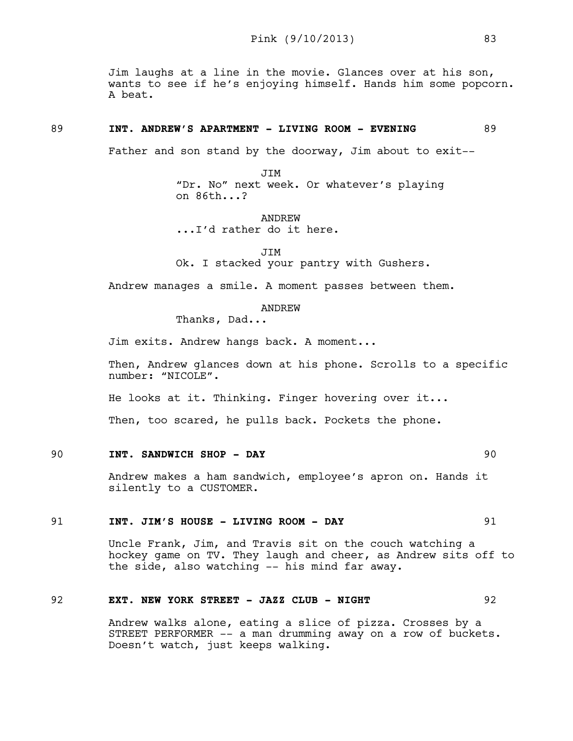Jim laughs at a line in the movie. Glances over at his son, wants to see if he's enjoying himself. Hands him some popcorn. A beat.

## 89 **INT. ANDREW'S APARTMENT - LIVING ROOM - EVENING** 89

Father and son stand by the doorway, Jim about to exit--

JIM "Dr. No" next week. Or whatever's playing on 86th...?

ANDREW ...I'd rather do it here.

JIM

Ok. I stacked your pantry with Gushers.

Andrew manages a smile. A moment passes between them.

ANDREW

Thanks, Dad...

Jim exits. Andrew hangs back. A moment...

Then, Andrew glances down at his phone. Scrolls to a specific number: "NICOLE".

He looks at it. Thinking. Finger hovering over it...

Then, too scared, he pulls back. Pockets the phone.

# 90 **INT. SANDWICH SHOP - DAY** 90

Andrew makes a ham sandwich, employee's apron on. Hands it silently to a CUSTOMER.

### 91 **INT. JIM'S HOUSE - LIVING ROOM - DAY** 91

Uncle Frank, Jim, and Travis sit on the couch watching a hockey game on TV. They laugh and cheer, as Andrew sits off to the side, also watching -- his mind far away.

## 92 **EXT. NEW YORK STREET - JAZZ CLUB - NIGHT** 92

Andrew walks alone, eating a slice of pizza. Crosses by a STREET PERFORMER -- a man drumming away on a row of buckets. Doesn't watch, just keeps walking.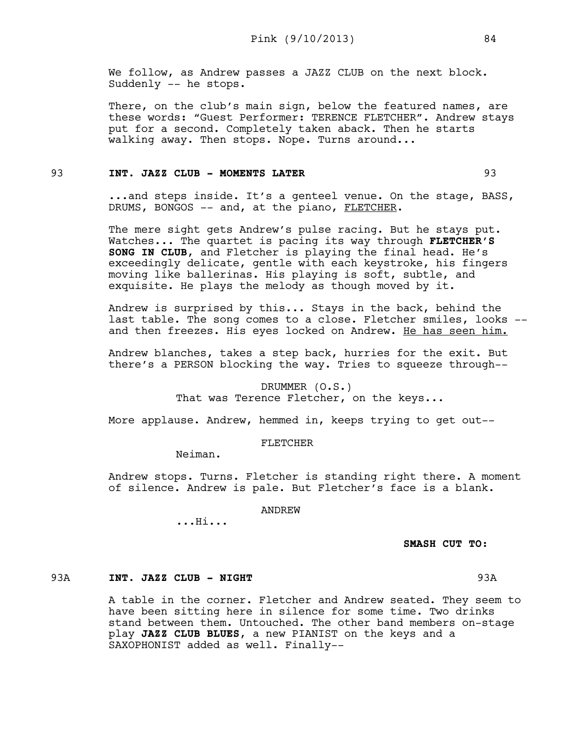We follow, as Andrew passes a JAZZ CLUB on the next block. Suddenly -- he stops.

There, on the club's main sign, below the featured names, are these words: "Guest Performer: TERENCE FLETCHER". Andrew stays put for a second. Completely taken aback. Then he starts walking away. Then stops. Nope. Turns around...

## 93 **INT. JAZZ CLUB - MOMENTS LATER** 93

...and steps inside. It's a genteel venue. On the stage, BASS, DRUMS, BONGOS -- and, at the piano, FLETCHER.

The mere sight gets Andrew's pulse racing. But he stays put. Watches... The quartet is pacing its way through **FLETCHER'S SONG IN CLUB**, and Fletcher is playing the final head. He's exceedingly delicate, gentle with each keystroke, his fingers moving like ballerinas. His playing is soft, subtle, and exquisite. He plays the melody as though moved by it.

Andrew is surprised by this... Stays in the back, behind the last table. The song comes to a close. Fletcher smiles, looks - and then freezes. His eyes locked on Andrew. He has seen him.

Andrew blanches, takes a step back, hurries for the exit. But there's a PERSON blocking the way. Tries to squeeze through--

## DRUMMER (O.S.)

That was Terence Fletcher, on the keys...

More applause. Andrew, hemmed in, keeps trying to get out--

## FLETCHER

Neiman.

Andrew stops. Turns. Fletcher is standing right there. A moment of silence. Andrew is pale. But Fletcher's face is a blank.

ANDREW

...Hi...

# **SMASH CUT TO:**

# 93A **INT. JAZZ CLUB - NIGHT** 93A

A table in the corner. Fletcher and Andrew seated. They seem to have been sitting here in silence for some time. Two drinks stand between them. Untouched. The other band members on-stage play **JAZZ CLUB BLUES**, a new PIANIST on the keys and a SAXOPHONIST added as well. Finally--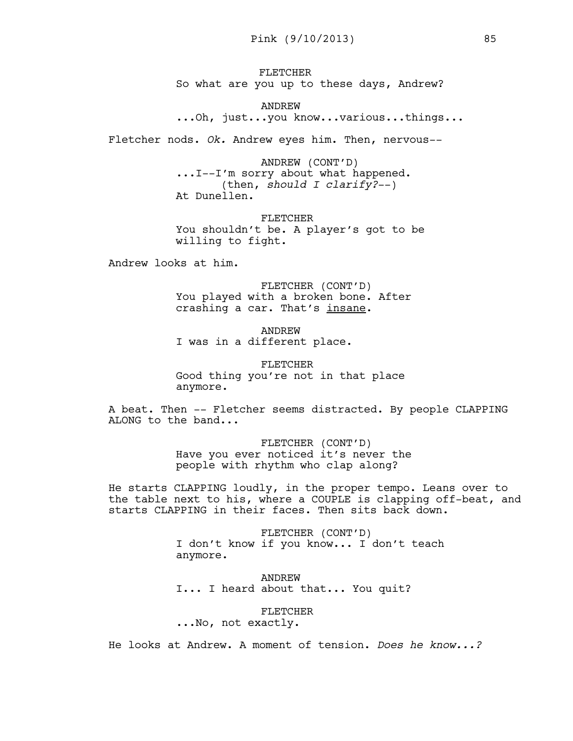FLETCHER So what are you up to these days, Andrew?

ANDREW ...Oh, just...you know...various...things...

Fletcher nods. *Ok.* Andrew eyes him. Then, nervous--

ANDREW (CONT'D) ...I--I'm sorry about what happened. (then, *should I clarify?*--) At Dunellen.

FLETCHER You shouldn't be. A player's got to be willing to fight.

Andrew looks at him.

FLETCHER (CONT'D) You played with a broken bone. After crashing a car. That's insane.

ANDREW I was in a different place.

FLETCHER Good thing you're not in that place anymore.

A beat. Then -- Fletcher seems distracted. By people CLAPPING ALONG to the band...

> FLETCHER (CONT'D) Have you ever noticed it's never the people with rhythm who clap along?

He starts CLAPPING loudly, in the proper tempo. Leans over to the table next to his, where a COUPLE is clapping off-beat, and starts CLAPPING in their faces. Then sits back down.

> FLETCHER (CONT'D) I don't know if you know... I don't teach anymore.

ANDREW I... I heard about that... You quit?

FLETCHER ...No, not exactly.

He looks at Andrew. A moment of tension. *Does he know...?*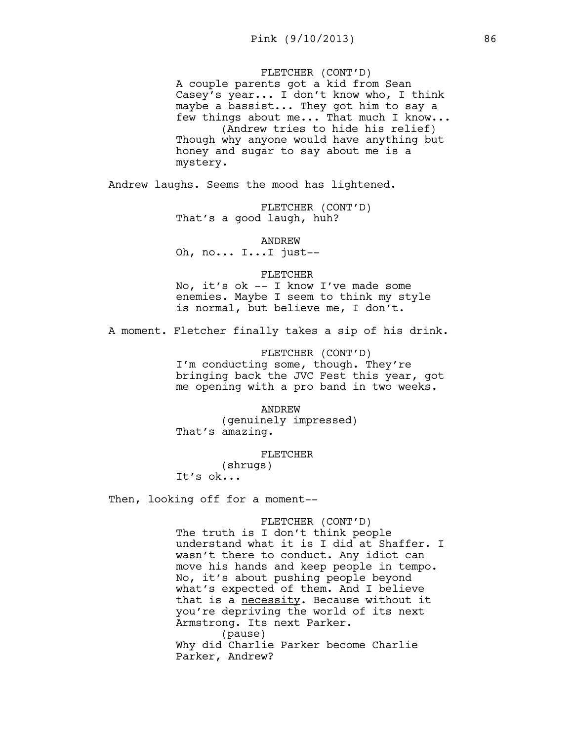## FLETCHER (CONT'D)

A couple parents got a kid from Sean Casey's year... I don't know who, I think maybe a bassist... They got him to say a few things about me... That much I know... (Andrew tries to hide his relief) Though why anyone would have anything but honey and sugar to say about me is a mystery.

Andrew laughs. Seems the mood has lightened.

FLETCHER (CONT'D) That's a good laugh, huh?

ANDREW Oh, no... I...I just--

#### FLETCHER

No, it's ok -- I know I've made some enemies. Maybe I seem to think my style is normal, but believe me, I don't.

A moment. Fletcher finally takes a sip of his drink.

FLETCHER (CONT'D) I'm conducting some, though. They're bringing back the JVC Fest this year, got me opening with a pro band in two weeks.

ANDREW (genuinely impressed) That's amazing.

FLETCHER

(shrugs) It's ok...

Then, looking off for a moment--

#### FLETCHER (CONT'D)

The truth is I don't think people understand what it is I did at Shaffer. I wasn't there to conduct. Any idiot can move his hands and keep people in tempo. No, it's about pushing people beyond what's expected of them. And I believe that is a necessity. Because without it you're depriving the world of its next Armstrong. Its next Parker. (pause) Why did Charlie Parker become Charlie Parker, Andrew?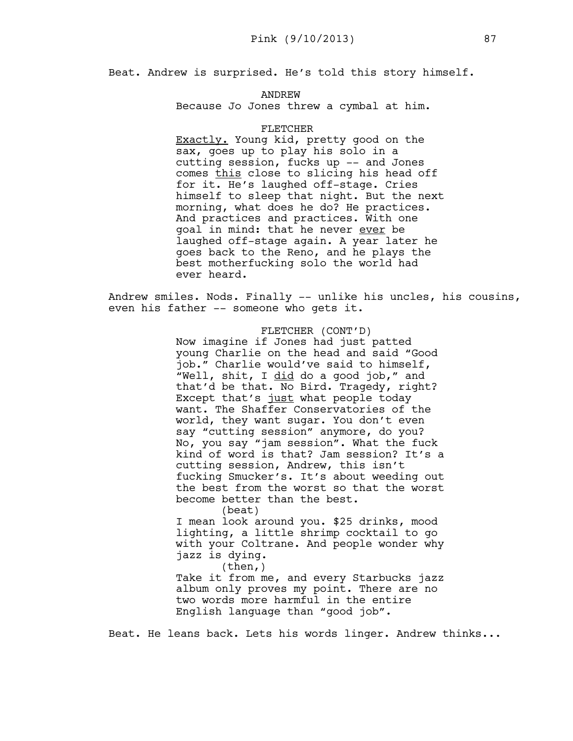Beat. Andrew is surprised. He's told this story himself.

ANDREW Because Jo Jones threw a cymbal at him.

## FLETCHER

Exactly. Young kid, pretty good on the sax, goes up to play his solo in a cutting session, fucks up -- and Jones comes this close to slicing his head off for it. He's laughed off-stage. Cries himself to sleep that night. But the next morning, what does he do? He practices. And practices and practices. With one goal in mind: that he never ever be laughed off-stage again. A year later he goes back to the Reno, and he plays the best motherfucking solo the world had ever heard.

Andrew smiles. Nods. Finally -- unlike his uncles, his cousins, even his father -- someone who gets it.

> FLETCHER (CONT'D) Now imagine if Jones had just patted young Charlie on the head and said "Good job." Charlie would've said to himself, "Well, shit, I did do a good job," and that'd be that. No Bird. Tragedy, right? Except that's just what people today want. The Shaffer Conservatories of the world, they want sugar. You don't even say "cutting session" anymore, do you? No, you say "jam session". What the fuck kind of word is that? Jam session? It's a cutting session, Andrew, this isn't fucking Smucker's. It's about weeding out the best from the worst so that the worst become better than the best. (beat) I mean look around you. \$25 drinks, mood

lighting, a little shrimp cocktail to go with your Coltrane. And people wonder why jazz is dying.

 $(then, )$ Take it from me, and every Starbucks jazz album only proves my point. There are no two words more harmful in the entire English language than "good job".

Beat. He leans back. Lets his words linger. Andrew thinks...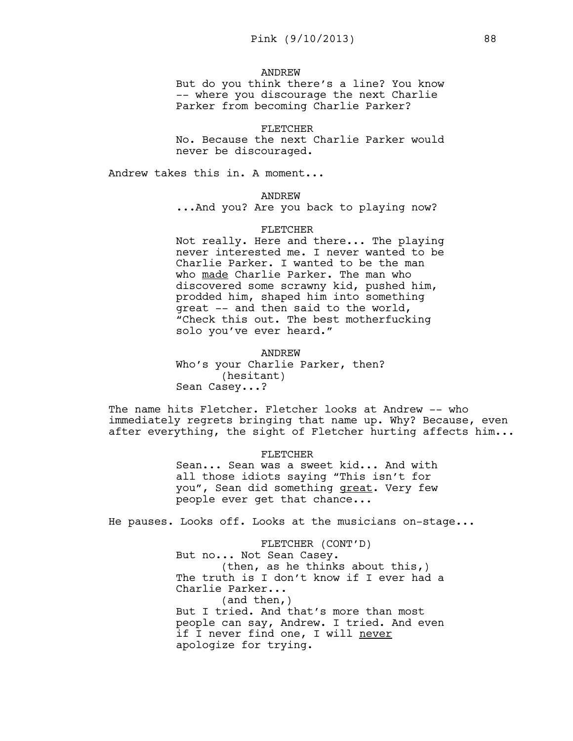#### ANDREW

But do you think there's a line? You know -- where you discourage the next Charlie Parker from becoming Charlie Parker?

## FLETCHER

No. Because the next Charlie Parker would never be discouraged.

Andrew takes this in. A moment...

#### ANDREW

...And you? Are you back to playing now?

#### FLETCHER

Not really. Here and there... The playing never interested me. I never wanted to be Charlie Parker. I wanted to be the man who made Charlie Parker. The man who discovered some scrawny kid, pushed him, prodded him, shaped him into something great -- and then said to the world, "Check this out. The best motherfucking solo you've ever heard."

# ANDREW

Who's your Charlie Parker, then? (hesitant) Sean Casey...?

The name hits Fletcher. Fletcher looks at Andrew -- who immediately regrets bringing that name up. Why? Because, even after everything, the sight of Fletcher hurting affects him...

# FLETCHER Sean... Sean was a sweet kid... And with all those idiots saying "This isn't for you", Sean did something great. Very few people ever get that chance...

He pauses. Looks off. Looks at the musicians on-stage...

FLETCHER (CONT'D) But no... Not Sean Casey. (then, as he thinks about this,) The truth is I don't know if I ever had a Charlie Parker... (and then,) But I tried. And that's more than most people can say, Andrew. I tried. And even if I never find one, I will never apologize for trying.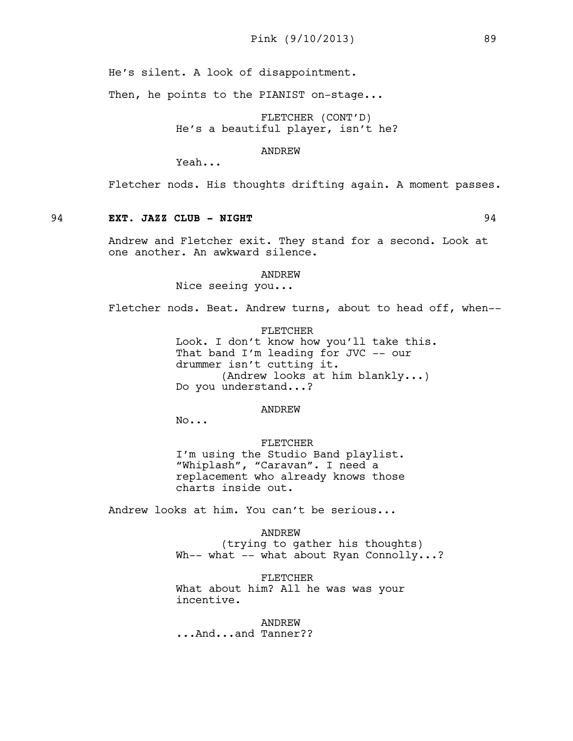He's silent. A look of disappointment.

Then, he points to the PIANIST on-stage...

FLETCHER (CONT'D) He's a beautiful player, isn't he?

ANDREW

Yeah...

Fletcher nods. His thoughts drifting again. A moment passes.

## 94 **EXT. JAZZ CLUB - NIGHT** 94

Andrew and Fletcher exit. They stand for a second. Look at one another. An awkward silence.

#### ANDREW

Nice seeing you...

Fletcher nods. Beat. Andrew turns, about to head off, when--

FLETCHER Look. I don't know how you'll take this. That band I'm leading for JVC -- our drummer isn't cutting it. (Andrew looks at him blankly...) Do you understand...?

#### ANDREW

No...

FLETCHER I'm using the Studio Band playlist. "Whiplash", "Caravan". I need a replacement who already knows those charts inside out.

Andrew looks at him. You can't be serious...

ANDREW (trying to gather his thoughts) Wh-- what -- what about Ryan Connolly...?

FLETCHER What about him? All he was was your incentive.

## ANDREW

...And...and Tanner??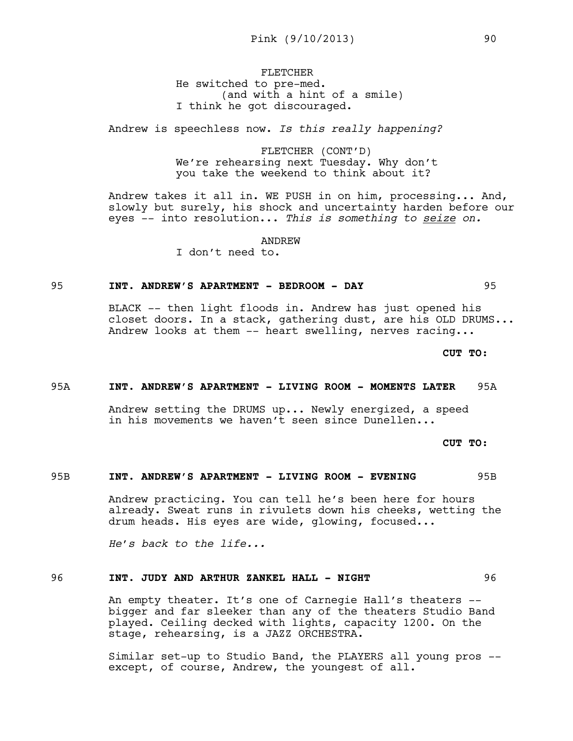# FLETCHER He switched to pre-med. (and with a hint of a smile) I think he got discouraged.

Andrew is speechless now. *Is this really happening?* 

FLETCHER (CONT'D) We're rehearsing next Tuesday. Why don't you take the weekend to think about it?

Andrew takes it all in. WE PUSH in on him, processing... And, slowly but surely, his shock and uncertainty harden before our eyes -- into resolution... *This is something to seize on.* 

ANDREW

I don't need to.

## 95 **INT. ANDREW'S APARTMENT - BEDROOM - DAY** 95

BLACK -- then light floods in. Andrew has just opened his closet doors. In a stack, gathering dust, are his OLD DRUMS... Andrew looks at them -- heart swelling, nerves racing...

**CUT TO:**

## 95A **INT. ANDREW'S APARTMENT - LIVING ROOM - MOMENTS LATER** 95A

Andrew setting the DRUMS up... Newly energized, a speed in his movements we haven't seen since Dunellen...

**CUT TO:**

## 95B **INT. ANDREW'S APARTMENT - LIVING ROOM - EVENING** 95B

Andrew practicing. You can tell he's been here for hours already. Sweat runs in rivulets down his cheeks, wetting the drum heads. His eyes are wide, glowing, focused...

*He's back to the life...*

# 96 **INT. JUDY AND ARTHUR ZANKEL HALL - NIGHT** 96

An empty theater. It's one of Carnegie Hall's theaters - bigger and far sleeker than any of the theaters Studio Band played. Ceiling decked with lights, capacity 1200. On the stage, rehearsing, is a JAZZ ORCHESTRA.

Similar set-up to Studio Band, the PLAYERS all young pros - except, of course, Andrew, the youngest of all.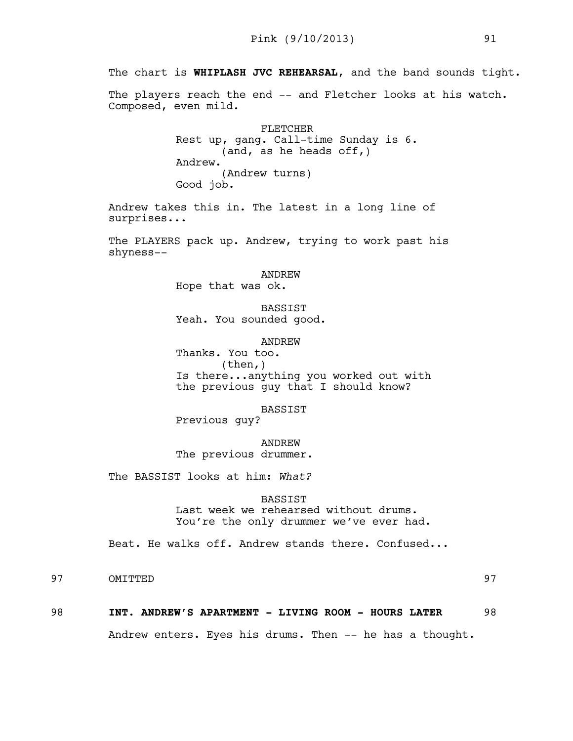The chart is **WHIPLASH JVC REHEARSAL**, and the band sounds tight.

The players reach the end -- and Fletcher looks at his watch. Composed, even mild.

> FLETCHER Rest up, gang. Call-time Sunday is 6. (and, as he heads off,) Andrew. (Andrew turns) Good job.

Andrew takes this in. The latest in a long line of surprises...

The PLAYERS pack up. Andrew, trying to work past his shyness--

ANDREW

Hope that was ok.

BASSIST Yeah. You sounded good.

ANDREW

Thanks. You too. (then,) Is there...anything you worked out with the previous guy that I should know?

BASSIST

Previous guy?

ANDREW The previous drummer.

The BASSIST looks at him: *What?* 

## BASSIST

Last week we rehearsed without drums. You're the only drummer we've ever had.

Beat. He walks off. Andrew stands there. Confused...

97 OMITTED 97

## 98 **INT. ANDREW'S APARTMENT - LIVING ROOM - HOURS LATER** 98

Andrew enters. Eyes his drums. Then -- he has a thought.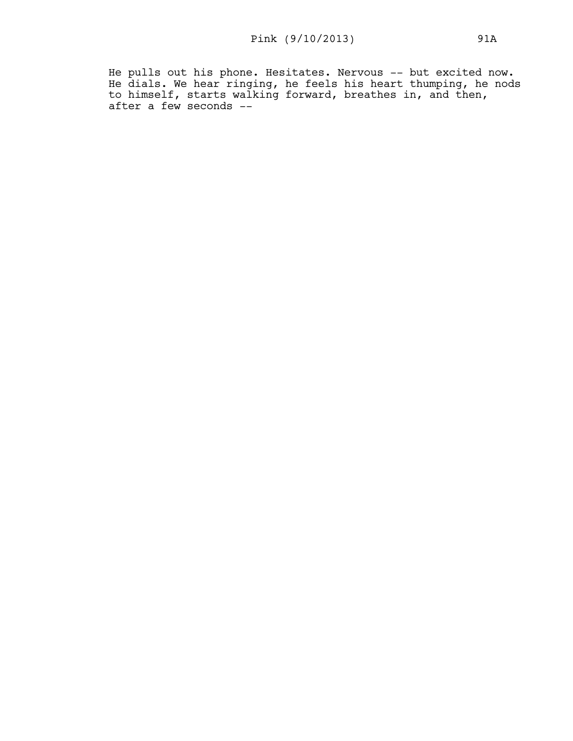He pulls out his phone. Hesitates. Nervous -- but excited now. He dials. We hear ringing, he feels his heart thumping, he nods to himself, starts walking forward, breathes in, and then, after a few seconds --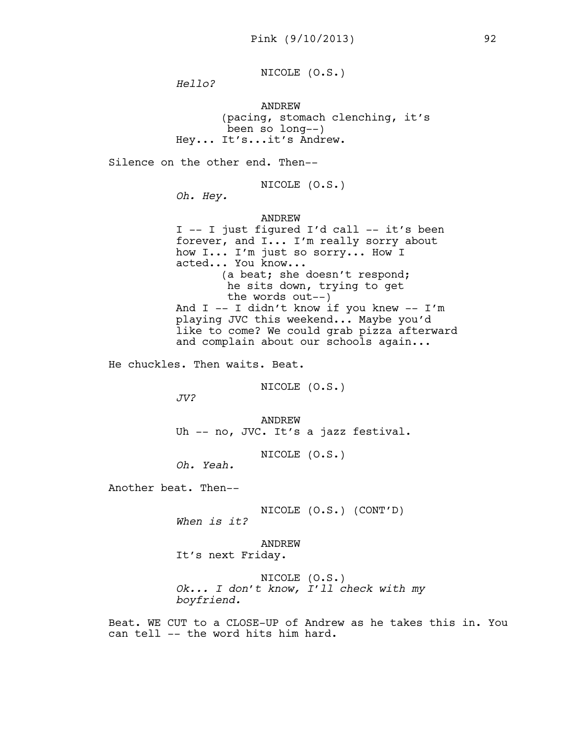NICOLE (O.S.)

*Hello?* 

ANDREW (pacing, stomach clenching, it's been so long--) Hey... It's...it's Andrew.

Silence on the other end. Then--

NICOLE (O.S.)

*Oh. Hey.*

ANDREW I -- I just figured I'd call -- it's been forever, and I... I'm really sorry about how I... I'm just so sorry... How I acted... You know... (a beat; she doesn't respond; he sits down, trying to get the words out--) And  $I$  -- I didn't know if you knew -- I'm playing JVC this weekend... Maybe you'd like to come? We could grab pizza afterward and complain about our schools again...

He chuckles. Then waits. Beat.

NICOLE (O.S.)

*JV?*

ANDREW Uh -- no, JVC. It's a jazz festival.

NICOLE (O.S.)

*Oh. Yeah.* 

Another beat. Then--

NICOLE (O.S.) (CONT'D)

*When is it?* 

ANDREW It's next Friday.

NICOLE (O.S.) *Ok... I don't know, I'll check with my boyfriend.* 

Beat. WE CUT to a CLOSE-UP of Andrew as he takes this in. You can tell -- the word hits him hard.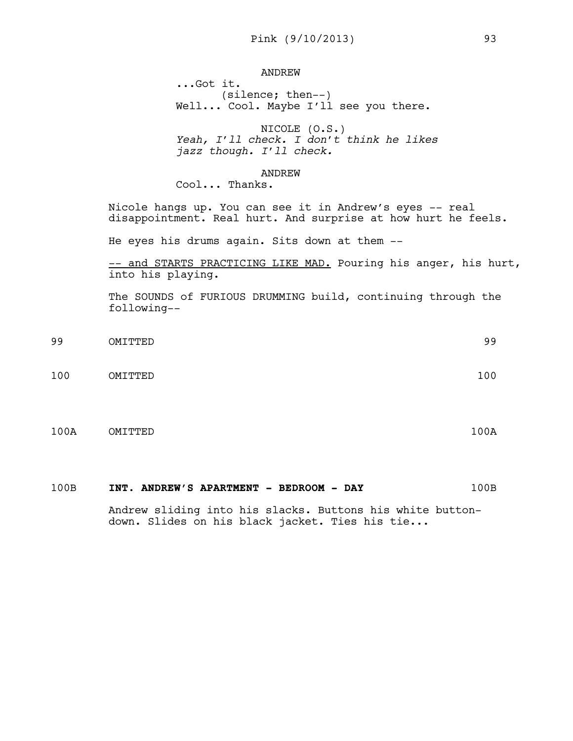# ANDREW

...Got it. (silence; then--) Well... Cool. Maybe I'll see you there.

NICOLE (O.S.) *Yeah, I'll check. I don't think he likes jazz though. I'll check.* 

## ANDREW

Cool... Thanks.

Nicole hangs up. You can see it in Andrew's eyes -- real disappointment. Real hurt. And surprise at how hurt he feels.

He eyes his drums again. Sits down at them --

-- and STARTS PRACTICING LIKE MAD. Pouring his anger, his hurt, into his playing.

The SOUNDS of FURIOUS DRUMMING build, continuing through the following--

- 99 OMITTED 99 100 OMITTED 100
- 100A OMITTED 100A

## 100B **INT. ANDREW'S APARTMENT - BEDROOM - DAY** 100B

Andrew sliding into his slacks. Buttons his white buttondown. Slides on his black jacket. Ties his tie...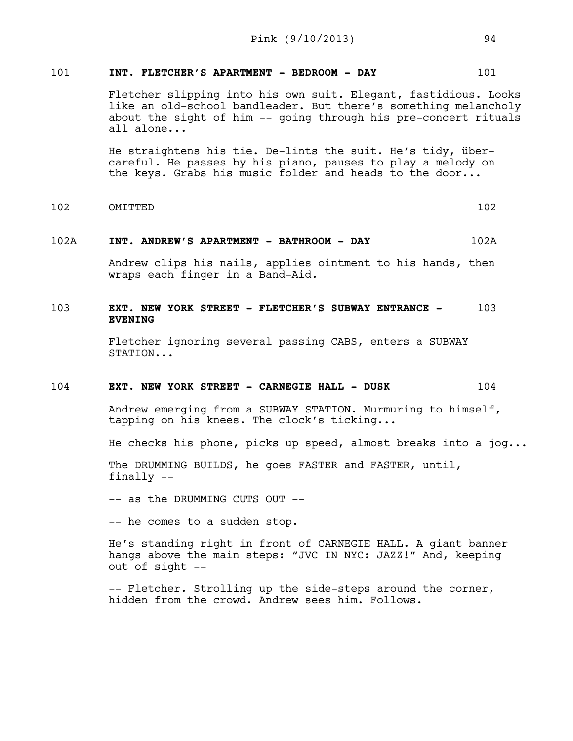# 101 **INT. FLETCHER'S APARTMENT - BEDROOM - DAY** 101

Fletcher slipping into his own suit. Elegant, fastidious. Looks like an old-school bandleader. But there's something melancholy about the sight of him -- going through his pre-concert rituals all alone...

He straightens his tie. De-lints the suit. He's tidy, übercareful. He passes by his piano, pauses to play a melody on the keys. Grabs his music folder and heads to the door...

102 OMITTED 102

## 102A **INT. ANDREW'S APARTMENT - BATHROOM - DAY** 102A

Andrew clips his nails, applies ointment to his hands, then wraps each finger in a Band-Aid.

# 103 **EXT. NEW YORK STREET - FLETCHER'S SUBWAY ENTRANCE -** 103 **EVENING**

Fletcher ignoring several passing CABS, enters a SUBWAY STATION...

## 104 **EXT. NEW YORK STREET - CARNEGIE HALL - DUSK** 104

Andrew emerging from a SUBWAY STATION. Murmuring to himself, tapping on his knees. The clock's ticking...

He checks his phone, picks up speed, almost breaks into a jog...

The DRUMMING BUILDS, he goes FASTER and FASTER, until, finally --

-- as the DRUMMING CUTS OUT --

-- he comes to a sudden stop.

He's standing right in front of CARNEGIE HALL. A giant banner hangs above the main steps: "JVC IN NYC: JAZZ!" And, keeping out of sight --

-- Fletcher. Strolling up the side-steps around the corner, hidden from the crowd. Andrew sees him. Follows.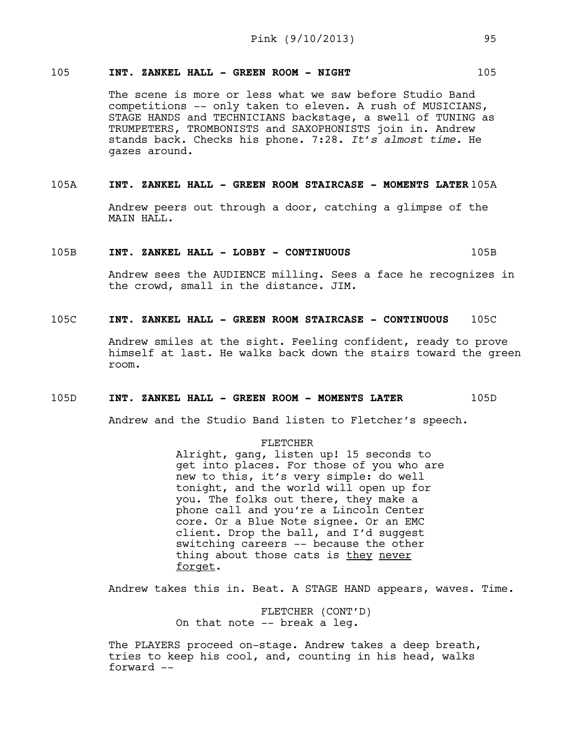# 105 **INT. ZANKEL HALL - GREEN ROOM - NIGHT** 105

The scene is more or less what we saw before Studio Band competitions -- only taken to eleven. A rush of MUSICIANS, STAGE HANDS and TECHNICIANS backstage, a swell of TUNING as TRUMPETERS, TROMBONISTS and SAXOPHONISTS join in. Andrew stands back. Checks his phone. 7:28. *It's almost time.* He gazes around.

## 105A **INT. ZANKEL HALL - GREEN ROOM STAIRCASE - MOMENTS LATER** 105A

Andrew peers out through a door, catching a glimpse of the MAIN HALL.

## 105B **INT. ZANKEL HALL - LOBBY - CONTINUOUS** 105B

Andrew sees the AUDIENCE milling. Sees a face he recognizes in the crowd, small in the distance. JIM.

# 105C **INT. ZANKEL HALL - GREEN ROOM STAIRCASE - CONTINUOUS** 105C

Andrew smiles at the sight. Feeling confident, ready to prove himself at last. He walks back down the stairs toward the green room.

## 105D **INT. ZANKEL HALL - GREEN ROOM - MOMENTS LATER** 105D

Andrew and the Studio Band listen to Fletcher's speech.

## FLETCHER

Alright, gang, listen up! 15 seconds to get into places. For those of you who are new to this, it's very simple: do well tonight, and the world will open up for you. The folks out there, they make a phone call and you're a Lincoln Center core. Or a Blue Note signee. Or an EMC client. Drop the ball, and I'd suggest switching careers -- because the other thing about those cats is they never forget.

Andrew takes this in. Beat. A STAGE HAND appears, waves. Time.

FLETCHER (CONT'D) On that note -- break a leg.

The PLAYERS proceed on-stage. Andrew takes a deep breath, tries to keep his cool, and, counting in his head, walks forward --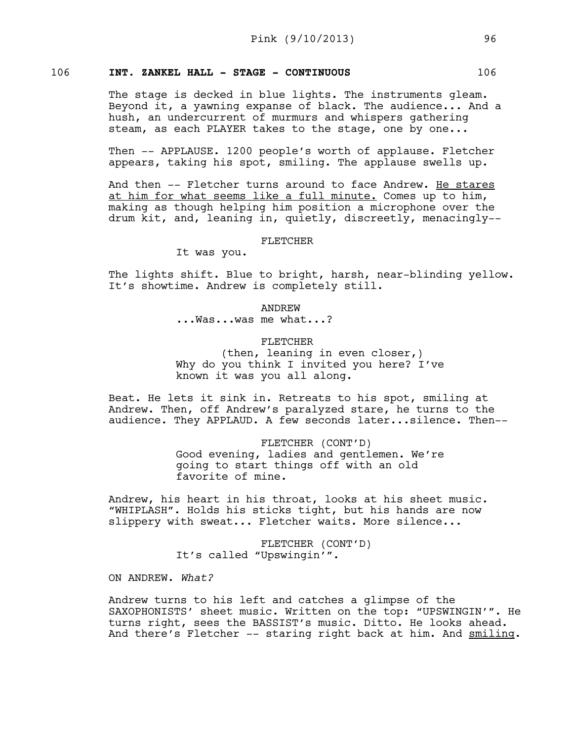# 106 **INT. ZANKEL HALL - STAGE - CONTINUOUS** 106

The stage is decked in blue lights. The instruments gleam. Beyond it, a yawning expanse of black. The audience... And a hush, an undercurrent of murmurs and whispers gathering steam, as each PLAYER takes to the stage, one by one...

Then -- APPLAUSE. 1200 people's worth of applause. Fletcher appears, taking his spot, smiling. The applause swells up.

And then -- Fletcher turns around to face Andrew. He stares at him for what seems like a full minute. Comes up to him, making as though helping him position a microphone over the drum kit, and, leaning in, quietly, discreetly, menacingly--

#### FLETCHER

It was you.

The lights shift. Blue to bright, harsh, near-blinding yellow. It's showtime. Andrew is completely still.

> ANDREW ...Was...was me what...?

## FLETCHER

(then, leaning in even closer,) Why do you think I invited you here? I've known it was you all along.

Beat. He lets it sink in. Retreats to his spot, smiling at Andrew. Then, off Andrew's paralyzed stare, he turns to the audience. They APPLAUD. A few seconds later...silence. Then--

> FLETCHER (CONT'D) Good evening, ladies and gentlemen. We're going to start things off with an old favorite of mine.

Andrew, his heart in his throat, looks at his sheet music. "WHIPLASH". Holds his sticks tight, but his hands are now slippery with sweat... Fletcher waits. More silence...

> FLETCHER (CONT'D) It's called "Upswingin'".

ON ANDREW. *What?* 

Andrew turns to his left and catches a glimpse of the SAXOPHONISTS' sheet music. Written on the top: "UPSWINGIN'". He turns right, sees the BASSIST's music. Ditto. He looks ahead. And there's Fletcher -- staring right back at him. And smiling.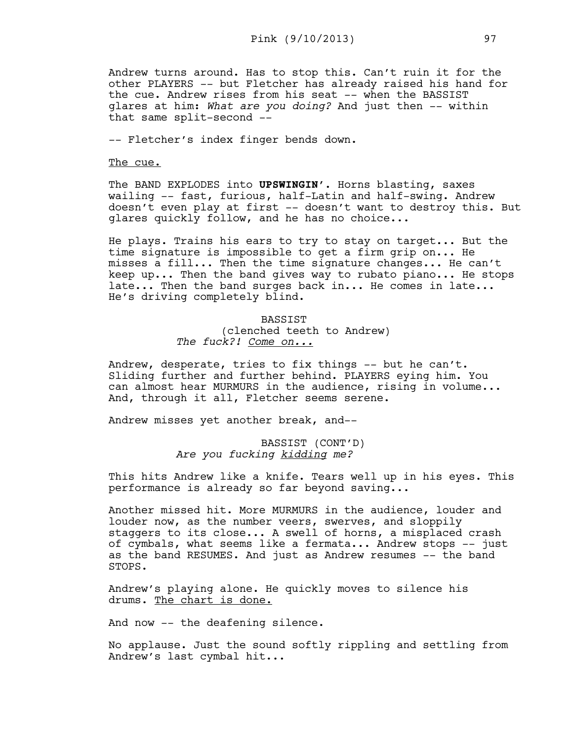Andrew turns around. Has to stop this. Can't ruin it for the other PLAYERS -- but Fletcher has already raised his hand for the cue. Andrew rises from his seat -- when the BASSIST glares at him: *What are you doing?* And just then -- within that same split-second --

-- Fletcher's index finger bends down.

The cue.

The BAND EXPLODES into **UPSWINGIN'**. Horns blasting, saxes wailing -- fast, furious, half-Latin and half-swing. Andrew doesn't even play at first -- doesn't want to destroy this. But glares quickly follow, and he has no choice...

He plays. Trains his ears to try to stay on target... But the time signature is impossible to get a firm grip on... He misses a fill... Then the time signature changes... He can't keep up... Then the band gives way to rubato piano... He stops late... Then the band surges back in... He comes in late... He's driving completely blind.

# BASSIST (clenched teeth to Andrew) *The fuck?! Come on...*

Andrew, desperate, tries to fix things -- but he can't. Sliding further and further behind. PLAYERS eying him. You can almost hear MURMURS in the audience, rising in volume... And, through it all, Fletcher seems serene.

Andrew misses yet another break, and--

BASSIST (CONT'D) *Are you fucking kidding me?*

This hits Andrew like a knife. Tears well up in his eyes. This performance is already so far beyond saving...

Another missed hit. More MURMURS in the audience, louder and louder now, as the number veers, swerves, and sloppily staggers to its close... A swell of horns, a misplaced crash of cymbals, what seems like a fermata... Andrew stops -- just as the band RESUMES. And just as Andrew resumes -- the band STOPS.

Andrew's playing alone. He quickly moves to silence his drums. The chart is done.

And now -- the deafening silence.

No applause. Just the sound softly rippling and settling from Andrew's last cymbal hit...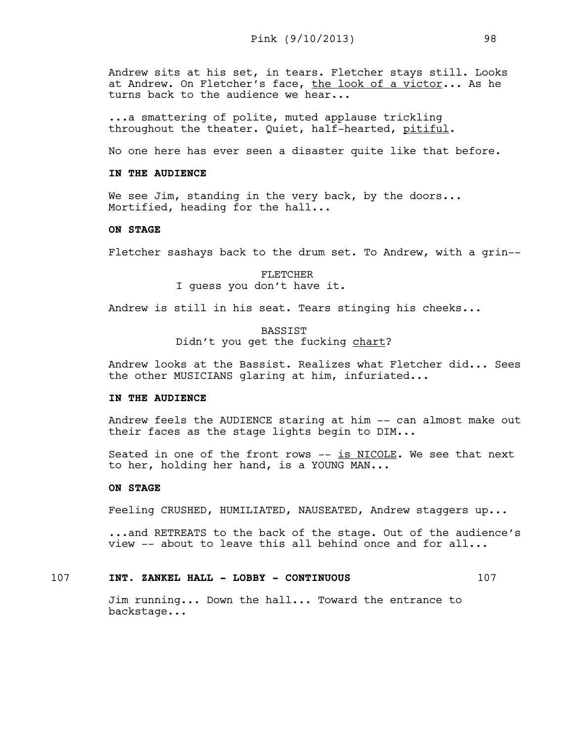Andrew sits at his set, in tears. Fletcher stays still. Looks at Andrew. On Fletcher's face, the look of a victor... As he turns back to the audience we hear...

...a smattering of polite, muted applause trickling throughout the theater. Quiet, half-hearted, pitiful.

No one here has ever seen a disaster quite like that before.

#### **IN THE AUDIENCE**

We see Jim, standing in the very back, by the doors... Mortified, heading for the hall...

## **ON STAGE**

Fletcher sashays back to the drum set. To Andrew, with a grin--

FLETCHER I guess you don't have it.

Andrew is still in his seat. Tears stinging his cheeks...

BASSIST Didn't you get the fucking chart?

Andrew looks at the Bassist. Realizes what Fletcher did... Sees the other MUSICIANS glaring at him, infuriated...

## **IN THE AUDIENCE**

Andrew feels the AUDIENCE staring at him -- can almost make out their faces as the stage lights begin to DIM...

Seated in one of the front rows  $--$  is NICOLE. We see that next to her, holding her hand, is a YOUNG MAN...

## **ON STAGE**

Feeling CRUSHED, HUMILIATED, NAUSEATED, Andrew staggers up...

...and RETREATS to the back of the stage. Out of the audience's view -- about to leave this all behind once and for all...

# 107 **INT. ZANKEL HALL - LOBBY - CONTINUOUS** 107

Jim running... Down the hall... Toward the entrance to backstage...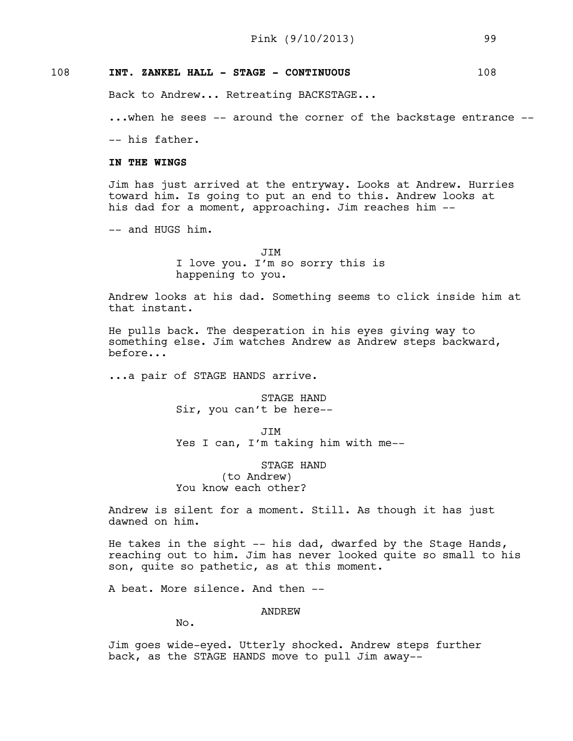# 108 **INT. ZANKEL HALL - STAGE - CONTINUOUS** 108

Back to Andrew... Retreating BACKSTAGE...

...when he sees -- around the corner of the backstage entrance --

-- his father.

# **IN THE WINGS**

Jim has just arrived at the entryway. Looks at Andrew. Hurries toward him. Is going to put an end to this. Andrew looks at his dad for a moment, approaching. Jim reaches him --

-- and HUGS him.

JIM I love you. I'm so sorry this is happening to you.

Andrew looks at his dad. Something seems to click inside him at that instant.

He pulls back. The desperation in his eyes giving way to something else. Jim watches Andrew as Andrew steps backward, before...

...a pair of STAGE HANDS arrive.

STAGE HAND Sir, you can't be here--

JIM Yes I can, I'm taking him with me--

STAGE HAND (to Andrew) You know each other?

Andrew is silent for a moment. Still. As though it has just dawned on him.

He takes in the sight -- his dad, dwarfed by the Stage Hands, reaching out to him. Jim has never looked quite so small to his son, quite so pathetic, as at this moment.

A beat. More silence. And then --

ANDREW

No.

Jim goes wide-eyed. Utterly shocked. Andrew steps further back, as the STAGE HANDS move to pull Jim away--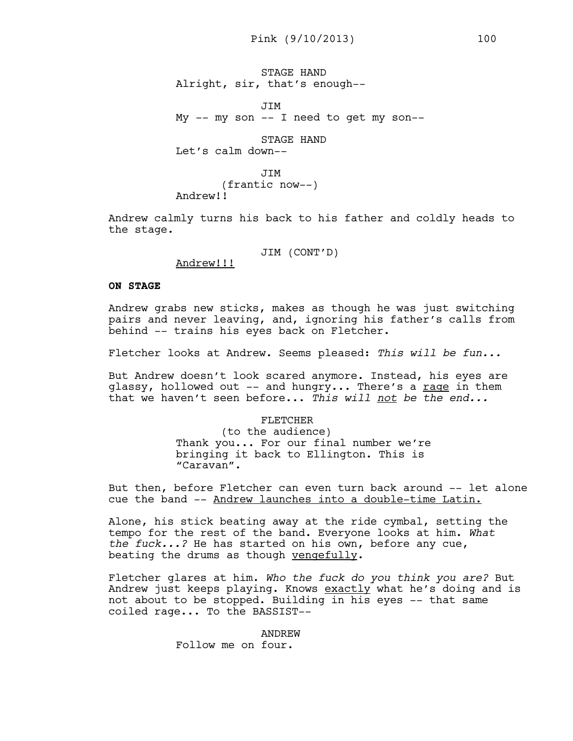STAGE HAND Alright, sir, that's enough--

JIM My -- my son -- I need to get my son--

STAGE HAND Let's calm down--

**JTM** (frantic now--) Andrew!!

Andrew calmly turns his back to his father and coldly heads to the stage.

JIM (CONT'D)

Andrew!!!

# **ON STAGE**

Andrew grabs new sticks, makes as though he was just switching pairs and never leaving, and, ignoring his father's calls from behind -- trains his eyes back on Fletcher.

Fletcher looks at Andrew. Seems pleased: *This will be fun...*

But Andrew doesn't look scared anymore. Instead, his eyes are glassy, hollowed out -- and hungry... There's a rage in them that we haven't seen before... *This will not be the end...* 

> FLETCHER (to the audience) Thank you... For our final number we're bringing it back to Ellington. This is "Caravan".

But then, before Fletcher can even turn back around -- let alone cue the band -- Andrew launches into a double-time Latin.

Alone, his stick beating away at the ride cymbal, setting the tempo for the rest of the band. Everyone looks at him. *What the fuck...?* He has started on his own, before any cue, beating the drums as though vengefully.

Fletcher glares at him. *Who the fuck do you think you are?* But Andrew just keeps playing. Knows exactly what he's doing and is not about to be stopped. Building in his eyes -- that same coiled rage... To the BASSIST--

> ANDREW Follow me on four.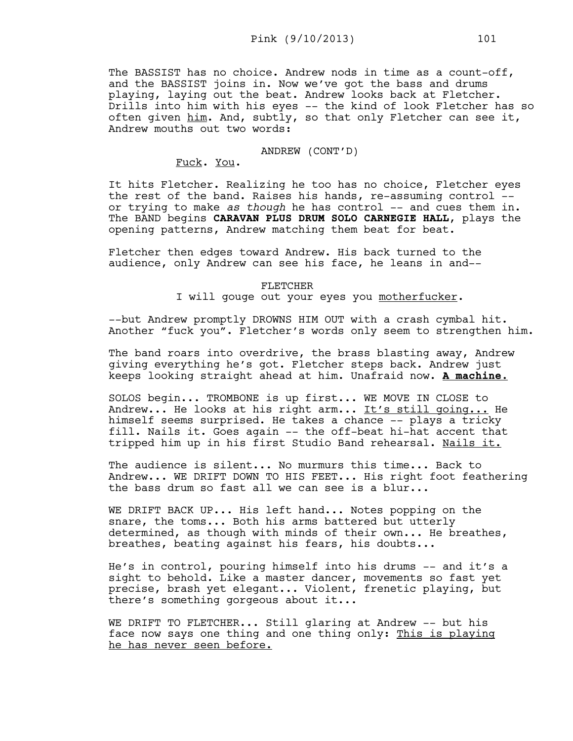The BASSIST has no choice. Andrew nods in time as a count-off, and the BASSIST joins in. Now we've got the bass and drums playing, laying out the beat. Andrew looks back at Fletcher. Drills into him with his eyes -- the kind of look Fletcher has so often given him. And, subtly, so that only Fletcher can see it, Andrew mouths out two words:

## ANDREW (CONT'D)

Fuck. You.

It hits Fletcher. Realizing he too has no choice, Fletcher eyes the rest of the band. Raises his hands, re-assuming control - or trying to make *as though* he has control -- and cues them in. The BAND begins **CARAVAN PLUS DRUM SOLO CARNEGIE HALL**, plays the opening patterns, Andrew matching them beat for beat.

Fletcher then edges toward Andrew. His back turned to the audience, only Andrew can see his face, he leans in and--

## FLETCHER

I will gouge out your eyes you motherfucker.

--but Andrew promptly DROWNS HIM OUT with a crash cymbal hit. Another "fuck you". Fletcher's words only seem to strengthen him.

The band roars into overdrive, the brass blasting away, Andrew giving everything he's got. Fletcher steps back. Andrew just keeps looking straight ahead at him. Unafraid now. **A machine.**

SOLOS begin... TROMBONE is up first... WE MOVE IN CLOSE to Andrew... He looks at his right arm... It's still going... He himself seems surprised. He takes a chance -- plays a tricky fill. Nails it. Goes again -- the off-beat hi-hat accent that tripped him up in his first Studio Band rehearsal. Nails it.

The audience is silent... No murmurs this time... Back to Andrew... WE DRIFT DOWN TO HIS FEET... His right foot feathering the bass drum so fast all we can see is a blur...

WE DRIFT BACK UP... His left hand... Notes popping on the snare, the toms... Both his arms battered but utterly determined, as though with minds of their own... He breathes, breathes, beating against his fears, his doubts...

He's in control, pouring himself into his drums -- and it's a sight to behold. Like a master dancer, movements so fast yet precise, brash yet elegant... Violent, frenetic playing, but there's something gorgeous about it...

WE DRIFT TO FLETCHER... Still glaring at Andrew -- but his face now says one thing and one thing only: This is playing he has never seen before.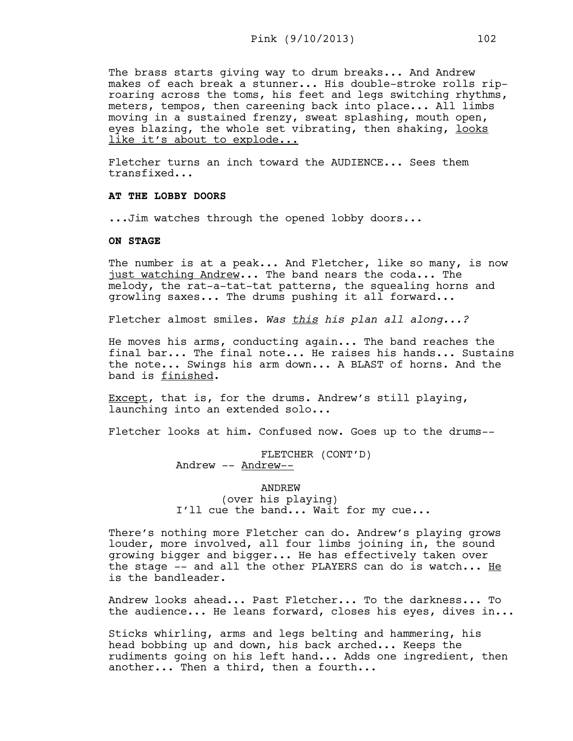The brass starts giving way to drum breaks... And Andrew makes of each break a stunner... His double-stroke rolls riproaring across the toms, his feet and legs switching rhythms, meters, tempos, then careening back into place... All limbs moving in a sustained frenzy, sweat splashing, mouth open, eyes blazing, the whole set vibrating, then shaking, looks like it's about to explode...

Fletcher turns an inch toward the AUDIENCE... Sees them transfixed...

# **AT THE LOBBY DOORS**

...Jim watches through the opened lobby doors...

#### **ON STAGE**

The number is at a peak... And Fletcher, like so many, is now just watching Andrew... The band nears the coda... The melody, the rat-a-tat-tat patterns, the squealing horns and growling saxes... The drums pushing it all forward...

Fletcher almost smiles. *Was this his plan all along...?*

He moves his arms, conducting again... The band reaches the final bar... The final note... He raises his hands... Sustains the note... Swings his arm down... A BLAST of horns. And the band is finished.

Except, that is, for the drums. Andrew's still playing, launching into an extended solo...

Fletcher looks at him. Confused now. Goes up to the drums--

FLETCHER (CONT'D) Andrew -- Andrew--

ANDREW (over his playing) I'll cue the band... Wait for my cue...

There's nothing more Fletcher can do. Andrew's playing grows louder, more involved, all four limbs joining in, the sound growing bigger and bigger... He has effectively taken over the stage  $--$  and all the other PLAYERS can do is watch... He is the bandleader.

Andrew looks ahead... Past Fletcher... To the darkness... To the audience... He leans forward, closes his eyes, dives in...

Sticks whirling, arms and legs belting and hammering, his head bobbing up and down, his back arched... Keeps the rudiments going on his left hand... Adds one ingredient, then another... Then a third, then a fourth...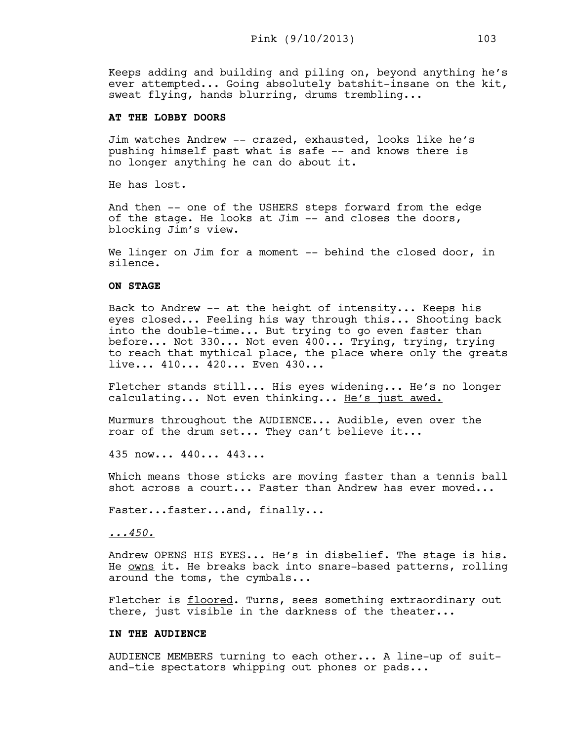Keeps adding and building and piling on, beyond anything he's ever attempted... Going absolutely batshit-insane on the kit, sweat flying, hands blurring, drums trembling...

## **AT THE LOBBY DOORS**

Jim watches Andrew -- crazed, exhausted, looks like he's pushing himself past what is safe -- and knows there is no longer anything he can do about it.

He has lost.

And then -- one of the USHERS steps forward from the edge of the stage. He looks at Jim -- and closes the doors, blocking Jim's view.

We linger on Jim for a moment -- behind the closed door, in silence.

## **ON STAGE**

Back to Andrew -- at the height of intensity... Keeps his eyes closed... Feeling his way through this... Shooting back into the double-time... But trying to go even faster than before... Not 330... Not even 400... Trying, trying, trying to reach that mythical place, the place where only the greats live... 410... 420... Even 430...

Fletcher stands still... His eyes widening... He's no longer calculating... Not even thinking... He's just awed.

Murmurs throughout the AUDIENCE... Audible, even over the roar of the drum set... They can't believe it...

435 now... 440... 443...

Which means those sticks are moving faster than a tennis ball shot across a court... Faster than Andrew has ever moved...

Faster...faster...and, finally...

*...450.*

Andrew OPENS HIS EYES... He's in disbelief. The stage is his. He owns it. He breaks back into snare-based patterns, rolling around the toms, the cymbals...

Fletcher is floored. Turns, sees something extraordinary out there, just visible in the darkness of the theater...

#### **IN THE AUDIENCE**

AUDIENCE MEMBERS turning to each other... A line-up of suitand-tie spectators whipping out phones or pads...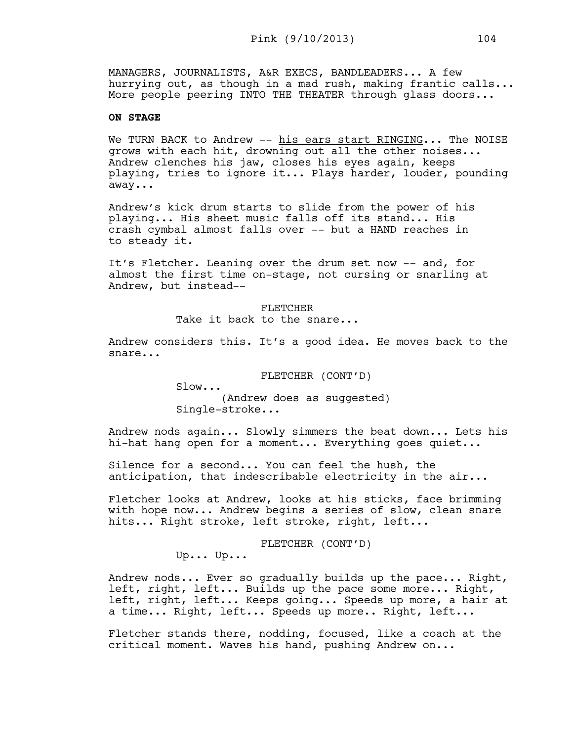MANAGERS, JOURNALISTS, A&R EXECS, BANDLEADERS... A few hurrying out, as though in a mad rush, making frantic calls... More people peering INTO THE THEATER through glass doors...

## **ON STAGE**

We TURN BACK to Andrew -- his ears start RINGING... The NOISE grows with each hit, drowning out all the other noises... Andrew clenches his jaw, closes his eyes again, keeps playing, tries to ignore it... Plays harder, louder, pounding away...

Andrew's kick drum starts to slide from the power of his playing... His sheet music falls off its stand... His crash cymbal almost falls over -- but a HAND reaches in to steady it.

It's Fletcher. Leaning over the drum set now -- and, for almost the first time on-stage, not cursing or snarling at Andrew, but instead--

> FLETCHER Take it back to the snare...

Andrew considers this. It's a good idea. He moves back to the snare...

FLETCHER (CONT'D)

Slow... (Andrew does as suggested) Single-stroke...

Andrew nods again... Slowly simmers the beat down... Lets his hi-hat hang open for a moment... Everything goes quiet...

Silence for a second... You can feel the hush, the anticipation, that indescribable electricity in the air...

Fletcher looks at Andrew, looks at his sticks, face brimming with hope now... Andrew begins a series of slow, clean snare hits... Right stroke, left stroke, right, left...

FLETCHER (CONT'D)

Up... Up...

Andrew nods... Ever so gradually builds up the pace... Right, left, right, left... Builds up the pace some more... Right, left, right, left... Keeps going... Speeds up more, a hair at a time... Right, left... Speeds up more.. Right, left...

Fletcher stands there, nodding, focused, like a coach at the critical moment. Waves his hand, pushing Andrew on...